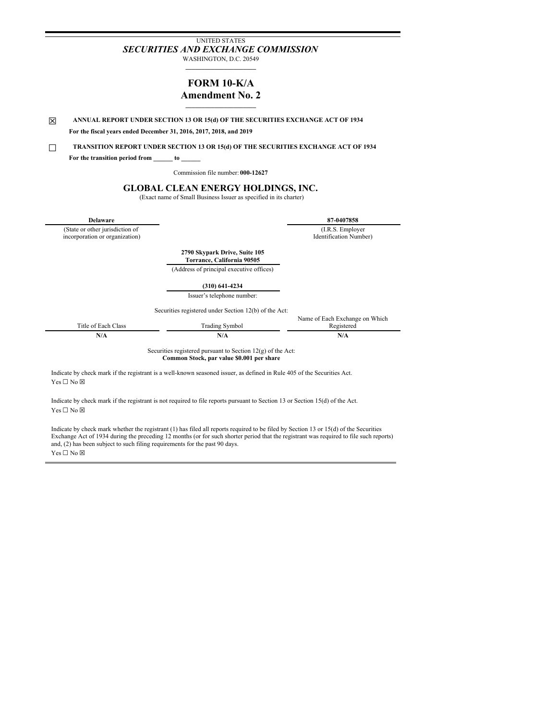# UNITED STATES *SECURITIES AND EXCHANGE COMMISSION*

WASHINGTON, D.C. 20549 **\_\_\_\_\_\_\_\_\_\_\_\_\_\_\_\_\_\_\_\_\_\_**

# **FORM 10-K/A Amendment No. 2 \_\_\_\_\_\_\_\_\_\_\_\_\_\_\_\_\_\_\_\_\_\_**

<span id="page-0-0"></span>☒ **ANNUAL REPORT UNDER SECTION <sup>13</sup> OR 15(d) OF THE SECURITIES EXCHANGE ACT OF <sup>1934</sup> For the fiscal years ended December 31, 2016, 2017, 2018, and 2019**

☐ **TRANSITION REPORT UNDER SECTION <sup>13</sup> OR 15(d) OF THE SECURITIES EXCHANGE ACT OF <sup>1934</sup>**

**For the transition period from \_\_\_\_\_\_ to \_\_\_\_\_\_**

Commission file number: **000-12627**

# **GLOBAL CLEAN ENERGY HOLDINGS, INC.**

(Exact name of Small Business Issuer as specified in its charter)

(State or other jurisdiction of incorporation or organization)

**Delaware 87-0407858**

(I.R.S. Employer Identification Number)

**2790 Skypark Drive, Suite 105 Torrance, California 90505** (Address of principal executive offices)

| $(310)$ 641-4234           |
|----------------------------|
| Issuer's telephone number: |

Securities registered under Section 12(b) of the Act:

Title of Each Class Trading Symbol Name of Each Exchange on Which Registered **N/A N/A N/A**

> Securities registered pursuant to Section 12(g) of the Act: **Common Stock, par value \$0.001 per share**

Indicate by check mark if the registrant is a well-known seasoned issuer, as defined in Rule 405 of the Securities Act. Yes □ No ⊠

Indicate by check mark if the registrant is not required to file reports pursuant to Section 13 or Section 15(d) of the Act.  $Yes \Box No \boxtimes$ 

Indicate by check mark whether the registrant (1) has filed all reports required to be filed by Section 13 or 15(d) of the Securities Exchange Act of 1934 during the preceding 12 months (or for such shorter period that the registrant was required to file such reports) and, (2) has been subject to such filing requirements for the past 90 days.

 $Yes \Box No \boxtimes$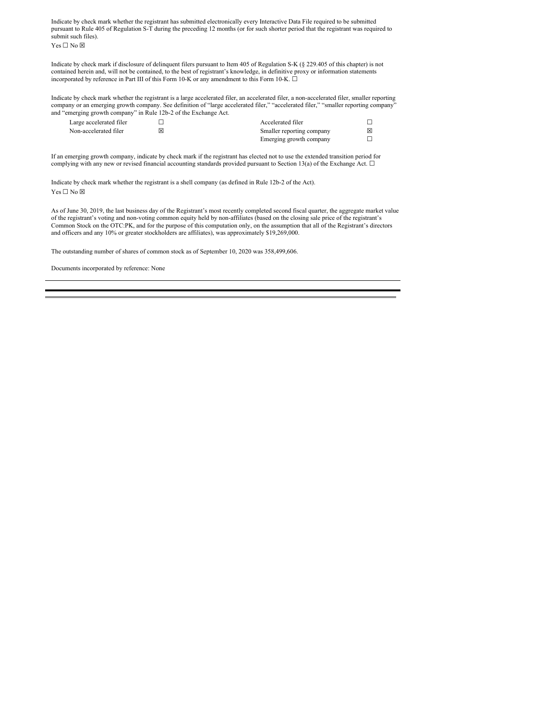Indicate by check mark whether the registrant has submitted electronically every Interactive Data File required to be submitted pursuant to Rule 405 of Regulation S-T during the preceding 12 months (or for such shorter period that the registrant was required to submit such files).

 $\mathbf{Yes} \ \Box \ \mathbf{No} \ \boxtimes$ 

Indicate by check mark if disclosure of delinquent filers pursuant to Item 405 of Regulation S-K (§ 229.405 of this chapter) is not contained herein and, will not be contained, to the best of registrant's knowledge, in definitive proxy or information statements incorporated by reference in Part III of this Form 10-K or any amendment to this Form 10-K.  $\Box$ 

Indicate by check mark whether the registrant is a large accelerated filer, an accelerated filer, a non-accelerated filer, smaller reporting company or an emerging growth company. See definition of "large accelerated filer," "accelerated filer," "smaller reporting company" and "emerging growth company" in Rule 12b-2 of the Exchange Act.

| Large accelerated filer |   | Accelerated filer         |  |
|-------------------------|---|---------------------------|--|
| Non-accelerated filer   | ⊠ | Smaller reporting company |  |
|                         |   | Emerging growth company   |  |

If an emerging growth company, indicate by check mark if the registrant has elected not to use the extended transition period for complying with any new or revised financial accounting standards provided pursuant to Section 13(a) of the Exchange Act.  $\Box$ 

Indicate by check mark whether the registrant is a shell company (as defined in Rule 12b-2 of the Act).  $Yes \Box No \boxtimes$ 

As of June 30, 2019, the last business day of the Registrant's most recently completed second fiscal quarter, the aggregate market value of the registrant's voting and non-voting common equity held by non-affiliates (based on the closing sale price of the registrant's Common Stock on the OTC:PK, and for the purpose of this computation only, on the assumption that all of the Registrant's directors and officers and any 10% or greater stockholders are affiliates), was approximately \$19,269,000.

The outstanding number of shares of common stock as of September 10, 2020 was 358,499,606.

Documents incorporated by reference: None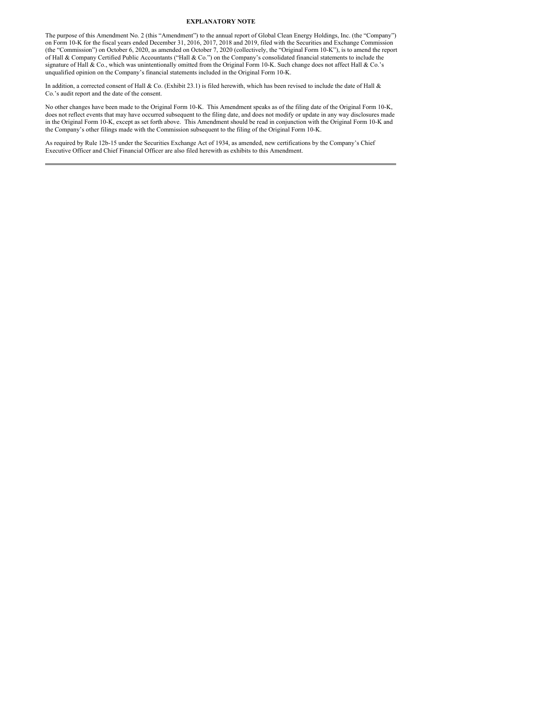## **EXPLANATORY NOTE**

The purpose of this Amendment No. 2 (this "Amendment") to the annual report of Global Clean Energy Holdings, Inc. (the "Company") on Form 10-K for the fiscal years ended December 31, 2016, 2017, 2018 and 2019, filed with the Securities and Exchange Commission (the "Commission") on October 6, 2020, as amended on October 7, 2020 (collectively, the "Original Form 10-K"), is to amend the report of Hall & Company Certified Public Accountants ("Hall & Co.") on the Company's consolidated financial statements to include the signature of Hall & Co., which was unintentionally omitted from the Original Form 10-K. Such change does not affect Hall & Co.'s unqualified opinion on the Company's financial statements included in the Original Form 10-K.

In addition, a corrected consent of Hall & Co. (Exhibit 23.1) is filed herewith, which has been revised to include the date of Hall & Co.'s audit report and the date of the consent.

No other changes have been made to the Original Form 10-K. This Amendment speaks as of the filing date of the Original Form 10-K, does not reflect events that may have occurred subsequent to the filing date, and does not modify or update in any way disclosures made in the Original Form 10-K, except as set forth above. This Amendment should be read in conjunction with the Original Form 10-K and the Company's other filings made with the Commission subsequent to the filing of the Original Form 10-K.

As required by Rule 12b-15 under the Securities Exchange Act of 1934, as amended, new certifications by the Company's Chief Executive Officer and Chief Financial Officer are also filed herewith as exhibits to this Amendment.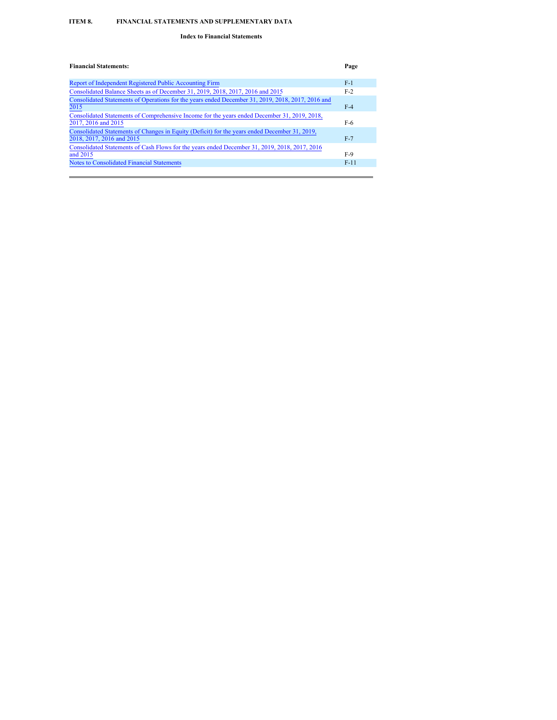#### **FINANCIAL STATEMENTS AND SUPPLEMENTARY DATA ITEM 8.**

# **Index to Financial Statements**

| <b>Financial Statements:</b>                                                                      | Page   |
|---------------------------------------------------------------------------------------------------|--------|
|                                                                                                   |        |
| Report of Independent Registered Public Accounting Firm                                           | $F-1$  |
| Consolidated Balance Sheets as of December 31, 2019, 2018, 2017, 2016 and 2015                    | $F-2$  |
| Consolidated Statements of Operations for the years ended December 31, 2019, 2018, 2017, 2016 and |        |
| 2015                                                                                              | $F-4$  |
| Consolidated Statements of Comprehensive Income for the years ended December 31, 2019, 2018,      |        |
| 2017, 2016 and 2015                                                                               | $F-6$  |
| Consolidated Statements of Changes in Equity (Deficit) for the years ended December 31, 2019,     |        |
| 2018, 2017, 2016 and 2015                                                                         | $F-7$  |
| Consolidated Statements of Cash Flows for the years ended December 31, 2019, 2018, 2017, 2016     |        |
| and 2015                                                                                          | $F-9$  |
| <b>Notes to Consolidated Financial Statements</b>                                                 | $F-11$ |
|                                                                                                   |        |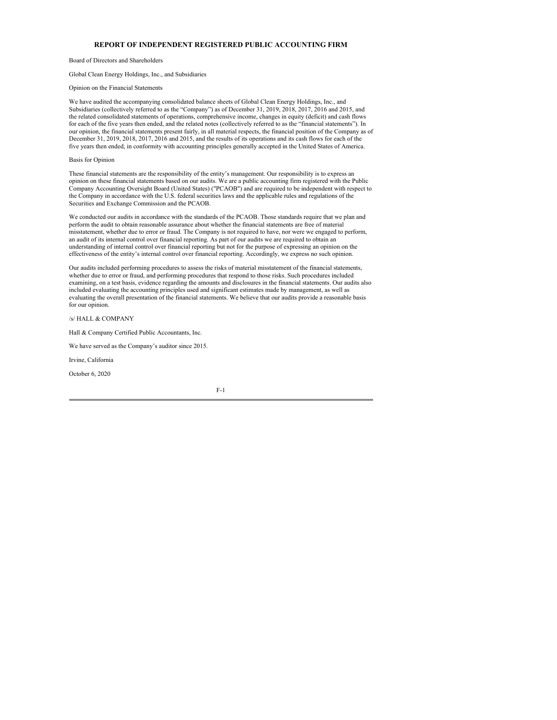# **REPORT OF INDEPENDENT REGISTERED PUBLIC ACCOUNTING FIRM**

## Board of Directors and Shareholders

Global Clean Energy Holdings, Inc., and Subsidiaries

#### Opinion on the Financial Statements

We have audited the accompanying consolidated balance sheets of Global Clean Energy Holdings, Inc., and Subsidiaries (collectively referred to as the "Company") as of December 31, 2019, 2018, 2017, 2016 and 2015, and the related consolidated statements of operations, comprehensive income, changes in equity (deficit) and cash flows for each of the five years then ended, and the related notes (collectively referred to as the "financial statements"). In our opinion, the financial statements present fairly, in all material respects, the financial position of the Company as of December 31, 2019, 2018, 2017, 2016 and 2015, and the results of its operations and its cash flows for each of the five years then ended, in conformity with accounting principles generally accepted in the United States of America.

### Basis for Opinion

These financial statements are the responsibility of the entity's management. Our responsibility is to express an opinion on these financial statements based on our audits. We are a public accounting firm registered with the Public Company Accounting Oversight Board (United States) ("PCAOB") and are required to be independent with respect to the Company in accordance with the U.S. federal securities laws and the applicable rules and regulations of the Securities and Exchange Commission and the PCAOB.

We conducted our audits in accordance with the standards of the PCAOB. Those standards require that we plan and perform the audit to obtain reasonable assurance about whether the financial statements are free of material misstatement, whether due to error or fraud. The Company is not required to have, nor were we engaged to perform, an audit of its internal control over financial reporting. As part of our audits we are required to obtain an understanding of internal control over financial reporting but not for the purpose of expressing an opinion on the effectiveness of the entity's internal control over financial reporting. Accordingly, we express no such opinion.

Our audits included performing procedures to assess the risks of material misstatement of the financial statements, whether due to error or fraud, and performing procedures that respond to those risks. Such procedures included examining, on a test basis, evidence regarding the amounts and disclosures in the financial statements. Our audits also included evaluating the accounting principles used and significant estimates made by management, as well as evaluating the overall presentation of the financial statements. We believe that our audits provide a reasonable basis for our opinion.

/s/ HALL & COMPANY

Hall & Company Certified Public Accountants, Inc.

We have served as the Company's auditor since 2015.

Irvine, California

October 6, 2020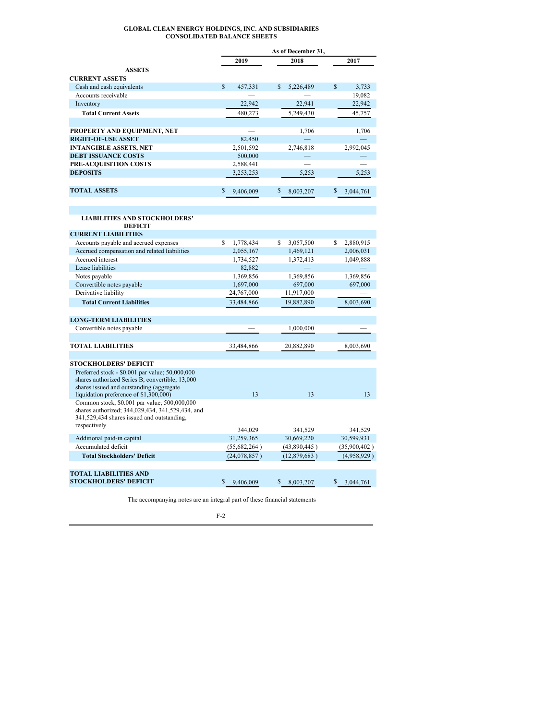#### <span id="page-5-0"></span>**GLOBAL CLEAN ENERGY HOLDINGS, INC. AND SUBSIDIARIES CONSOLIDATED BALANCE SHEETS**

|                               | As of December 31, |                  |                       |  |  |  |  |
|-------------------------------|--------------------|------------------|-----------------------|--|--|--|--|
|                               | 2019               | 2018             | 2017                  |  |  |  |  |
| <b>ASSETS</b>                 |                    |                  |                       |  |  |  |  |
| <b>CURRENT ASSETS</b>         |                    |                  |                       |  |  |  |  |
| Cash and cash equivalents     | \$<br>457,331      | 5,226,489<br>\$. | $\mathbf{s}$<br>3,733 |  |  |  |  |
| Accounts receivable           |                    |                  | 19,082                |  |  |  |  |
| Inventory                     | 22,942             | 22,941           | 22,942                |  |  |  |  |
| <b>Total Current Assets</b>   | 480,273            | 5,249,430        | 45,757                |  |  |  |  |
|                               |                    |                  |                       |  |  |  |  |
| PROPERTY AND EQUIPMENT, NET   |                    | 1,706            | 1,706                 |  |  |  |  |
| <b>RIGHT-OF-USE ASSET</b>     | 82,450             |                  |                       |  |  |  |  |
| <b>INTANGIBLE ASSETS, NET</b> | 2,501,592          | 2,746,818        | 2,992,045             |  |  |  |  |
| <b>DEBT ISSUANCE COSTS</b>    | 500,000            |                  |                       |  |  |  |  |
| PRE-ACQUISITION COSTS         | 2,588,441          |                  |                       |  |  |  |  |
| <b>DEPOSITS</b>               | 3,253,253          | 5,253            | 5,253                 |  |  |  |  |
|                               |                    |                  |                       |  |  |  |  |
| <b>TOTAL ASSETS</b>           | S<br>9,406,009     | 8,003,207        | S<br>3,044,761        |  |  |  |  |
|                               |                    |                  |                       |  |  |  |  |
|                               |                    |                  |                       |  |  |  |  |

| <b>LIABILITIES AND STOCKHOLDERS'</b><br><b>DEFICIT</b>                                         |                 |                 |                 |
|------------------------------------------------------------------------------------------------|-----------------|-----------------|-----------------|
| <b>CURRENT LIABILITIES</b>                                                                     |                 |                 |                 |
| Accounts payable and accrued expenses                                                          | S.<br>1,778,434 | S.<br>3,057,500 | S.<br>2,880,915 |
| Accrued compensation and related liabilities                                                   | 2,055,167       | 1,469,121       | 2,006,031       |
| Accrued interest                                                                               | 1,734,527       | 1,372,413       | 1,049,888       |
| Lease liabilities                                                                              | 82,882          |                 |                 |
| Notes payable                                                                                  | 1,369,856       | 1,369,856       | 1,369,856       |
| Convertible notes payable                                                                      | 1,697,000       | 697,000         | 697,000         |
| Derivative liability                                                                           | 24,767,000      | 11,917,000      |                 |
| <b>Total Current Liabilities</b>                                                               | 33,484,866      | 19,882,890      | 8,003,690       |
|                                                                                                |                 |                 |                 |
| <b>LONG-TERM LIABILITIES</b>                                                                   |                 |                 |                 |
| Convertible notes payable                                                                      |                 | 1,000,000       |                 |
|                                                                                                |                 |                 |                 |
| <b>TOTAL LIABILITIES</b>                                                                       | 33,484,866      | 20,882,890      | 8,003,690       |
|                                                                                                |                 |                 |                 |
| <b>STOCKHOLDERS' DEFICIT</b>                                                                   |                 |                 |                 |
| Preferred stock - \$0.001 par value; 50,000,000                                                |                 |                 |                 |
| shares authorized Series B, convertible; 13,000                                                |                 |                 |                 |
| shares issued and outstanding (aggregate                                                       |                 |                 |                 |
| liquidation preference of \$1,300,000)                                                         | 13              | 13              | 13              |
| Common stock, \$0.001 par value; 500,000,000                                                   |                 |                 |                 |
| shares authorized; 344,029,434, 341,529,434, and<br>341,529,434 shares issued and outstanding, |                 |                 |                 |
| respectively                                                                                   |                 |                 |                 |
|                                                                                                | 344,029         | 341,529         | 341,529         |
| Additional paid-in capital                                                                     | 31,259,365      | 30,669,220      | 30,599,931      |
| Accumulated deficit                                                                            | (55,682,264)    | (43,890,445)    | (35,900,402)    |
| <b>Total Stockholders' Deficit</b>                                                             | (24,078,857)    | (12,879,683)    | (4,958,929)     |
|                                                                                                |                 |                 |                 |
| <b>TOTAL LIABILITIES AND</b>                                                                   |                 |                 |                 |
| <b>STOCKHOLDERS' DEFICIT</b>                                                                   | S<br>9,406,009  | 8,003,207       | 3,044,761       |
|                                                                                                |                 |                 |                 |

The accompanying notes are an integral part of these financial statements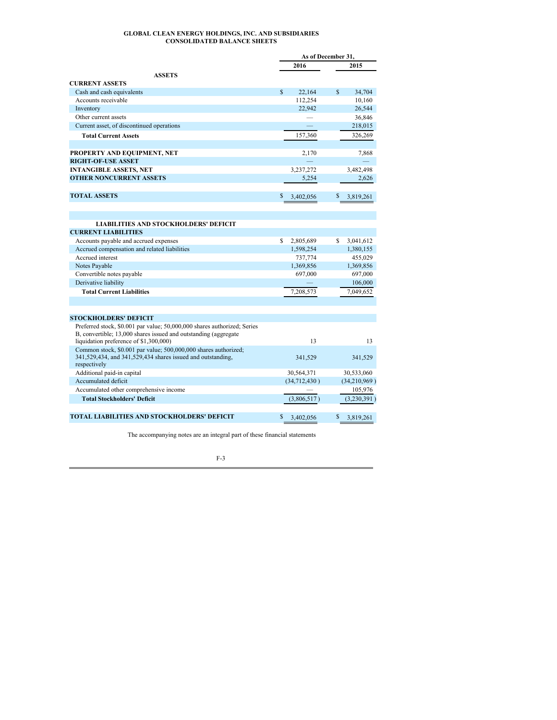### **GLOBAL CLEAN ENERGY HOLDINGS, INC. AND SUBSIDIARIES CONSOLIDATED BALANCE SHEETS**

|                                                                             | As of December 31, |                        |  |  |
|-----------------------------------------------------------------------------|--------------------|------------------------|--|--|
|                                                                             | 2016               | 2015                   |  |  |
| <b>ASSETS</b>                                                               |                    |                        |  |  |
| <b>CURRENT ASSETS</b>                                                       |                    |                        |  |  |
| Cash and cash equivalents                                                   | \$<br>22,164       | $\mathbb{S}$<br>34,704 |  |  |
| Accounts receivable                                                         | 112,254            | 10,160                 |  |  |
| Inventory                                                                   | 22,942             | 26,544                 |  |  |
| Other current assets                                                        |                    | 36,846                 |  |  |
| Current asset, of discontinued operations                                   |                    | 218,015                |  |  |
| <b>Total Current Assets</b>                                                 | 157,360            | 326,269                |  |  |
|                                                                             |                    |                        |  |  |
| PROPERTY AND EQUIPMENT, NET                                                 | 2,170              | 7,868                  |  |  |
| <b>RIGHT-OF-USE ASSET</b>                                                   |                    |                        |  |  |
| <b>INTANGIBLE ASSETS, NET</b>                                               | 3,237,272          | 3,482,498              |  |  |
| <b>OTHER NONCURRENT ASSETS</b>                                              | 5,254              | 2,626                  |  |  |
|                                                                             |                    |                        |  |  |
| <b>TOTAL ASSETS</b>                                                         | \$<br>3,402,056    | S<br>3,819,261         |  |  |
|                                                                             |                    |                        |  |  |
|                                                                             |                    |                        |  |  |
|                                                                             |                    |                        |  |  |
| <b>LIABILITIES AND STOCKHOLDERS' DEFICIT</b>                                |                    |                        |  |  |
| <b>CURRENT LIABILITIES</b>                                                  |                    |                        |  |  |
| Accounts payable and accrued expenses                                       | \$<br>2,805,689    | 3,041,612<br>S         |  |  |
| Accrued compensation and related liabilities                                | 1,598,254          | 1,380,155              |  |  |
| Accrued interest                                                            | 737,774            | 455,029                |  |  |
| Notes Payable                                                               | 1,369,856          | 1,369,856              |  |  |
| Convertible notes payable                                                   | 697,000            | 697,000                |  |  |
| Derivative liability                                                        |                    | 106,000                |  |  |
| <b>Total Current Liabilities</b>                                            | 7,208,573          | 7,049,652              |  |  |
|                                                                             |                    |                        |  |  |
|                                                                             |                    |                        |  |  |
| <b>STOCKHOLDERS' DEFICIT</b>                                                |                    |                        |  |  |
| Preferred stock, \$0.001 par value; 50,000,000 shares authorized; Series    |                    |                        |  |  |
| B, convertible; 13,000 shares issued and outstanding (aggregate             |                    |                        |  |  |
| liquidation preference of \$1,300,000)                                      | 13                 | 13                     |  |  |
| Common stock, \$0.001 par value; 500,000,000 shares authorized;             |                    |                        |  |  |
| 341,529,434, and 341,529,434 shares issued and outstanding,<br>respectively | 341,529            | 341,529                |  |  |
| Additional paid-in capital                                                  | 30,564,371         | 30,533,060             |  |  |
| Accumulated deficit                                                         | (34,712,430)       | (34,210,969)           |  |  |
| Accumulated other comprehensive income                                      |                    | 105,976                |  |  |
| <b>Total Stockholders' Deficit</b>                                          |                    |                        |  |  |
|                                                                             | (3,806,517)        | (3,230,391)            |  |  |
|                                                                             |                    |                        |  |  |
| TOTAL LIABILITIES AND STOCKHOLDERS' DEFICIT                                 | \$<br>3,402,056    | \$<br>3,819,261        |  |  |

The accompanying notes are an integral part of these financial statements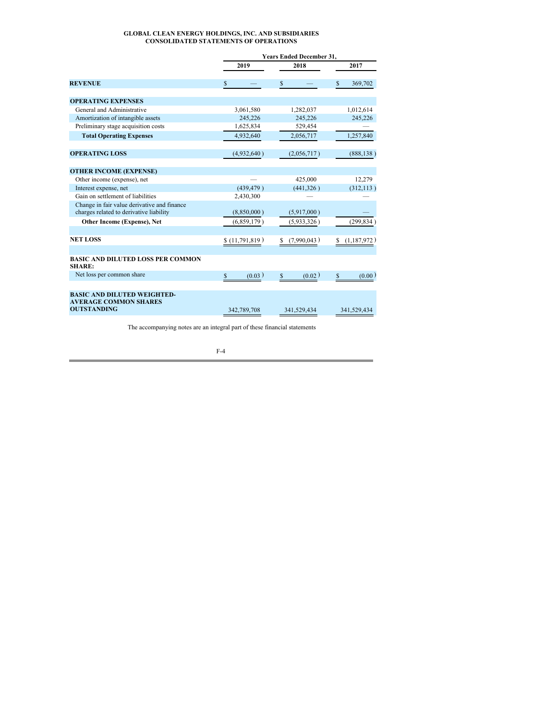<span id="page-7-0"></span>

|                                                                    | <b>Years Ended December 31,</b> |                       |                  |  |
|--------------------------------------------------------------------|---------------------------------|-----------------------|------------------|--|
|                                                                    | 2019                            | 2018                  | 2017             |  |
| <b>REVENUE</b>                                                     | $\mathbf S$                     | \$                    | 369,702<br>S.    |  |
| <b>OPERATING EXPENSES</b>                                          |                                 |                       |                  |  |
| General and Administrative                                         | 3,061,580                       | 1,282,037             | 1,012,614        |  |
| Amortization of intangible assets                                  | 245.226                         | 245,226               | 245,226          |  |
| Preliminary stage acquisition costs                                | 1,625,834                       | 529,454               |                  |  |
| <b>Total Operating Expenses</b>                                    | 4,932,640                       | 2,056,717             | 1,257,840        |  |
| <b>OPERATING LOSS</b>                                              | (4,932,640)                     | (2,056,717)           | (888, 138)       |  |
| <b>OTHER INCOME (EXPENSE)</b>                                      |                                 |                       |                  |  |
| Other income (expense), net                                        |                                 | 425,000               | 12,279           |  |
| Interest expense, net                                              | (439, 479)                      | (441, 326)            | (312, 113)       |  |
| Gain on settlement of liabilities                                  | 2,430,300                       |                       |                  |  |
| Change in fair value derivative and finance                        |                                 |                       |                  |  |
| charges related to derivative liability                            | (8,850,000)                     | (5,917,000)           |                  |  |
| Other Income (Expense), Net                                        | (6,859,179)                     | (5,933,326)           | (299, 834)       |  |
| <b>NET LOSS</b>                                                    | \$(11,791,819)                  | (7,990,043)<br>S      | (1,187,972)<br>S |  |
| <b>BASIC AND DILUTED LOSS PER COMMON</b><br><b>SHARE:</b>          |                                 |                       |                  |  |
| Net loss per common share                                          | (0.03)<br>$\mathbf S$           | (0.02)<br>$\mathbf S$ | (0.00)<br>S.     |  |
| <b>BASIC AND DILUTED WEIGHTED-</b><br><b>AVERAGE COMMON SHARES</b> |                                 |                       |                  |  |
| <b>OUTSTANDING</b>                                                 | 342,789,708                     | 341,529,434           | 341,529,434      |  |

The accompanying notes are an integral part of these financial statements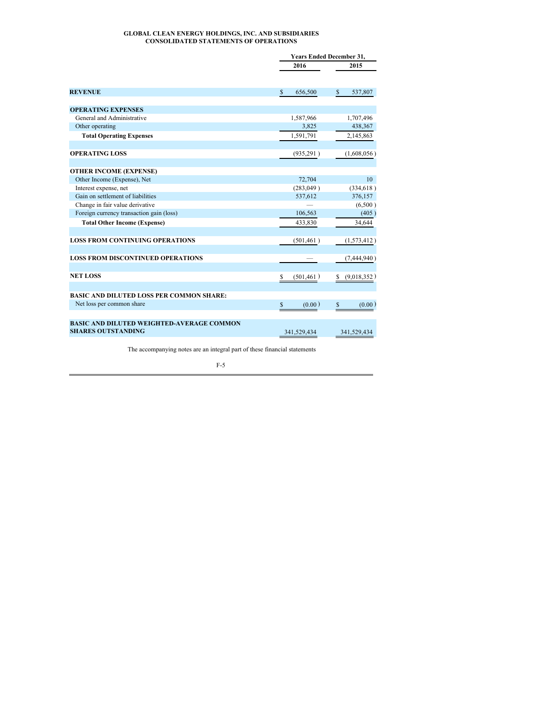|                                                  | <b>Years Ended December 31,</b> |             |              |             |
|--------------------------------------------------|---------------------------------|-------------|--------------|-------------|
|                                                  |                                 | 2016        |              | 2015        |
|                                                  |                                 |             |              |             |
| <b>REVENUE</b>                                   | $\mathbb{S}$                    | 656,500     | $\mathbb{S}$ | 537,807     |
| <b>OPERATING EXPENSES</b>                        |                                 |             |              |             |
| General and Administrative                       |                                 | 1,587,966   |              | 1,707,496   |
| Other operating                                  |                                 | 3,825       |              | 438,367     |
| <b>Total Operating Expenses</b>                  |                                 | 1,591,791   |              | 2,145,863   |
| <b>OPERATING LOSS</b>                            |                                 | (935, 291)  |              | (1,608,056) |
| <b>OTHER INCOME (EXPENSE)</b>                    |                                 |             |              |             |
| Other Income (Expense), Net                      |                                 | 72,704      |              | 10          |
| Interest expense, net                            |                                 | (283, 049)  |              | (334, 618)  |
| Gain on settlement of liabilities                |                                 | 537,612     |              | 376,157     |
| Change in fair value derivative                  |                                 |             |              | (6,500)     |
| Foreign currency transaction gain (loss)         |                                 | 106,563     |              | (405)       |
| <b>Total Other Income (Expense)</b>              |                                 | 433,830     |              | 34,644      |
| <b>LOSS FROM CONTINUING OPERATIONS</b>           |                                 | (501, 461)  |              | (1,573,412) |
| <b>LOSS FROM DISCONTINUED OPERATIONS</b>         |                                 |             |              | (7,444,940) |
|                                                  |                                 |             |              |             |
| <b>NET LOSS</b>                                  | S                               | (501, 461)  | S            | (9,018,352) |
| <b>BASIC AND DILUTED LOSS PER COMMON SHARE:</b>  |                                 |             |              |             |
| Net loss per common share                        | \$                              | (0.00)      | \$           | (0.00)      |
| <b>BASIC AND DILUTED WEIGHTED-AVERAGE COMMON</b> |                                 |             |              |             |
| <b>SHARES OUTSTANDING</b>                        |                                 | 341,529,434 |              | 341,529,434 |
|                                                  |                                 |             |              |             |

The accompanying notes are an integral part of these financial statements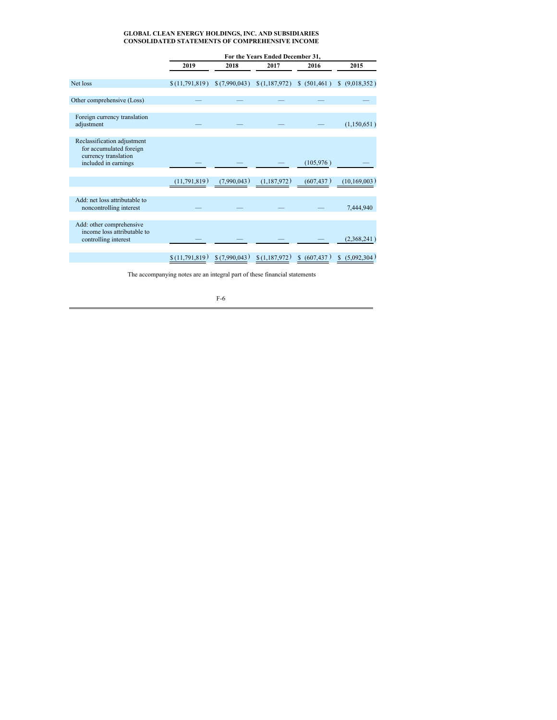### <span id="page-9-0"></span>**GLOBAL CLEAN ENERGY HOLDINGS, INC. AND SUBSIDIARIES CONSOLIDATED STATEMENTS OF COMPREHENSIVE INCOME**

|                                                                                                        | For the Years Ended December 31, |               |               |              |                  |  |  |
|--------------------------------------------------------------------------------------------------------|----------------------------------|---------------|---------------|--------------|------------------|--|--|
|                                                                                                        | 2019                             | 2018          | 2017          | 2016         | 2015             |  |  |
| Net loss                                                                                               | \$(11,791,819)                   | \$(7,990,043) | \$(1,187,972) | \$ (501,461) | \$ (9,018,352)   |  |  |
| Other comprehensive (Loss)                                                                             |                                  |               |               |              |                  |  |  |
| Foreign currency translation<br>adjustment                                                             |                                  |               |               |              | (1,150,651)      |  |  |
| Reclassification adjustment<br>for accumulated foreign<br>currency translation<br>included in earnings |                                  |               |               | (105,976)    |                  |  |  |
|                                                                                                        | (11,791,819)                     | (7,990,043)   | (1,187,972)   | (607, 437)   | (10, 169, 003)   |  |  |
| Add: net loss attributable to<br>noncontrolling interest                                               |                                  |               |               |              | 7,444,940        |  |  |
| Add: other comprehensive<br>income loss attributable to<br>controlling interest                        |                                  |               |               |              | (2,368,241)      |  |  |
|                                                                                                        | \$(11,791,819)                   | \$(7,990,043) | \$(1,187,972) | (607, 437)   | (5,092,304)<br>S |  |  |

The accompanying notes are an integral part of these financial statements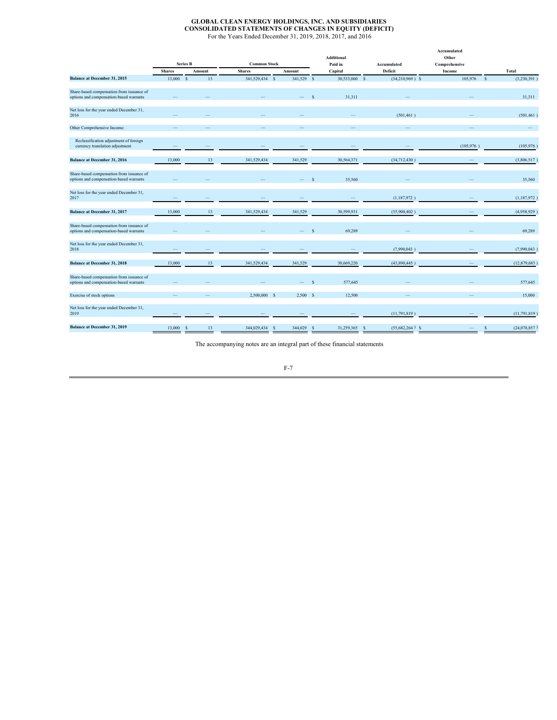#### <span id="page-10-0"></span>**GLOBAL CLEAN ENERGY HOLDINGS, INC. AND SUBSIDIARIES CONSOLIDATED STATEMENTS OF CHANGES IN EQUITY (DEFICIT)** For the Years Ended December 31, 2019, 2018, 2017, and 2016

| <b>Series B</b>                                                                      |               |           | <b>Common Stock</b> |               | Additional<br>Paid in      |                          | Accumulated<br>Other<br>Accumulated<br>Comprehensive |                             |  |
|--------------------------------------------------------------------------------------|---------------|-----------|---------------------|---------------|----------------------------|--------------------------|------------------------------------------------------|-----------------------------|--|
|                                                                                      | <b>Shares</b> | Amount    | <b>Shares</b>       | Amount        | Capital                    | Deficit                  | Income                                               | Total                       |  |
| <b>Balance at December 31, 2015</b>                                                  | 13.000 S      | 13        | 341,529,434 \$      | 341.529 S     | 30,533,060 \$              | $(34,210,969)$ \$        | 105,976                                              | $\mathsf{s}$<br>(3,230,391) |  |
| Share-based compensation from issuance of<br>options and compensation-based warrants |               |           |                     |               | 31.311                     |                          |                                                      | 31,311                      |  |
| Net loss for the year ended December 31,<br>2016                                     |               |           |                     |               |                            | (501, 461)               |                                                      | (501, 461)                  |  |
| Other Comprehensive Income:                                                          |               |           |                     |               |                            |                          |                                                      |                             |  |
| Reclassification adjustment of foreign<br>currency translation adjustment            |               |           |                     |               |                            |                          | (105, 976)                                           | (105, 976)                  |  |
| <b>Balance at December 31, 2016</b>                                                  | 13,000        | 13        | 341,529,434         | 341,529       | 30,564,371                 | (34, 712, 430)           |                                                      | (3,806,517)                 |  |
| Share-based compensation from issuance of<br>options and compensation-based warrants |               |           |                     |               | 35,560<br>S                |                          |                                                      | 35,560                      |  |
| Net loss for the year ended December 31,<br>2017                                     |               |           |                     |               |                            | (1,187,972)              |                                                      | (1,187,972)                 |  |
| <b>Balance at December 31, 2017</b>                                                  | 13,000        | 13        | 341,529,434         | 341,529       | 30,599,931                 | (35,900,402)             |                                                      | (4,958,929)                 |  |
| Share-based compensation from issuance of<br>options and compensation-based warrants |               |           |                     |               | 69,289<br>S                |                          |                                                      | 69.289                      |  |
| Net loss for the year ended December 31,<br>2018                                     |               |           |                     |               |                            | (7,990,043)              |                                                      | (7,990,043)                 |  |
| <b>Balance at December 31, 2018</b>                                                  | 13,000        | 13        | 341,529,434         | 341,529       | 30,669,220                 | (43,890,445)             |                                                      | (12,879,683)                |  |
| Share-based compensation from issuance of<br>options and compensation-based warrants |               |           |                     |               | 577,645<br><sup>S</sup>    |                          |                                                      | 577,645                     |  |
| Exercise of stock options                                                            |               |           | 2.500,000 \$        | 2,500 S       | 12,500                     |                          |                                                      | 15,000                      |  |
| Net loss for the year ended December 31,<br>2019                                     |               |           |                     |               |                            | (11, 791, 819)           |                                                      | (11, 791, 819)              |  |
| Balance at December 31, 2019                                                         | 13.000        | 13<br>- S | 344,029,434         | 344.029<br>-S | 31,259,365<br><sub>S</sub> | $(55,682,264)$ \$<br>- S |                                                      | (24,078,857)<br>S           |  |

The accompanying notes are an integral part of these financial statements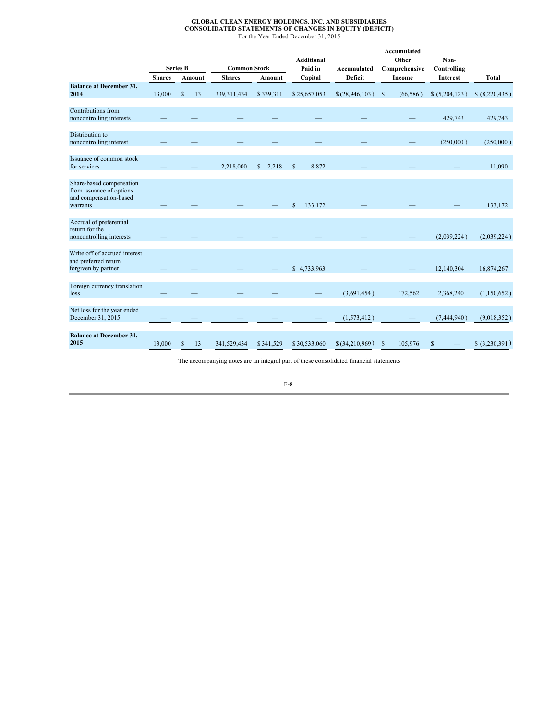#### **GLOBAL CLEAN ENERGY HOLDINGS, INC. AND SUBSIDIARIES CONSOLIDATED STATEMENTS OF CHANGES IN EQUITY (DEFICIT)** For the Year Ended December 31, 2015

|                                                                                            |               | <b>Series B</b>   | <b>Common Stock</b> |           | <b>Additional</b><br>Paid in | <b>Accumulated</b> | Accumulated<br>Other<br>Comprehensive | Non-<br>Controlling |                |
|--------------------------------------------------------------------------------------------|---------------|-------------------|---------------------|-----------|------------------------------|--------------------|---------------------------------------|---------------------|----------------|
|                                                                                            | <b>Shares</b> | Amount            | <b>Shares</b>       | Amount    | Capital                      | <b>Deficit</b>     | <b>Income</b>                         | <b>Interest</b>     | <b>Total</b>   |
| <b>Balance at December 31,</b><br>2014                                                     | 13,000        | $\mathbf S$<br>13 | 339, 311, 434       | \$339,311 | \$25,657,053                 | \$(28,946,103)     | $\mathbf{s}$<br>(66, 586)             | \$ (5,204,123)      | \$ (8,220,435) |
| Contributions from<br>noncontrolling interests                                             |               |                   |                     |           |                              |                    |                                       | 429,743             | 429,743        |
| Distribution to<br>noncontrolling interest                                                 |               |                   |                     |           |                              |                    |                                       | (250,000)           | (250,000)      |
| Issuance of common stock<br>for services                                                   |               |                   | 2,218,000           | \$2,218   | $\mathbb{S}$<br>8,872        |                    |                                       |                     | 11,090         |
| Share-based compensation<br>from issuance of options<br>and compensation-based<br>warrants |               |                   |                     |           | 133,172<br>$\mathcal{S}$     |                    |                                       |                     | 133,172        |
| Accrual of preferential<br>return for the<br>noncontrolling interests                      |               |                   |                     |           |                              |                    |                                       | (2,039,224)         | (2,039,224)    |
| Write off of accrued interest<br>and preferred return<br>forgiven by partner               |               |                   |                     |           | \$4,733,963                  |                    |                                       | 12,140,304          | 16,874,267     |
| Foreign currency translation<br>loss                                                       |               |                   |                     |           |                              | (3,691,454)        | 172,562                               | 2,368,240           | (1,150,652)    |
| Net loss for the year ended<br>December 31, 2015                                           |               |                   |                     |           |                              | (1,573,412)        |                                       | (7,444,940)         | (9,018,352)    |
| <b>Balance at December 31,</b><br>2015                                                     | 13,000        | S<br>13           | 341,529,434         | \$341,529 | \$30,533,060                 | $$$ $(34,210,969)$ | $\mathbb{S}$<br>105,976               |                     | \$ (3,230,391) |

The accompanying notes are an integral part of these consolidated financial statements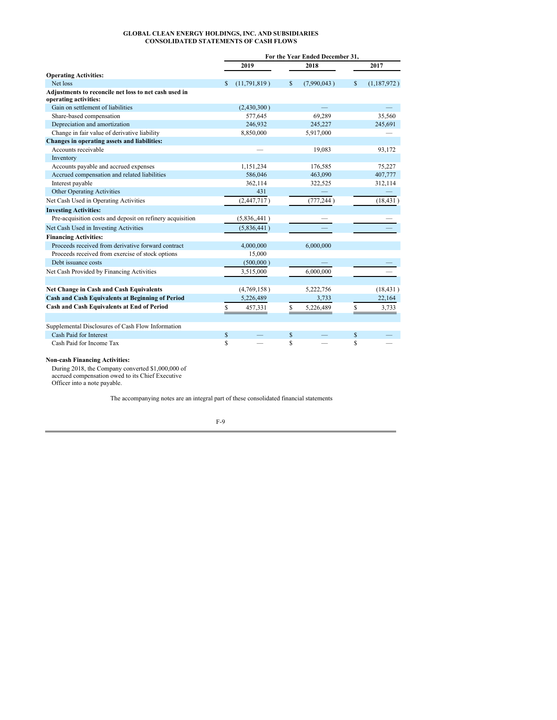<span id="page-12-0"></span>

|                                                                                            | For the Year Ended December 31, |              |    |             |              |             |  |
|--------------------------------------------------------------------------------------------|---------------------------------|--------------|----|-------------|--------------|-------------|--|
|                                                                                            |                                 | 2019         |    | 2018        |              | 2017        |  |
| <b>Operating Activities:</b>                                                               |                                 |              |    |             |              |             |  |
| Net loss                                                                                   | \$                              | (11,791,819) | S  | (7,990,043) | $\mathbb{S}$ | (1,187,972) |  |
| Adjustments to reconcile net loss to net cash used in                                      |                                 |              |    |             |              |             |  |
| operating activities:                                                                      |                                 |              |    |             |              |             |  |
| Gain on settlement of liabilities                                                          |                                 | (2,430,300)  |    | -           |              |             |  |
| Share-based compensation                                                                   |                                 | 577,645      |    | 69,289      |              | 35,560      |  |
| Depreciation and amortization                                                              |                                 | 246,932      |    | 245,227     |              | 245,691     |  |
| Change in fair value of derivative liability                                               |                                 | 8,850,000    |    | 5,917,000   |              |             |  |
| Changes in operating assets and liabilities:                                               |                                 |              |    |             |              |             |  |
| Accounts receivable                                                                        |                                 |              |    | 19,083      |              | 93,172      |  |
| Inventory                                                                                  |                                 |              |    |             |              |             |  |
| Accounts payable and accrued expenses                                                      |                                 | 1,151,234    |    | 176,585     |              | 75,227      |  |
| Accrued compensation and related liabilities                                               |                                 | 586,046      |    | 463,090     |              | 407,777     |  |
| Interest payable                                                                           |                                 | 362,114      |    | 322,525     |              | 312,114     |  |
| <b>Other Operating Activities</b>                                                          |                                 | 431          |    |             |              |             |  |
| Net Cash Used in Operating Activities                                                      |                                 | (2,447,717)  |    | (777, 244)  |              | (18, 431)   |  |
| <b>Investing Activities:</b>                                                               |                                 |              |    |             |              |             |  |
| Pre-acquisition costs and deposit on refinery acquisition                                  |                                 | (5,836,441)  |    |             |              |             |  |
| Net Cash Used in Investing Activities                                                      |                                 | (5,836,441)  |    |             |              |             |  |
| <b>Financing Activities:</b>                                                               |                                 |              |    |             |              |             |  |
| Proceeds received from derivative forward contract                                         |                                 | 4,000,000    |    | 6,000,000   |              |             |  |
| Proceeds received from exercise of stock options                                           |                                 | 15,000       |    |             |              |             |  |
| Debt issuance costs                                                                        |                                 | (500,000)    |    |             |              |             |  |
| Net Cash Provided by Financing Activities                                                  |                                 | 3.515.000    |    | 6,000,000   |              |             |  |
|                                                                                            |                                 |              |    |             |              |             |  |
| Net Change in Cash and Cash Equivalents                                                    |                                 | (4,769,158)  |    | 5,222,756   |              | (18, 431)   |  |
| <b>Cash and Cash Equivalents at Beginning of Period</b>                                    |                                 | 5,226,489    |    | 3,733       |              | 22,164      |  |
| Cash and Cash Equivalents at End of Period                                                 | \$                              | 457,331      | \$ | 5,226,489   | \$           | 3,733       |  |
|                                                                                            |                                 |              |    |             |              |             |  |
| Supplemental Disclosures of Cash Flow Information                                          |                                 |              |    |             |              |             |  |
| Cash Paid for Interest                                                                     | \$                              |              | \$ |             | \$           |             |  |
| Cash Paid for Income Tax                                                                   | \$                              |              | S  |             | \$           |             |  |
| <b>Non-cash Financing Activities:</b><br>During 2018, the Company converted \$1,000,000 of |                                 |              |    |             |              |             |  |

During 2018, the Company converted \$1,000,000 of accrued compensation owed to its Chief Executive Officer into a note payable.

The accompanying notes are an integral part of these consolidated financial statements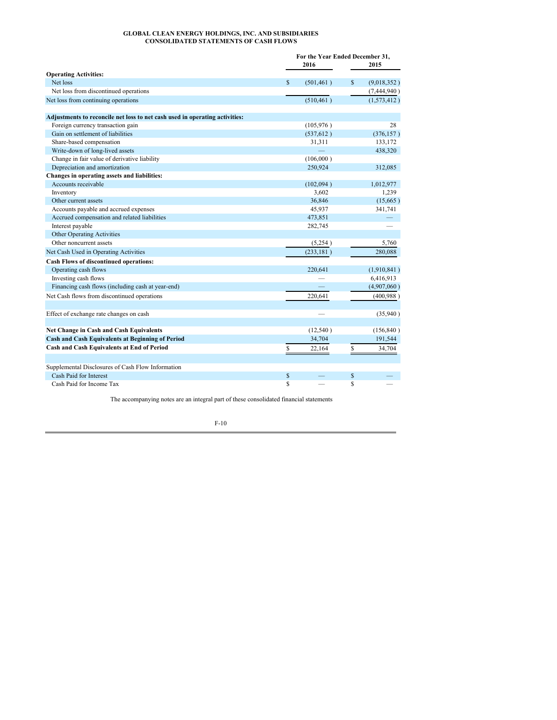|                                                                             |              |            |             | For the Year Ended December 31,<br>2015 |  |
|-----------------------------------------------------------------------------|--------------|------------|-------------|-----------------------------------------|--|
| <b>Operating Activities:</b>                                                |              |            |             |                                         |  |
| Net loss                                                                    | $\mathbb{S}$ | (501, 461) | $\mathbf S$ | (9,018,352)                             |  |
| Net loss from discontinued operations                                       |              |            |             | (7,444,940)                             |  |
| Net loss from continuing operations                                         |              | (510, 461) |             | (1,573,412)                             |  |
| Adjustments to reconcile net loss to net cash used in operating activities: |              |            |             |                                         |  |
| Foreign currency transaction gain                                           |              | (105, 976) |             | 28                                      |  |
| Gain on settlement of liabilities                                           |              | (537, 612) |             | (376, 157)                              |  |
| Share-based compensation                                                    |              | 31,311     |             | 133,172                                 |  |
| Write-down of long-lived assets                                             |              |            |             | 438,320                                 |  |
| Change in fair value of derivative liability                                |              | (106,000)  |             |                                         |  |
| Depreciation and amortization                                               |              | 250,924    |             | 312,085                                 |  |
| Changes in operating assets and liabilities:                                |              |            |             |                                         |  |
| Accounts receivable                                                         |              | (102,094)  |             | 1,012,977                               |  |
| Inventory                                                                   |              | 3,602      |             | 1,239                                   |  |
| Other current assets                                                        |              | 36,846     |             | (15,665)                                |  |
| Accounts payable and accrued expenses                                       |              | 45,937     |             | 341,741                                 |  |
| Accrued compensation and related liabilities                                |              | 473,851    |             |                                         |  |
| Interest payable                                                            |              | 282,745    |             |                                         |  |
| <b>Other Operating Activities</b>                                           |              |            |             |                                         |  |
| Other noncurrent assets                                                     |              | (5,254)    |             | 5,760                                   |  |
| Net Cash Used in Operating Activities                                       |              | (233, 181) |             | 280,088                                 |  |
| <b>Cash Flows of discontinued operations:</b>                               |              |            |             |                                         |  |
| Operating cash flows                                                        |              | 220,641    |             | (1,910,841)                             |  |
| Investing cash flows                                                        |              |            |             | 6,416,913                               |  |
| Financing cash flows (including cash at year-end)                           |              |            |             | (4,907,060)                             |  |
| Net Cash flows from discontinued operations                                 |              | 220.641    |             | (400,988)                               |  |
|                                                                             |              |            |             |                                         |  |
| Effect of exchange rate changes on cash                                     |              |            |             | (35,940)                                |  |
| Net Change in Cash and Cash Equivalents                                     |              | (12,540)   |             | (156, 840)                              |  |
| <b>Cash and Cash Equivalents at Beginning of Period</b>                     |              | 34,704     |             | 191,544                                 |  |
| Cash and Cash Equivalents at End of Period                                  | \$           | 22,164     | \$          | 34,704                                  |  |
|                                                                             |              |            |             |                                         |  |
| Supplemental Disclosures of Cash Flow Information                           |              |            |             |                                         |  |
| Cash Paid for Interest                                                      | \$           |            | \$          |                                         |  |
| Cash Paid for Income Tax                                                    | \$           |            | \$          |                                         |  |

The accompanying notes are an integral part of these consolidated financial statements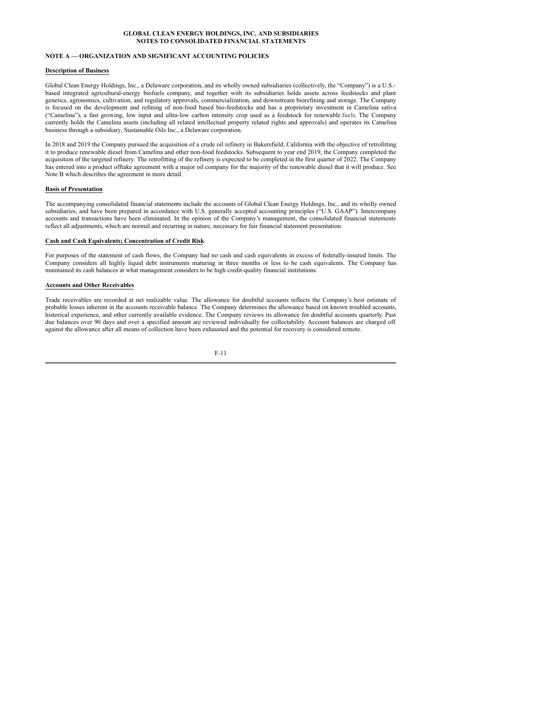# <span id="page-14-0"></span>**NOTE A — ORGANIZATION AND SIGNIFICANT ACCOUNTING POLICIES**

### **Description of Business**

Global Clean Energy Holdings, Inc., a Delaware corporation, and its wholly owned subsidiaries (collectively, the "Company") is a U.S. based integrated agricultural-energy biofuels company, and together with its subsidiaries holds assets across feedstocks and plant genetics, agronomics, cultivation, and regulatory approvals, commercialization, and downstream biorefining and storage. The Company is focused on the development and refining of non-food based bio-feedstocks and has a proprietary investment in Camelina sativa ("Camelina"), a fast growing, low input and ultra-low carbon intensity crop used as a feedstock for renewable fuels. The Company currently holds the Camelina assets (including all related intellectual property related rights and approvals) and operates its Camelina business through a subsidiary, Sustainable Oils Inc., a Delaware corporation.

In 2018 and 2019 the Company pursued the acquisition of a crude oil refinery in Bakersfield, California with the objective of retrofitting it to produce renewable diesel from Camelina and other non-food feedstocks. Subsequent to year end 2019, the Company completed the acquisition of the targeted refinery. The retrofitting of the refinery is expected to be completed in the first quarter of 2022. The Company has entered into a product offtake agreement with a major oil company for the majority of the renewable diesel that it will produce. See Note B which describes the agreement in more detail.

# **Basis of Presentation**

The accompanying consolidated financial statements include the accounts of Global Clean Energy Holdings, Inc., and its wholly owned subsidiaries, and have been prepared in accordance with U.S. generally accepted accounting principles ("U.S. GAAP"). Intercompany accounts and transactions have been eliminated. In the opinion of the Company's management, the consolidated financial statements reflect all adjustments, which are normal and recurring in nature, necessary for fair financial statement presentation.

## **Cash and Cash Equivalents; Concentration of Credit Risk**

For purposes of the statement of cash flows, the Company had no cash and cash equivalents in excess of federally-insured limits. The Company considers all highly liquid debt instruments maturing in three months or less to be cash equivalents. The Company has maintained its cash balances at what management considers to be high credit-quality financial institutions.

# **Accounts and Other Receivables**

Trade receivables are recorded at net realizable value. The allowance for doubtful accounts reflects the Company's best estimate of probable losses inherent in the accounts receivable balance. The Company determines the allowance based on known troubled accounts, historical experience, and other currently available evidence. The Company reviews its allowance for doubtful accounts quarterly. Past due balances over 90 days and over a specified amount are reviewed individually for collectability. Account balances are charged off against the allowance after all means of collection have been exhausted and the potential for recovery is considered remote.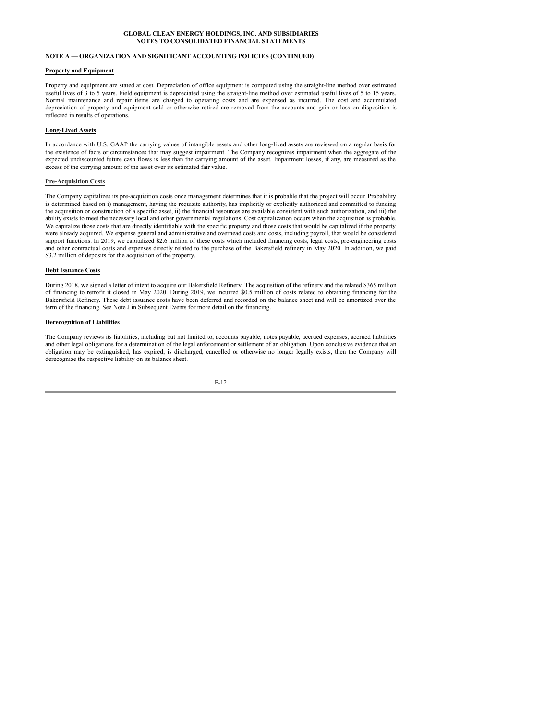# **NOTE A — ORGANIZATION AND SIGNIFICANT ACCOUNTING POLICIES (CONTINUED)**

### **Property and Equipment**

Property and equipment are stated at cost. Depreciation of office equipment is computed using the straight-line method over estimated useful lives of 3 to 5 years. Field equipment is depreciated using the straight-line method over estimated useful lives of 5 to 15 years. Normal maintenance and repair items are charged to operating costs and are expensed as incurred. The cost and accumulated depreciation of property and equipment sold or otherwise retired are removed from the accounts and gain or loss on disposition is reflected in results of operations.

# **Long-Lived Assets**

In accordance with U.S. GAAP the carrying values of intangible assets and other long-lived assets are reviewed on a regular basis for the existence of facts or circumstances that may suggest impairment. The Company recognizes impairment when the aggregate of the expected undiscounted future cash flows is less than the carrying amount of the asset. Impairment losses, if any, are measured as the excess of the carrying amount of the asset over its estimated fair value.

## **Pre-Acquisition Costs**

The Company capitalizes its pre-acquisition costs once management determines that it is probable that the project will occur. Probability is determined based on i) management, having the requisite authority, has implicitly or explicitly authorized and committed to funding the acquisition or construction of a specific asset, ii) the financial resources are available consistent with such authorization, and iii) the ability exists to meet the necessary local and other governmental regulations. Cost capitalization occurs when the acquisition is probable. We capitalize those costs that are directly identifiable with the specific property and those costs that would be capitalized if the property were already acquired. We expense general and administrative and overhead costs and costs, including payroll, that would be considered support functions. In 2019, we capitalized \$2.6 million of these costs which included financing costs, legal costs, pre-engineering costs and other contractual costs and expenses directly related to the purchase of the Bakersfield refinery in May 2020. In addition, we paid \$3.2 million of deposits for the acquisition of the property.

## **Debt Issuance Costs**

During 2018, we signed a letter of intent to acquire our Bakersfield Refinery. The acquisition of the refinery and the related \$365 million of financing to retrofit it closed in May 2020. During 2019, we incurred \$0.5 million of costs related to obtaining financing for the Bakersfield Refinery. These debt issuance costs have been deferred and recorded on the balance sheet and will be amortized over the term of the financing. See Note J in Subsequent Events for more detail on the financing.

# **Derecognition of Liabilities**

The Company reviews its liabilities, including but not limited to, accounts payable, notes payable, accrued expenses, accrued liabilities and other legal obligations for a determination of the legal enforcement or settlement of an obligation. Upon conclusive evidence that an obligation may be extinguished, has expired, is discharged, cancelled or otherwise no longer legally exists, then the Company will derecognize the respective liability on its balance sheet.

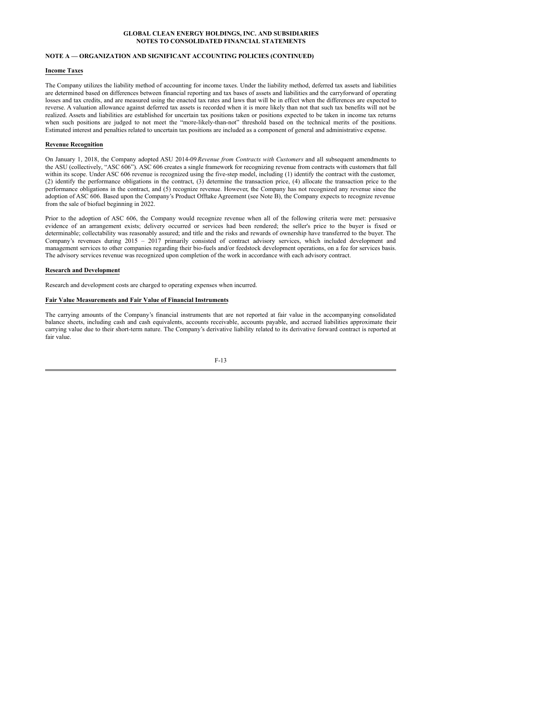# **NOTE A — ORGANIZATION AND SIGNIFICANT ACCOUNTING POLICIES (CONTINUED)**

#### **Income Taxes**

The Company utilizes the liability method of accounting for income taxes. Under the liability method, deferred tax assets and liabilities are determined based on differences between financial reporting and tax bases of assets and liabilities and the carryforward of operating losses and tax credits, and are measured using the enacted tax rates and laws that will be in effect when the differences are expected to reverse. A valuation allowance against deferred tax assets is recorded when it is more likely than not that such tax benefits will not be realized. Assets and liabilities are established for uncertain tax positions taken or positions expected to be taken in income tax returns when such positions are judged to not meet the "more-likely-than-not" threshold based on the technical merits of the positions. Estimated interest and penalties related to uncertain tax positions are included as a component of general and administrative expense.

### **Revenue Recognition**

On January 1, 2018, the Company adopted ASU 2014-09*Revenue from Contracts with Customers* and all subsequent amendments to the ASU (collectively, "ASC 606"). ASC 606 creates a single framework for recognizing revenue from contracts with customers that fall within its scope. Under ASC 606 revenue is recognized using the five-step model, including (1) identify the contract with the customer, (2) identify the performance obligations in the contract, (3) determine the transaction price, (4) allocate the transaction price to the performance obligations in the contract, and (5) recognize revenue. However, the Company has not recognized any revenue since the adoption of ASC 606. Based upon the Company's Product Offtake Agreement (see Note B), the Company expects to recognize revenue from the sale of biofuel beginning in 2022.

Prior to the adoption of ASC 606, the Company would recognize revenue when all of the following criteria were met: persuasive evidence of an arrangement exists; delivery occurred or services had been rendered; the seller's price to the buyer is fixed or determinable; collectability was reasonably assured; and title and the risks and rewards of ownership have transferred to the buyer. The Company's revenues during 2015 – 2017 primarily consisted of contract advisory services, which included development and management services to other companies regarding their bio-fuels and/or feedstock development operations, on a fee for services basis. The advisory services revenue was recognized upon completion of the work in accordance with each advisory contract.

## **Research and Development**

Research and development costs are charged to operating expenses when incurred.

# **Fair Value Measurements and Fair Value of Financial Instruments**

The carrying amounts of the Company's financial instruments that are not reported at fair value in the accompanying consolidated balance sheets, including cash and cash equivalents, accounts receivable, accounts payable, and accrued liabilities approximate their carrying value due to their short-term nature. The Company's derivative liability related to its derivative forward contract is reported at fair value.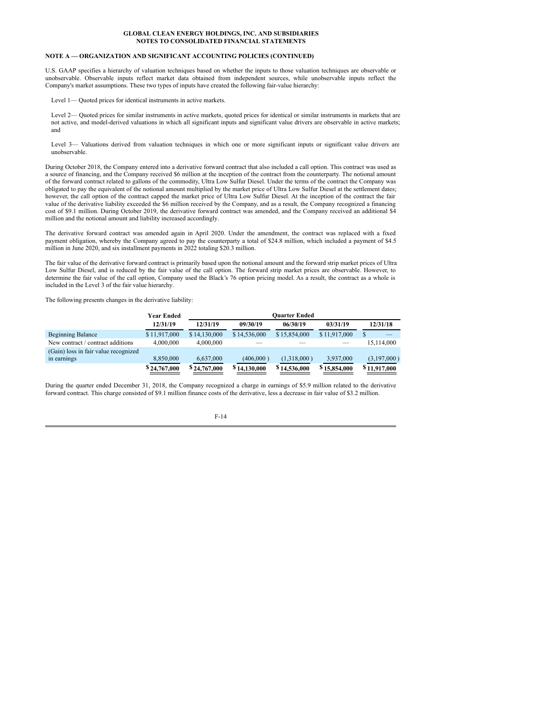# **NOTE A — ORGANIZATION AND SIGNIFICANT ACCOUNTING POLICIES (CONTINUED)**

U.S. GAAP specifies a hierarchy of valuation techniques based on whether the inputs to those valuation techniques are observable or unobservable. Observable inputs reflect market data obtained from independent sources, while unobservable inputs reflect the Company's market assumptions. These two types of inputs have created the following fair-value hierarchy:

Level 1— Quoted prices for identical instruments in active markets.

Level 2— Quoted prices for similar instruments in active markets, quoted prices for identical or similar instruments in markets that are not active, and model-derived valuations in which all significant inputs and significant value drivers are observable in active markets; and

Level 3— Valuations derived from valuation techniques in which one or more significant inputs or significant value drivers are unobservable.

During October 2018, the Company entered into a derivative forward contract that also included a call option. This contract was used as a source of financing, and the Company received \$6 million at the inception of the contract from the counterparty. The notional amount of the forward contract related to gallons of the commodity, Ultra Low Sulfur Diesel. Under the terms of the contract the Company was obligated to pay the equivalent of the notional amount multiplied by the market price of Ultra Low Sulfur Diesel at the settlement dates; however, the call option of the contract capped the market price of Ultra Low Sulfur Diesel. At the inception of the contract the fair value of the derivative liability exceeded the \$6 million received by the Company, and as a result, the Company recognized a financing cost of \$9.1 million. During October 2019, the derivative forward contract was amended, and the Company received an additional \$4 million and the notional amount and liability increased accordingly.

The derivative forward contract was amended again in April 2020. Under the amendment, the contract was replaced with a fixed payment obligation, whereby the Company agreed to pay the counterparty a total of \$24.8 million, which included a payment of \$4.5 million in June 2020, and six installment payments in 2022 totaling \$20.3 million.

The fair value of the derivative forward contract is primarily based upon the notional amount and the forward strip market prices of Ultra Low Sulfur Diesel, and is reduced by the fair value of the call option. The forward strip market prices are observable. However, to determine the fair value of the call option, Company used the Black's 76 option pricing model. As a result, the contract as a whole is included in the Level 3 of the fair value hierarchy.

The following presents changes in the derivative liability:

|                                      | <b>Year Ended</b> | <b>Ouarter Ended</b> |              |              |              |              |  |  |
|--------------------------------------|-------------------|----------------------|--------------|--------------|--------------|--------------|--|--|
|                                      | 12/31/19          | 12/31/19             | 09/30/19     | 06/30/19     | 03/31/19     | 12/31/18     |  |  |
| Beginning Balance                    | \$11,917,000      | \$14,130,000         | \$14,536,000 | \$15,854,000 | \$11,917,000 |              |  |  |
| New contract / contract additions    | 4,000,000         | 4,000,000            |              |              |              | 15,114,000   |  |  |
| (Gain) loss in fair value recognized |                   |                      |              |              |              |              |  |  |
| in earnings                          | 8,850,000         | 6,637,000            | (406,000)    | (1,318,000)  | 3,937,000    | (3,197,000)  |  |  |
|                                      | \$24,767,000      | \$24,767,000         | \$14,130,000 | \$14,536,000 | \$15,854,000 | \$11,917,000 |  |  |

During the quarter ended December 31, 2018, the Company recognized a charge in earnings of \$5.9 million related to the derivative forward contract. This charge consisted of \$9.1 million finance costs of the derivative, less a decrease in fair value of \$3.2 million.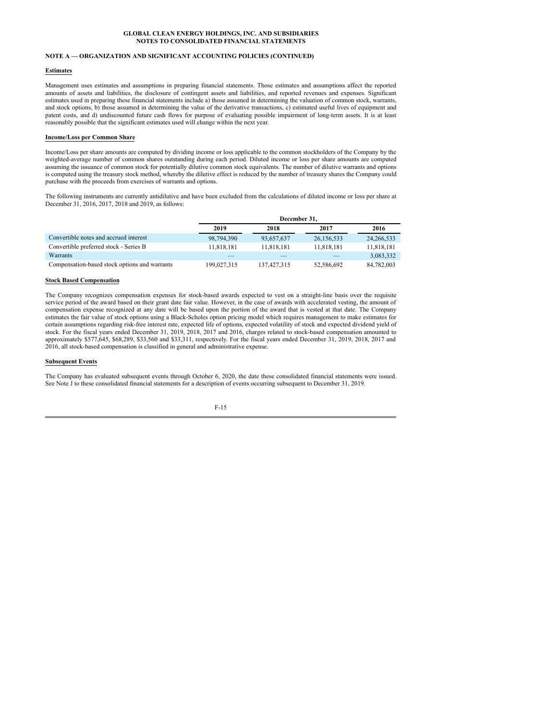# **NOTE A — ORGANIZATION AND SIGNIFICANT ACCOUNTING POLICIES (CONTINUED)**

#### **Estimates**

Management uses estimates and assumptions in preparing financial statements. Those estimates and assumptions affect the reported amounts of assets and liabilities, the disclosure of contingent assets and liabilities, and reported revenues and expenses. Significant estimates used in preparing these financial statements include a) those assumed in determining the valuation of common stock, warrants, and stock options, b) those assumed in determining the value of the derivative transactions, c) estimated useful lives of equipment and patent costs, and d) undiscounted future cash flows for purpose of evaluating possible impairment of long-term assets. It is at least reasonably possible that the significant estimates used will change within the next year.

#### **Income/Loss per Common Share**

Income/Loss per share amounts are computed by dividing income or loss applicable to the common stockholders of the Company by the weighted-average number of common shares outstanding during each period. Diluted income or loss per share amounts are computed assuming the issuance of common stock for potentially dilutive common stock equivalents. The number of dilutive warrants and options is computed using the treasury stock method, whereby the dilutive effect is reduced by the number of treasury shares the Company could purchase with the proceeds from exercises of warrants and options.

The following instruments are currently antidilutive and have been excluded from the calculations of diluted income or loss per share at December 31, 2016, 2017, 2018 and 2019, as follows:

|                                               |             | December 31. |            |              |  |  |  |  |
|-----------------------------------------------|-------------|--------------|------------|--------------|--|--|--|--|
|                                               | 2019        | 2018         | 2017       | 2016         |  |  |  |  |
| Convertible notes and accrued interest        | 98,794,390  | 93.657.637   | 26.156.533 | 24, 266, 533 |  |  |  |  |
| Convertible preferred stock - Series B        | 11.818.181  | 11.818.181   | 11.818.181 | 11,818,181   |  |  |  |  |
| Warrants                                      |             |              |            | 3,083,332    |  |  |  |  |
| Compensation-based stock options and warrants | 199,027,315 | 137,427,315  | 52,586,692 | 84,782,003   |  |  |  |  |

## **Stock Based Compensation**

The Company recognizes compensation expenses for stock-based awards expected to vest on a straight-line basis over the requisite service period of the award based on their grant date fair value. However, in the case of awards with accelerated vesting, the amount of compensation expense recognized at any date will be based upon the portion of the award that is vested at that date. The Company estimates the fair value of stock options using a Black-Scholes option pricing model which requires management to make estimates for certain assumptions regarding risk-free interest rate, expected life of options, expected volatility of stock and expected dividend yield of stock. For the fiscal years ended December 31, 2019, 2018, 2017 and 2016, charges related to stock-based compensation amounted to approximately \$577,645, \$68,289, \$33,560 and \$33,311, respectively. For the fiscal years ended December 31, 2019, 2018, 2017 and 2016, all stock-based compensation is classified in general and administrative expense.

### **Subsequent Events**

The Company has evaluated subsequent events through October 6, 2020, the date these consolidated financial statements were issued. See Note J to these consolidated financial statements for a description of events occurring subsequent to December 31, 2019.

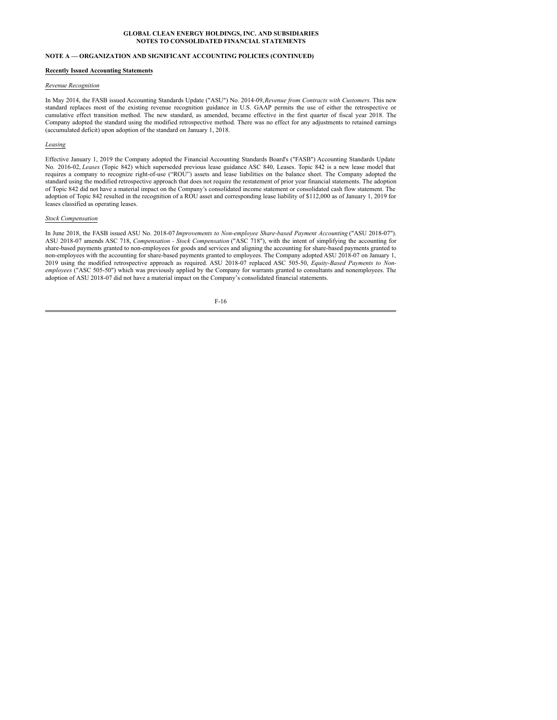# **NOTE A — ORGANIZATION AND SIGNIFICANT ACCOUNTING POLICIES (CONTINUED)**

# **Recently Issued Accounting Statements**

## *Revenue Recognition*

In May 2014, the FASB issued Accounting Standards Update ("ASU") No. 2014-09,*Revenue from Contracts with Customers*. This new standard replaces most of the existing revenue recognition guidance in U.S. GAAP permits the use of either the retrospective or cumulative effect transition method. The new standard, as amended, became effective in the first quarter of fiscal year 2018. The Company adopted the standard using the modified retrospective method. There was no effect for any adjustments to retained earnings (accumulated deficit) upon adoption of the standard on January 1, 2018.

# *Leasing*

Effective January 1, 2019 the Company adopted the Financial Accounting Standards Board's ("FASB") Accounting Standards Update No. 2016-02, *Leases* (Topic 842) which superseded previous lease guidance ASC 840, Leases. Topic 842 is a new lease model that requires a company to recognize right-of-use ("ROU") assets and lease liabilities on the balance sheet. The Company adopted the standard using the modified retrospective approach that does not require the restatement of prior year financial statements. The adoption of Topic 842 did not have a material impact on the Company's consolidated income statement or consolidated cash flow statement. The adoption of Topic 842 resulted in the recognition of a ROU asset and corresponding lease liability of \$112,000 as of January 1, 2019 for leases classified as operating leases.

# *Stock Compensation*

In June 2018, the FASB issued ASU No. 2018-07 *Improvements to Non-employee Share-based Payment Accounting* ("ASU 2018-07"). ASU 2018-07 amends ASC 718, *Compensation - Stock Compensation* ("ASC 718"), with the intent of simplifying the accounting for share-based payments granted to non-employees for goods and services and aligning the accounting for share-based payments granted to non-employees with the accounting for share-based payments granted to employees. The Company adopted ASU 2018-07 on January 1, 2019 using the modified retrospective approach as required. ASU 2018-07 replaced ASC 505-50, *Equity-Based Payments to Nonemployees* ("ASC 505-50") which was previously applied by the Company for warrants granted to consultants and nonemployees. The adoption of ASU 2018-07 did not have a material impact on the Company's consolidated financial statements.

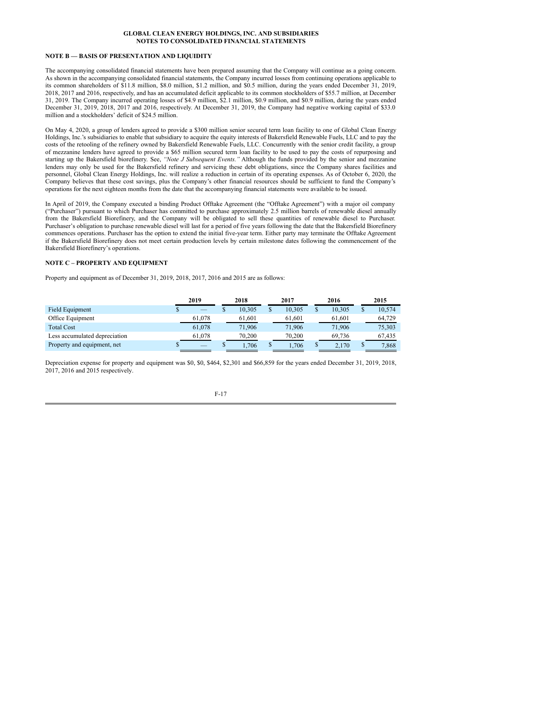# **NOTE B — BASIS OF PRESENTATION AND LIQUIDITY**

The accompanying consolidated financial statements have been prepared assuming that the Company will continue as a going concern. As shown in the accompanying consolidated financial statements, the Company incurred losses from continuing operations applicable to its common shareholders of \$11.8 million, \$8.0 million, \$1.2 million, and \$0.5 million, during the years ended December 31, 2019, 2018, 2017 and 2016, respectively, and has an accumulated deficit applicable to its common stockholders of \$55.7 million, at December 31, 2019. The Company incurred operating losses of \$4.9 million, \$2.1 million, \$0.9 million, and \$0.9 million, during the years ended December 31, 2019, 2018, 2017 and 2016, respectively. At December 31, 2019, the Company had negative working capital of \$33.0 million and a stockholders' deficit of \$24.5 million.

On May 4, 2020, a group of lenders agreed to provide a \$300 million senior secured term loan facility to one of Global Clean Energy Holdings, Inc.'s subsidiaries to enable that subsidiary to acquire the equity interests of Bakersfield Renewable Fuels, LLC and to pay the costs of the retooling of the refinery owned by Bakersfield Renewable Fuels, LLC. Concurrently with the senior credit facility, a group of mezzanine lenders have agreed to provide a \$65 million secured term loan facility to be used to pay the costs of repurposing and starting up the Bakersfield biorefinery. See, *"Note J Subsequent Events."* Although the funds provided by the senior and mezzanine lenders may only be used for the Bakersfield refinery and servicing these debt obligations, since the Company shares facilities and personnel, Global Clean Energy Holdings, Inc. will realize a reduction in certain of its operating expenses. As of October 6, 2020, the Company believes that these cost savings, plus the Company's other financial resources should be sufficient to fund the Company's operations for the next eighteen months from the date that the accompanying financial statements were available to be issued.

In April of 2019, the Company executed a binding Product Offtake Agreement (the "Offtake Agreement") with a major oil company ("Purchaser") pursuant to which Purchaser has committed to purchase approximately 2.5 million barrels of renewable diesel annually from the Bakersfield Biorefinery, and the Company will be obligated to sell these quantities of renewable diesel to Purchaser. Purchaser's obligation to purchase renewable diesel will last for a period of five years following the date that the Bakersfield Biorefinery commences operations. Purchaser has the option to extend the initial five-year term. Either party may terminate the Offtake Agreement if the Bakersfield Biorefinery does not meet certain production levels by certain milestone dates following the commencement of the Bakersfield Biorefinery's operations.

#### **NOTE C – PROPERTY AND EQUIPMENT**

Property and equipment as of December 31, 2019, 2018, 2017, 2016 and 2015 are as follows:

|                               | 2019   | 2018   | 2017   | 2016   | 2015   |
|-------------------------------|--------|--------|--------|--------|--------|
| Field Equipment               |        | 10.305 | 10.305 | 10.305 | 10,574 |
| Office Equipment              | 61.078 | 61.601 | 61.601 | 61.601 | 64,729 |
| <b>Total Cost</b>             | 61,078 | 71,906 | 71,906 | 71,906 | 75,303 |
| Less accumulated depreciation | 61.078 | 70,200 | 70,200 | 69.736 | 67.435 |
| Property and equipment, net   |        | 1.706  | 1.706  | 2.170  | 7.868  |

Depreciation expense for property and equipment was \$0, \$0, \$464, \$2,301 and \$66,859 for the years ended December 31, 2019, 2018, 2017, 2016 and 2015 respectively.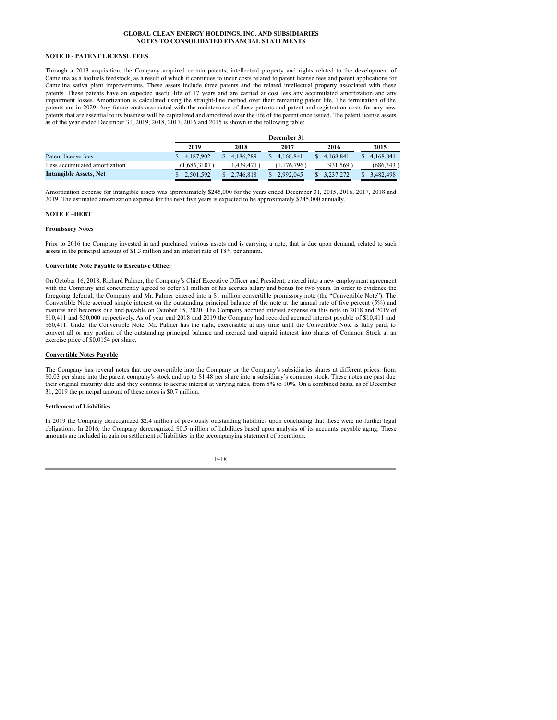# **NOTE D - PATENT LICENSE FEES**

Through a 2013 acquisition, the Company acquired certain patents, intellectual property and rights related to the development of Camelina as a biofuels feedstock, as a result of which it continues to incur costs related to patent license fees and patent applications for Camelina sativa plant improvements. These assets include three patents and the related intellectual property associated with these patents. These patents have an expected useful life of 17 years and are carried at cost less any accumulated amortization and any impairment losses. Amortization is calculated using the straight-line method over their remaining patent life. The termination of the patents are in 2029. Any future costs associated with the maintenance of these patents and patent and registration costs for any new patents that are essential to its business will be capitalized and amortized over the life of the patent once issued. The patent license assets as of the year ended December 31, 2019, 2018, 2017, 2016 and 2015 is shown in the following table:

|                               |              | December 31 |             |           |            |  |  |  |  |
|-------------------------------|--------------|-------------|-------------|-----------|------------|--|--|--|--|
|                               | 2019         | 2018        | 2017        | 2016      | 2015       |  |  |  |  |
| Patent license fees           | 4.187.902    | 4.186.289   | 4.168.841   | 4.168.841 | 4.168.841  |  |  |  |  |
| Less accumulated amortization | (1,686,3107) | (1.439.471) | (1,176,796) | (931.569) | (686, 343) |  |  |  |  |
| <b>Intangible Assets, Net</b> | 2,501,592    | 2.746.818   | 2.992.045   | 3.237.272 | 3.482.498  |  |  |  |  |

Amortization expense for intangible assets was approximately \$245,000 for the years ended December 31, 2015, 2016, 2017, 2018 and 2019. The estimated amortization expense for the next five years is expected to be approximately \$245,000 annually.

# **NOTE E –DEBT**

#### **Promissory Notes**

Prior to 2016 the Company invested in and purchased various assets and is carrying a note, that is due upon demand, related to such assets in the principal amount of \$1.3 million and an interest rate of 18% per annum.

# **Convertible Note Payable to Executive Officer**

On October 16, 2018, Richard Palmer, the Company's Chief Executive Officer and President, entered into a new employment agreement with the Company and concurrently agreed to defer \$1 million of his accrues salary and bonus for two years. In order to evidence the foregoing deferral, the Company and Mr. Palmer entered into a \$1 million convertible promissory note (the "Convertible Note"). The Convertible Note accrued simple interest on the outstanding principal balance of the note at the annual rate of five percent (5%) and matures and becomes due and payable on October 15, 2020. The Company accrued interest expense on this note in 2018 and 2019 of \$10,411 and \$50,000 respectively. As of year end 2018 and 2019 the Company had recorded accrued interest payable of \$10,411 and \$60,411. Under the Convertible Note, Mr. Palmer has the right, exercisable at any time until the Convertible Note is fully paid, to convert all or any portion of the outstanding principal balance and accrued and unpaid interest into shares of Common Stock at an exercise price of \$0.0154 per share.

### **Convertible Notes Payable**

The Company has several notes that are convertible into the Company or the Company's subsidiaries shares at different prices: from \$0.03 per share into the parent company's stock and up to \$1.48 per share into a subsidiary's common stock. These notes are past due their original maturity date and they continue to accrue interest at varying rates, from 8% to 10%. On a combined basis, as of December 31, 2019 the principal amount of these notes is \$0.7 million.

## **Settlement of Liabilities**

In 2019 the Company derecognized \$2.4 million of previously outstanding liabilities upon concluding that these were no further legal obligations. In 2016, the Company derecognized \$0.5 million of liabilities based upon analysis of its accounts payable aging. These amounts are included in gain on settlement of liabilities in the accompanying statement of operations.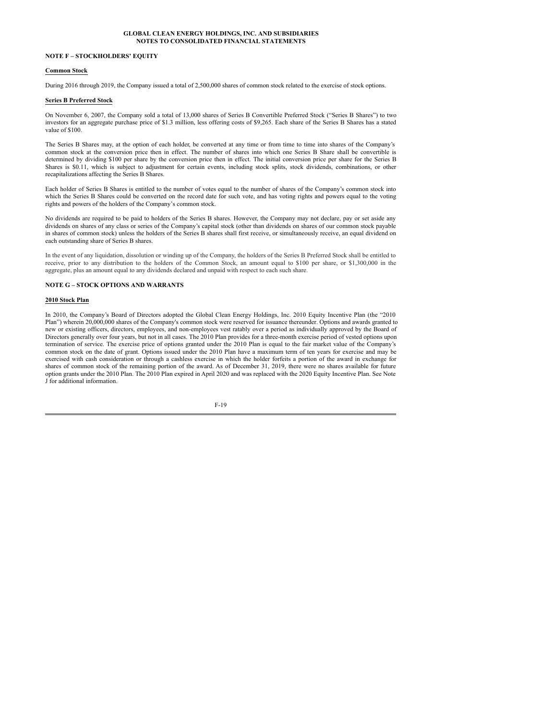# **NOTE F – STOCKHOLDERS' EQUITY**

# **Common Stock**

During 2016 through 2019, the Company issued a total of 2,500,000 shares of common stock related to the exercise of stock options.

# **Series B Preferred Stock**

On November 6, 2007, the Company sold a total of 13,000 shares of Series B Convertible Preferred Stock ("Series B Shares") to two investors for an aggregate purchase price of \$1.3 million, less offering costs of \$9,265. Each share of the Series B Shares has a stated value of \$100.

The Series B Shares may, at the option of each holder, be converted at any time or from time to time into shares of the Company's common stock at the conversion price then in effect. The number of shares into which one Series B Share shall be convertible is determined by dividing \$100 per share by the conversion price then in effect. The initial conversion price per share for the Series B Shares is \$0.11, which is subject to adjustment for certain events, including stock splits, stock dividends, combinations, or other recapitalizations affecting the Series B Shares.

Each holder of Series B Shares is entitled to the number of votes equal to the number of shares of the Company's common stock into which the Series B Shares could be converted on the record date for such vote, and has voting rights and powers equal to the voting rights and powers of the holders of the Company's common stock.

No dividends are required to be paid to holders of the Series B shares. However, the Company may not declare, pay or set aside any dividends on shares of any class or series of the Company's capital stock (other than dividends on shares of our common stock payable in shares of common stock) unless the holders of the Series B shares shall first receive, or simultaneously receive, an equal dividend on each outstanding share of Series B shares.

In the event of any liquidation, dissolution or winding up of the Company, the holders of the Series B Preferred Stock shall be entitled to receive, prior to any distribution to the holders of the Common Stock, an amount equal to \$100 per share, or \$1,300,000 in the aggregate, plus an amount equal to any dividends declared and unpaid with respect to each such share.

### **NOTE G – STOCK OPTIONS AND WARRANTS**

# **2010 Stock Plan**

In 2010, the Company's Board of Directors adopted the Global Clean Energy Holdings, Inc. 2010 Equity Incentive Plan (the "2010 Plan") wherein 20,000,000 shares of the Company's common stock were reserved for issuance thereunder. Options and awards granted to new or existing officers, directors, employees, and non-employees vest ratably over a period as individually approved by the Board of Directors generally over four years, but not in all cases. The 2010 Plan provides for a three-month exercise period of vested options upon termination of service. The exercise price of options granted under the 2010 Plan is equal to the fair market value of the Company's common stock on the date of grant. Options issued under the 2010 Plan have a maximum term of ten years for exercise and may be exercised with cash consideration or through a cashless exercise in which the holder forfeits a portion of the award in exchange for shares of common stock of the remaining portion of the award. As of December 31, 2019, there were no shares available for future option grants under the 2010 Plan. The 2010 Plan expired in April 2020 and was replaced with the 2020 Equity Incentive Plan. See Note J for additional information.

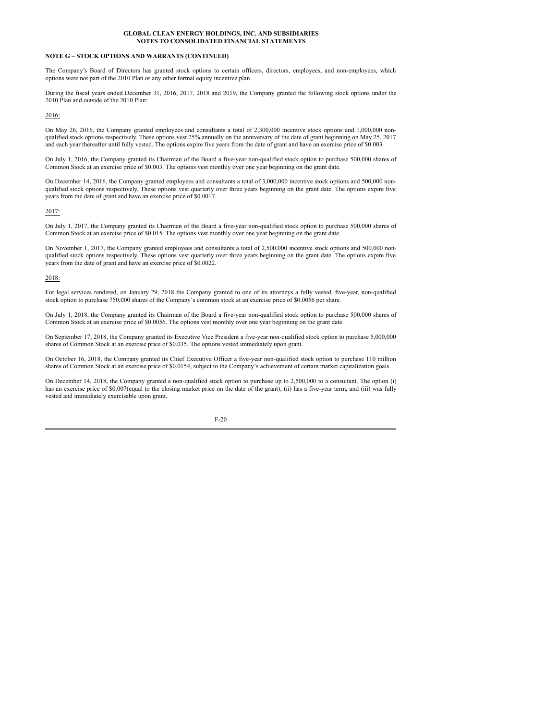# **NOTE G – STOCK OPTIONS AND WARRANTS (CONTINUED)**

The Company's Board of Directors has granted stock options to certain officers, directors, employees, and non-employees, which options were not part of the 2010 Plan or any other formal equity incentive plan.

During the fiscal years ended December 31, 2016, 2017, 2018 and 2019, the Company granted the following stock options under the 2010 Plan and outside of the 2010 Plan:

2016:

On May 26, 2016, the Company granted employees and consultants a total of 2,300,000 incentive stock options and 1,000,000 nonqualified stock options respectively. These options vest 25% annually on the anniversary of the date of grant beginning on May 25, 2017 and each year thereafter until fully vested. The options expire five years from the date of grant and have an exercise price of \$0.003.

On July 1, 2016, the Company granted its Chairman of the Board a five-year non-qualified stock option to purchase 500,000 shares of Common Stock at an exercise price of \$0.003. The options vest monthly over one year beginning on the grant date.

On December 14, 2016, the Company granted employees and consultants a total of 3,000,000 incentive stock options and 500,000 nonqualified stock options respectively. These options vest quarterly over three years beginning on the grant date. The options expire five years from the date of grant and have an exercise price of \$0.0017.

2017:

On July 1, 2017, the Company granted its Chairman of the Board a five-year non-qualified stock option to purchase 500,000 shares of Common Stock at an exercise price of \$0.015. The options vest monthly over one year beginning on the grant date.

On November 1, 2017, the Company granted employees and consultants a total of 2,500,000 incentive stock options and 500,000 nonqualified stock options respectively. These options vest quarterly over three years beginning on the grant date. The options expire five years from the date of grant and have an exercise price of \$0.0022.

#### 2018:

For legal services rendered, on January 29, 2018 the Company granted to one of its attorneys a fully vested, five-year, non-qualified stock option to purchase 750,000 shares of the Company's common stock at an exercise price of \$0.0056 per share.

On July 1, 2018, the Company granted its Chairman of the Board a five-year non-qualified stock option to purchase 500,000 shares of Common Stock at an exercise price of \$0.0056. The options vest monthly over one year beginning on the grant date.

On September 17, 2018, the Company granted its Executive Vice President a five-year non-qualified stock option to purchase 5,000,000 shares of Common Stock at an exercise price of \$0.035. The options vested immediately upon grant.

On October 16, 2018, the Company granted its Chief Executive Officer a five-year non-qualified stock option to purchase 110 million shares of Common Stock at an exercise price of \$0.0154, subject to the Company's achievement of certain market capitalization goals.

On December 14, 2018, the Company granted a non-qualified stock option to purchase up to 2,500,000 to a consultant. The option (i) has an exercise price of \$0.007(equal to the closing market price on the date of the grant), (ii) has a five-year term, and (iii) was fully vested and immediately exercisable upon grant.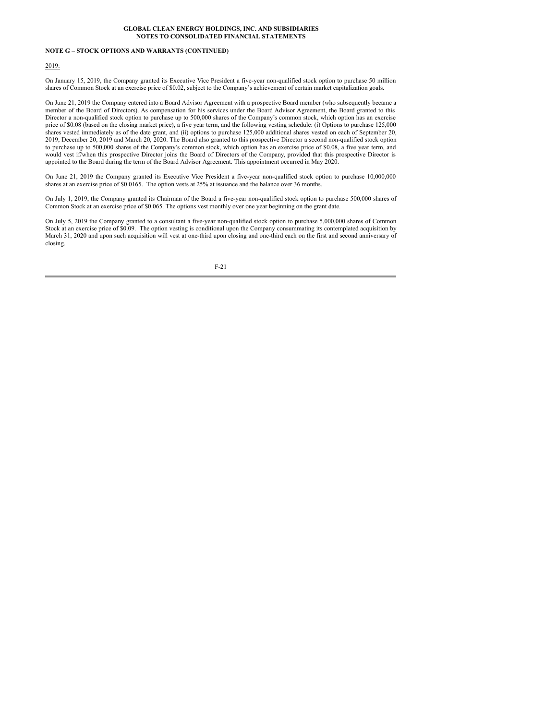# **NOTE G – STOCK OPTIONS AND WARRANTS (CONTINUED)**

2019:

On January 15, 2019, the Company granted its Executive Vice President a five-year non-qualified stock option to purchase 50 million shares of Common Stock at an exercise price of \$0.02, subject to the Company's achievement of certain market capitalization goals.

On June 21, 2019 the Company entered into a Board Advisor Agreement with a prospective Board member (who subsequently became a member of the Board of Directors). As compensation for his services under the Board Advisor Agreement, the Board granted to this Director a non-qualified stock option to purchase up to 500,000 shares of the Company's common stock, which option has an exercise price of \$0.08 (based on the closing market price), a five year term, and the following vesting schedule: (i) Options to purchase 125,000 shares vested immediately as of the date grant, and (ii) options to purchase 125,000 additional shares vested on each of September 20, 2019, December 20, 2019 and March 20, 2020. The Board also granted to this prospective Director a second non-qualified stock option to purchase up to 500,000 shares of the Company's common stock, which option has an exercise price of \$0.08, a five year term, and would vest if/when this prospective Director joins the Board of Directors of the Company, provided that this prospective Director is appointed to the Board during the term of the Board Advisor Agreement. This appointment occurred in May 2020.

On June 21, 2019 the Company granted its Executive Vice President a five-year non-qualified stock option to purchase 10,000,000 shares at an exercise price of \$0.0165. The option vests at 25% at issuance and the balance over 36 months.

On July 1, 2019, the Company granted its Chairman of the Board a five-year non-qualified stock option to purchase 500,000 shares of Common Stock at an exercise price of \$0.065. The options vest monthly over one year beginning on the grant date.

On July 5, 2019 the Company granted to a consultant a five-year non-qualified stock option to purchase 5,000,000 shares of Common Stock at an exercise price of \$0.09. The option vesting is conditional upon the Company consummating its contemplated acquisition by March 31, 2020 and upon such acquisition will vest at one-third upon closing and one-third each on the first and second anniversary of closing.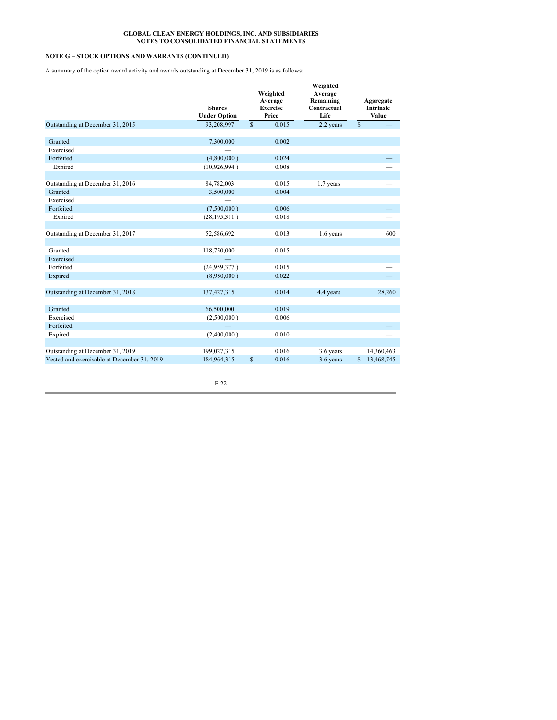# **NOTE G – STOCK OPTIONS AND WARRANTS (CONTINUED)**

A summary of the option award activity and awards outstanding at December 31, 2019 is as follows:

|                                             | <b>Shares</b><br><b>Under Option</b> |              | Weighted<br>Average<br><b>Exercise</b><br>Price | Weighted<br>Average<br>Remaining<br>Contractual<br>Life |             | Aggregate<br>Intrinsic<br>Value |
|---------------------------------------------|--------------------------------------|--------------|-------------------------------------------------|---------------------------------------------------------|-------------|---------------------------------|
| Outstanding at December 31, 2015            | 93,208,997                           | $\mathbb{S}$ | 0.015                                           | 2.2 years                                               | $\mathbf S$ |                                 |
|                                             |                                      |              |                                                 |                                                         |             |                                 |
| Granted                                     | 7,300,000                            |              | 0.002                                           |                                                         |             |                                 |
| Exercised                                   |                                      |              |                                                 |                                                         |             |                                 |
| Forfeited                                   | (4,800,000)                          |              | 0.024                                           |                                                         |             |                                 |
| Expired                                     | (10,926,994)                         |              | 0.008                                           |                                                         |             |                                 |
| Outstanding at December 31, 2016            | 84,782,003                           |              | 0.015                                           | 1.7 years                                               |             |                                 |
| Granted                                     | 3,500,000                            |              | 0.004                                           |                                                         |             |                                 |
| Exercised                                   |                                      |              |                                                 |                                                         |             |                                 |
| Forfeited                                   | (7,500,000)                          |              | 0.006                                           |                                                         |             |                                 |
| Expired                                     | (28, 195, 311)                       |              | 0.018                                           |                                                         |             |                                 |
|                                             |                                      |              |                                                 |                                                         |             |                                 |
| Outstanding at December 31, 2017            | 52,586,692                           |              | 0.013                                           | 1.6 years                                               |             | 600                             |
|                                             |                                      |              |                                                 |                                                         |             |                                 |
| Granted                                     | 118,750,000                          |              | 0.015                                           |                                                         |             |                                 |
| Exercised                                   |                                      |              |                                                 |                                                         |             |                                 |
| Forfeited                                   | (24,959,377)                         |              | 0.015                                           |                                                         |             |                                 |
| Expired                                     | (8,950,000)                          |              | 0.022                                           |                                                         |             |                                 |
|                                             |                                      |              |                                                 |                                                         |             |                                 |
| Outstanding at December 31, 2018            | 137,427,315                          |              | 0.014                                           | 4.4 years                                               |             | 28,260                          |
| Granted                                     | 66,500,000                           |              | 0.019                                           |                                                         |             |                                 |
| Exercised                                   | (2,500,000)                          |              | 0.006                                           |                                                         |             |                                 |
| Forfeited                                   |                                      |              |                                                 |                                                         |             |                                 |
| Expired                                     | (2,400,000)                          |              | 0.010                                           |                                                         |             |                                 |
|                                             |                                      |              |                                                 |                                                         |             |                                 |
| Outstanding at December 31, 2019            | 199,027,315                          |              | 0.016                                           | 3.6 years                                               |             | 14,360,463                      |
| Vested and exercisable at December 31, 2019 | 184,964,315                          | $\mathbb{S}$ | 0.016                                           | 3.6 years                                               | $\mathbf S$ | 13,468,745                      |
|                                             |                                      |              |                                                 |                                                         |             |                                 |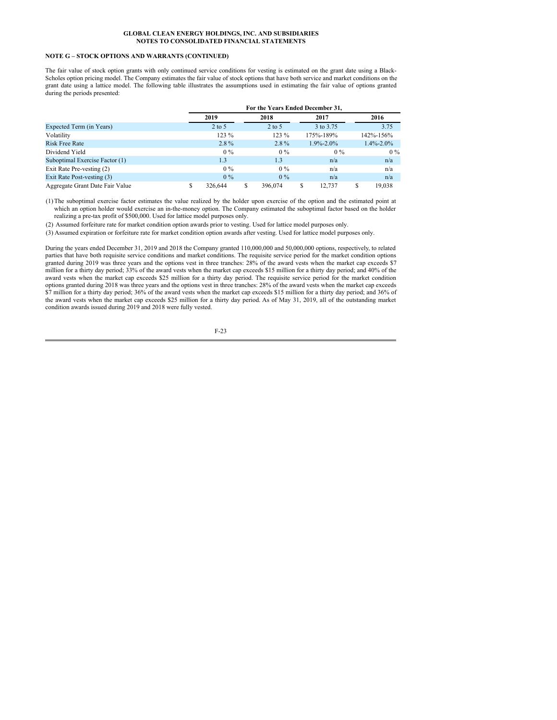# **NOTE G – STOCK OPTIONS AND WARRANTS (CONTINUED)**

The fair value of stock option grants with only continued service conditions for vesting is estimated on the grant date using a Black-Scholes option pricing model. The Company estimates the fair value of stock options that have both service and market conditions on the grant date using a lattice model. The following table illustrates the assumptions used in estimating the fair value of options granted during the periods presented:

|                                 | For the Years Ended December 31, |  |          |   |                 |  |                 |  |
|---------------------------------|----------------------------------|--|----------|---|-----------------|--|-----------------|--|
|                                 | 2019                             |  | 2018     |   | 2017            |  | 2016            |  |
| Expected Term (in Years)        | $2$ to 5                         |  | $2$ to 5 |   | 3 to 3.75       |  | 3.75            |  |
| Volatility                      | $123\%$                          |  | 123 %    |   | 175%-189%       |  | 142%-156%       |  |
| <b>Risk Free Rate</b>           | $2.8\%$                          |  | $2.8\%$  |   | $1.9\% - 2.0\%$ |  | $1.4\% - 2.0\%$ |  |
| Dividend Yield                  | $0\%$                            |  | $0\%$    |   | $0\%$           |  | $0\%$           |  |
| Suboptimal Exercise Factor (1)  | 1.3                              |  | 1.3      |   | n/a             |  | n/a             |  |
| Exit Rate Pre-vesting (2)       | $0\%$                            |  | $0\%$    |   | n/a             |  | n/a             |  |
| Exit Rate Post-vesting (3)      | $0\%$                            |  | $0\%$    |   | n/a             |  | n/a             |  |
| Aggregate Grant Date Fair Value | 326,644                          |  | 396,074  | S | 12.737          |  | 19.038          |  |

(1)The suboptimal exercise factor estimates the value realized by the holder upon exercise of the option and the estimated point at which an option holder would exercise an in-the-money option. The Company estimated the suboptimal factor based on the holder realizing a pre-tax profit of \$500,000. Used for lattice model purposes only.

(2) Assumed forfeiture rate for market condition option awards prior to vesting. Used for lattice model purposes only.

(3) Assumed expiration or forfeiture rate for market condition option awards after vesting. Used for lattice model purposes only.

During the years ended December 31, 2019 and 2018 the Company granted 110,000,000 and 50,000,000 options, respectively, to related parties that have both requisite service conditions and market conditions. The requisite service period for the market condition options granted during 2019 was three years and the options vest in three tranches: 28% of the award vests when the market cap exceeds \$7 million for a thirty day period; 33% of the award vests when the market cap exceeds \$15 million for a thirty day period; and 40% of the award vests when the market cap exceeds \$25 million for a thirty day period. The requisite service period for the market condition options granted during 2018 was three years and the options vest in three tranches: 28% of the award vests when the market cap exceeds \$7 million for a thirty day period; 36% of the award vests when the market cap exceeds \$15 million for a thirty day period; and 36% of the award vests when the market cap exceeds \$25 million for a thirty day period. As of May 31, 2019, all of the outstanding market condition awards issued during 2019 and 2018 were fully vested.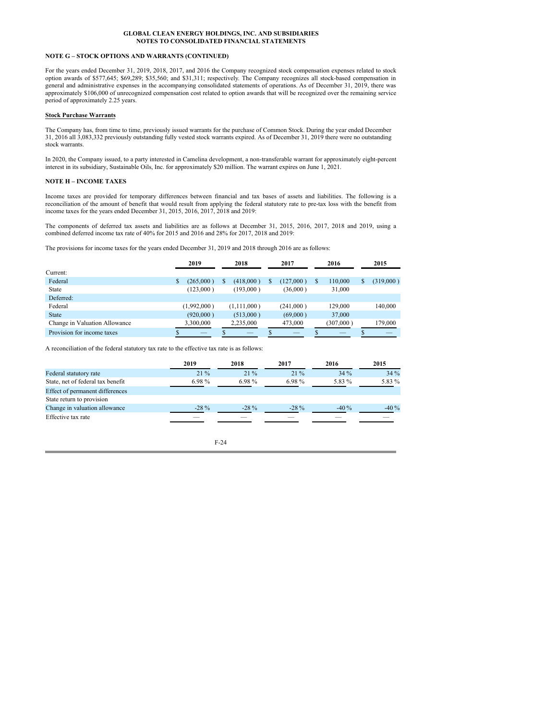# **NOTE G – STOCK OPTIONS AND WARRANTS (CONTINUED)**

For the years ended December 31, 2019, 2018, 2017, and 2016 the Company recognized stock compensation expenses related to stock option awards of \$577,645; \$69,289; \$35,560; and \$31,311; respectively. The Company recognizes all stock-based compensation in general and administrative expenses in the accompanying consolidated statements of operations. As of December 31, 2019, there was approximately \$106,000 of unrecognized compensation cost related to option awards that will be recognized over the remaining service period of approximately 2.25 years.

### **Stock Purchase Warrants**

The Company has, from time to time, previously issued warrants for the purchase of Common Stock. During the year ended December 31, 2016 all 3,083,332 previously outstanding fully vested stock warrants expired. As of December 31, 2019 there were no outstanding stock warrants.

In 2020, the Company issued, to a party interested in Camelina development, a non-transferable warrant for approximately eight-percent interest in its subsidiary, Sustainable Oils, Inc. for approximately \$20 million. The warrant expires on June 1, 2021.

### **NOTE H – INCOME TAXES**

Income taxes are provided for temporary differences between financial and tax bases of assets and liabilities. The following is a reconciliation of the amount of benefit that would result from applying the federal statutory rate to pre-tax loss with the benefit from income taxes for the years ended December 31, 2015, 2016, 2017, 2018 and 2019:

The components of deferred tax assets and liabilities are as follows at December 31, 2015, 2016, 2017, 2018 and 2019, using a combined deferred income tax rate of 40% for 2015 and 2016 and 28% for 2017, 2018 and 2019:

The provisions for income taxes for the years ended December 31, 2019 and 2018 through 2016 are as follows:

|                               |   | 2019        |   | 2018        |   | 2017      | 2016      |   | 2015      |
|-------------------------------|---|-------------|---|-------------|---|-----------|-----------|---|-----------|
| Current:                      |   |             |   |             |   |           |           |   |           |
| Federal                       | S | (265,000)   | S | (418,000)   | S | (127,000) | 110,000   | S | (319,000) |
| <b>State</b>                  |   | (123.000)   |   | (193.000)   |   | (36,000)  | 31,000    |   |           |
| Deferred:                     |   |             |   |             |   |           |           |   |           |
| Federal                       |   | (1,992,000) |   | (1,111,000) |   | (241,000) | 129,000   |   | 140,000   |
| <b>State</b>                  |   | (920,000)   |   | (513,000)   |   | (69,000)  | 37,000    |   |           |
| Change in Valuation Allowance |   | 3.300,000   |   | 2.235,000   |   | 473,000   | (307,000) |   | 179,000   |
| Provision for income taxes    |   |             |   |             |   |           |           |   |           |

A reconciliation of the federal statutory tax rate to the effective tax rate is as follows:

|                                   | 2019     | 2018     | 2017     | 2016   | 2015   |
|-----------------------------------|----------|----------|----------|--------|--------|
| Federal statutory rate            | $21\%$   | $21\%$   | $21\%$   | 34%    | 34%    |
| State, net of federal tax benefit | $6.98\%$ | 6.98 $%$ | $6.98\%$ | 5.83 % | 5.83 % |
| Effect of permanent differences   |          |          |          |        |        |
| State return to provision         |          |          |          |        |        |
| Change in valuation allowance     | $-28\%$  | $-28\%$  | $-28\%$  | $-40%$ | $-40%$ |
| Effective tax rate                |          |          |          |        |        |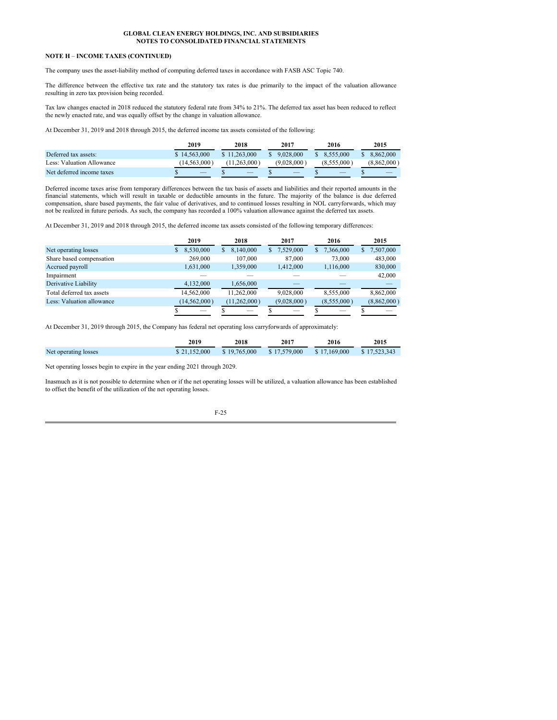# **NOTE H** – **INCOME TAXES (CONTINUED)**

The company uses the asset-liability method of computing deferred taxes in accordance with FASB ASC Topic 740.

The difference between the effective tax rate and the statutory tax rates is due primarily to the impact of the valuation allowance resulting in zero tax provision being recorded.

Tax law changes enacted in 2018 reduced the statutory federal rate from 34% to 21%. The deferred tax asset has been reduced to reflect the newly enacted rate, and was equally offset by the change in valuation allowance.

At December 31, 2019 and 2018 through 2015, the deferred income tax assets consisted of the following:

|                           | 2019         | 2018         | 2017            | 2016        | 2015        |
|---------------------------|--------------|--------------|-----------------|-------------|-------------|
| Deferred tax assets:      | \$14,563,000 | \$11.263.000 | 9.028.000       | 8.555.000   | 8.862.000   |
| Less: Valuation Allowance | (14.563.000) | (11.263.000) | (9.028.000)     | (8.555,000) | (8.862,000) |
| Net deferred income taxes | $-$          |              | $\qquad \qquad$ | –           |             |

Deferred income taxes arise from temporary differences between the tax basis of assets and liabilities and their reported amounts in the financial statements, which will result in taxable or deductible amounts in the future. The majority of the balance is due deferred compensation, share based payments, the fair value of derivatives, and to continued losses resulting in NOL carryforwards, which may not be realized in future periods. As such, the company has recorded a 100% valuation allowance against the deferred tax assets.

At December 31, 2019 and 2018 through 2015, the deferred income tax assets consisted of the following temporary differences:

|                           | 2019           | 2018           | 2017            | 2016            | 2015            |
|---------------------------|----------------|----------------|-----------------|-----------------|-----------------|
| Net operating losses      | 8.530,000      | 8,140,000<br>S | 7,529,000<br>S. | 7,366,000<br>S. | 7,507,000<br>S. |
| Share based compensation  | 269,000        | 107,000        | 87,000          | 73,000          | 483,000         |
| Accrued payroll           | 1,631,000      | 1.359,000      | 1.412,000       | 1,116,000       | 830,000         |
| Impairment                |                |                |                 |                 | 42,000          |
| Derivative Liability      | 4,132,000      | 1,656,000      |                 |                 |                 |
| Total deferred tax assets | 14.562,000     | 11.262,000     | 9.028.000       | 8.555,000       | 8,862,000       |
| Less: Valuation allowance | (14, 562, 000) | (11.262.000)   | (9,028,000)     | (8,555,000)     | (8,862,000)     |
|                           |                |                |                 |                 |                 |

At December 31, 2019 through 2015, the Company has federal net operating loss carryforwards of approximately:

|                      | 2019 | 2018                                                             | 2017 | 2016 | 2015 |
|----------------------|------|------------------------------------------------------------------|------|------|------|
| Net operating losses |      | \$21,152,000 \$19,765,000 \$17,579,000 \$17,169,000 \$17,523,343 |      |      |      |

Net operating losses begin to expire in the year ending 2021 through 2029.

Inasmuch as it is not possible to determine when or if the net operating losses will be utilized, a valuation allowance has been established to offset the benefit of the utilization of the net operating losses.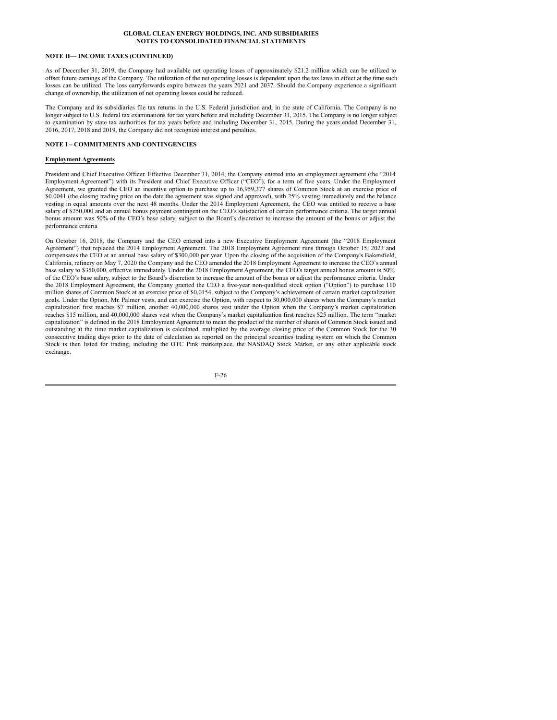# **NOTE H— INCOME TAXES (CONTINUED)**

As of December 31, 2019, the Company had available net operating losses of approximately \$21.2 million which can be utilized to offset future earnings of the Company. The utilization of the net operating losses is dependent upon the tax laws in effect at the time such losses can be utilized. The loss carryforwards expire between the years 2021 and 2037. Should the Company experience a significant change of ownership, the utilization of net operating losses could be reduced.

The Company and its subsidiaries file tax returns in the U.S. Federal jurisdiction and, in the state of California. The Company is no longer subject to U.S. federal tax examinations for tax years before and including December 31, 2015. The Company is no longer subject to examination by state tax authorities for tax years before and including December 31, 2015. During the years ended December 31, 2016, 2017, 2018 and 2019, the Company did not recognize interest and penalties.

# **NOTE I – COMMITMENTS AND CONTINGENCIES**

### **Employment Agreements**

President and Chief Executive Officer. Effective December 31, 2014, the Company entered into an employment agreement (the "2014 Employment Agreement") with its President and Chief Executive Officer ("CEO"), for a term of five years. Under the Employment Agreement, we granted the CEO an incentive option to purchase up to 16,959,377 shares of Common Stock at an exercise price of \$0.0041 (the closing trading price on the date the agreement was signed and approved), with 25% vesting immediately and the balance vesting in equal amounts over the next 48 months. Under the 2014 Employment Agreement, the CEO was entitled to receive a base salary of \$250,000 and an annual bonus payment contingent on the CEO's satisfaction of certain performance criteria. The target annual bonus amount was 50% of the CEO's base salary, subject to the Board's discretion to increase the amount of the bonus or adjust the performance criteria

On October 16, 2018, the Company and the CEO entered into a new Executive Employment Agreement (the "2018 Employment Agreement") that replaced the 2014 Employment Agreement. The 2018 Employment Agreement runs through October 15, 2023 and compensates the CEO at an annual base salary of \$300,000 per year. Upon the closing of the acquisition of the Company's Bakersfield, California, refinery on May 7, 2020 the Company and the CEO amended the 2018 Employment Agreement to increase the CEO's annual base salary to \$350,000, effective immediately. Under the 2018 Employment Agreement, the CEO's target annual bonus amount is 50% of the CEO's base salary, subject to the Board's discretion to increase the amount of the bonus or adjust the performance criteria. Under the 2018 Employment Agreement, the Company granted the CEO a five-year non-qualified stock option ("Option") to purchase 110 million shares of Common Stock at an exercise price of \$0.0154, subject to the Company's achievement of certain market capitalization goals. Under the Option, Mr. Palmer vests, and can exercise the Option, with respect to 30,000,000 shares when the Company's market capitalization first reaches \$7 million, another 40,000,000 shares vest under the Option when the Company's market capitalization reaches \$15 million, and 40,000,000 shares vest when the Company's market capitalization first reaches \$25 million. The term "market capitalization" is defined in the 2018 Employment Agreement to mean the product of the number of shares of Common Stock issued and outstanding at the time market capitalization is calculated, multiplied by the average closing price of the Common Stock for the 30 consecutive trading days prior to the date of calculation as reported on the principal securities trading system on which the Common Stock is then listed for trading, including the OTC Pink marketplace, the NASDAQ Stock Market, or any other applicable stock exchange.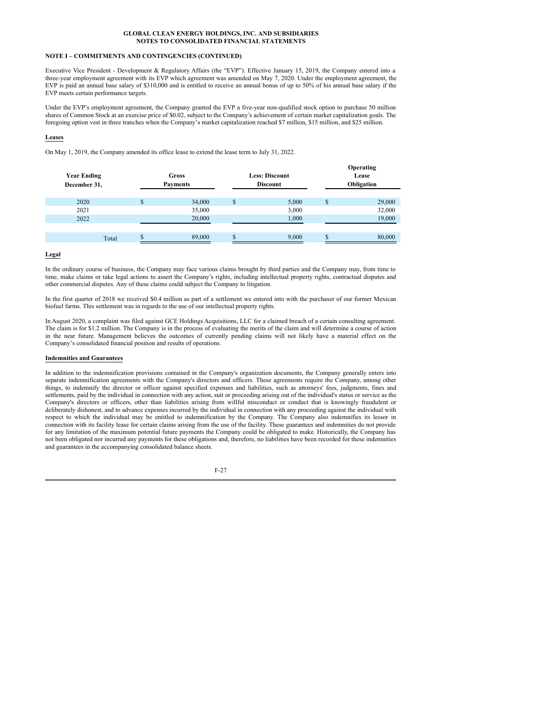# **NOTE I – COMMITMENTS AND CONTINGENCIES (CONTINUED)**

Executive Vice President - Development & Regulatory Affairs (the "EVP"). Effective January 15, 2019, the Company entered into a three-year employment agreement with its EVP which agreement was amended on May 7, 2020. Under the employment agreement, the EVP is paid an annual base salary of \$310,000 and is entitled to receive an annual bonus of up to 50% of his annual base salary if the EVP meets certain performance targets.

Under the EVP's employment agreement, the Company granted the EVP a five-year non-qualified stock option to purchase 50 million shares of Common Stock at an exercise price of \$0.02, subject to the Company's achievement of certain market capitalization goals. The foregoing option vest in three tranches when the Company's market capitalization reached \$7 million, \$15 million, and \$25 million.

## **Leases**

On May 1, 2019, the Company amended its office lease to extend the lease term to July 31, 2022.

| <b>Gross</b><br><b>Less: Discount</b><br><b>Discount</b><br><b>Payments</b> |        |             | Operating<br>Lease<br>Obligation |        |
|-----------------------------------------------------------------------------|--------|-------------|----------------------------------|--------|
|                                                                             |        |             |                                  |        |
| \$                                                                          | 34,000 | \$<br>5,000 | \$                               | 29,000 |
|                                                                             | 35,000 | 3,000       |                                  | 32,000 |
|                                                                             | 20,000 | 1,000       |                                  | 19,000 |
|                                                                             |        |             |                                  |        |
| ፍ                                                                           | 89,000 | \$<br>9,000 | ¢                                | 80,000 |
|                                                                             |        |             |                                  |        |

# **Legal**

In the ordinary course of business, the Company may face various claims brought by third parties and the Company may, from time to time, make claims or take legal actions to assert the Company's rights, including intellectual property rights, contractual disputes and other commercial disputes. Any of these claims could subject the Company to litigation.

In the first quarter of 2018 we received \$0.4 million as part of a settlement we entered into with the purchaser of our former Mexican biofuel farms. This settlement was in regards to the use of our intellectual property rights.

In August 2020, a complaint was filed against GCE Holdings Acquisitions, LLC for a claimed breach of a certain consulting agreement. The claim is for \$1.2 million. The Company is in the process of evaluating the merits of the claim and will determine a course of action in the near future. Management believes the outcomes of currently pending claims will not likely have a material effect on the Company's consolidated financial position and results of operations.

### **Indemnities and Guarantees**

In addition to the indemnification provisions contained in the Company's organization documents, the Company generally enters into separate indemnification agreements with the Company's directors and officers. These agreements require the Company, among other things, to indemnify the director or officer against specified expenses and liabilities, such as attorneys' fees, judgments, fines and settlements, paid by the individual in connection with any action, suit or proceeding arising out of the individual's status or service as the Company's directors or officers, other than liabilities arising from willful misconduct or conduct that is knowingly fraudulent or deliberately dishonest, and to advance expenses incurred by the individual in connection with any proceeding against the individual with respect to which the individual may be entitled to indemnification by the Company. The Company also indemnifies its lessor in connection with its facility lease for certain claims arising from the use of the facility. These guarantees and indemnities do not provide for any limitation of the maximum potential future payments the Company could be obligated to make. Historically, the Company has not been obligated nor incurred any payments for these obligations and, therefore, no liabilities have been recorded for these indemnities and guarantees in the accompanying consolidated balance sheets.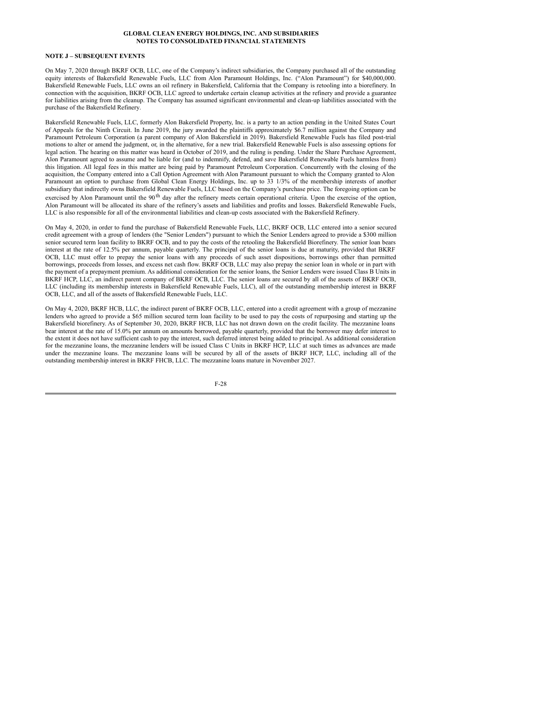# **NOTE J – SUBSEQUENT EVENTS**

On May 7, 2020 through BKRF OCB, LLC, one of the Company's indirect subsidiaries, the Company purchased all of the outstanding equity interests of Bakersfield Renewable Fuels, LLC from Alon Paramount Holdings, Inc. ("Alon Paramount") for \$40,000,000. Bakersfield Renewable Fuels, LLC owns an oil refinery in Bakersfield, California that the Company is retooling into a biorefinery. In connection with the acquisition, BKRF OCB, LLC agreed to undertake certain cleanup activities at the refinery and provide a guarantee for liabilities arising from the cleanup. The Company has assumed significant environmental and clean-up liabilities associated with the purchase of the Bakersfield Refinery.

Bakersfield Renewable Fuels, LLC, formerly Alon Bakersfield Property, Inc. is a party to an action pending in the United States Court of Appeals for the Ninth Circuit. In June 2019, the jury awarded the plaintiffs approximately \$6.7 million against the Company and Paramount Petroleum Corporation (a parent company of Alon Bakersfield in 2019). Bakersfield Renewable Fuels has filed post-trial motions to alter or amend the judgment, or, in the alternative, for a new trial. Bakersfield Renewable Fuels is also assessing options for legal action. The hearing on this matter was heard in October of 2019, and the ruling is pending. Under the Share Purchase Agreement, Alon Paramount agreed to assume and be liable for (and to indemnify, defend, and save Bakersfield Renewable Fuels harmless from) this litigation. All legal fees in this matter are being paid by Paramount Petroleum Corporation. Concurrently with the closing of the acquisition, the Company entered into a Call Option Agreement with Alon Paramount pursuant to which the Company granted to Alon Paramount an option to purchase from Global Clean Energy Holdings, Inc. up to 33 1/3% of the membership interests of another subsidiary that indirectly owns Bakersfield Renewable Fuels, LLC based on the Company's purchase price. The foregoing option can be exercised by Alon Paramount until the  $90<sup>th</sup>$  day after the refinery meets certain operational criteria. Upon the exercise of the option, Alon Paramount will be allocated its share of the refinery's assets and liabilities and profits and losses. Bakersfield Renewable Fuels, LLC is also responsible for all of the environmental liabilities and clean-up costs associated with the Bakersfield Refinery.

On May 4, 2020, in order to fund the purchase of Bakersfield Renewable Fuels, LLC, BKRF OCB, LLC entered into a senior secured credit agreement with a group of lenders (the "Senior Lenders") pursuant to which the Senior Lenders agreed to provide a \$300 million senior secured term loan facility to BKRF OCB, and to pay the costs of the retooling the Bakersfield Biorefinery. The senior loan bears interest at the rate of 12.5% per annum, payable quarterly. The principal of the senior loans is due at maturity, provided that BKRF OCB, LLC must offer to prepay the senior loans with any proceeds of such asset dispositions, borrowings other than permitted borrowings, proceeds from losses, and excess net cash flow. BKRF OCB, LLC may also prepay the senior loan in whole or in part with the payment of a prepayment premium. As additional consideration for the senior loans, the Senior Lenders were issued Class B Units in BKRF HCP, LLC, an indirect parent company of BKRF OCB, LLC. The senior loans are secured by all of the assets of BKRF OCB, LLC (including its membership interests in Bakersfield Renewable Fuels, LLC), all of the outstanding membership interest in BKRF OCB, LLC, and all of the assets of Bakersfield Renewable Fuels, LLC.

On May 4, 2020, BKRF HCB, LLC, the indirect parent of BKRF OCB, LLC, entered into a credit agreement with a group of mezzanine lenders who agreed to provide a \$65 million secured term loan facility to be used to pay the costs of repurposing and starting up the Bakersfield biorefinery. As of September 30, 2020, BKRF HCB, LLC has not drawn down on the credit facility. The mezzanine loans bear interest at the rate of 15.0% per annum on amounts borrowed, payable quarterly, provided that the borrower may defer interest to the extent it does not have sufficient cash to pay the interest, such deferred interest being added to principal. As additional consideration for the mezzanine loans, the mezzanine lenders will be issued Class C Units in BKRF HCP, LLC at such times as advances are made under the mezzanine loans. The mezzanine loans will be secured by all of the assets of BKRF HCP, LLC, including all of the outstanding membership interest in BKRF FHCB, LLC. The mezzanine loans mature in November 2027.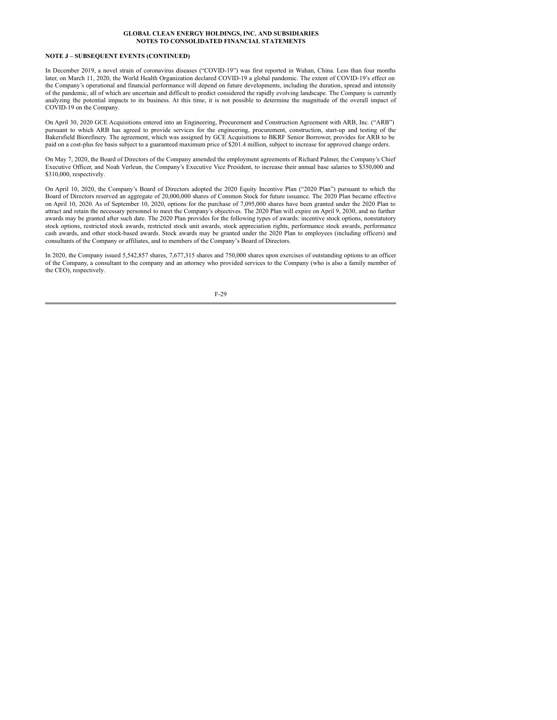# **NOTE J – SUBSEQUENT EVENTS (CONTINUED)**

In December 2019, a novel strain of coronavirus diseases ("COVID-19") was first reported in Wuhan, China. Less than four months later, on March 11, 2020, the World Health Organization declared COVID-19 a global pandemic. The extent of COVID-19's effect on the Company's operational and financial performance will depend on future developments, including the duration, spread and intensity of the pandemic, all of which are uncertain and difficult to predict considered the rapidly evolving landscape. The Company is currently analyzing the potential impacts to its business. At this time, it is not possible to determine the magnitude of the overall impact of COVID-19 on the Company.

On April 30, 2020 GCE Acquisitions entered into an Engineering, Procurement and Construction Agreement with ARB, Inc. ("ARB") pursuant to which ARB has agreed to provide services for the engineering, procurement, construction, start-up and testing of the Bakersfield Biorefinery. The agreement, which was assigned by GCE Acquisitions to BKRF Senior Borrower, provides for ARB to be paid on a cost-plus fee basis subject to a guaranteed maximum price of \$201.4 million, subject to increase for approved change orders.

On May 7, 2020, the Board of Directors of the Company amended the employment agreements of Richard Palmer, the Company's Chief Executive Officer, and Noah Verleun, the Company's Executive Vice President, to increase their annual base salaries to \$350,000 and \$310,000, respectively.

On April 10, 2020, the Company's Board of Directors adopted the 2020 Equity Incentive Plan ("2020 Plan") pursuant to which the Board of Directors reserved an aggregate of 20,000,000 shares of Common Stock for future issuance. The 2020 Plan became effective on April 10, 2020. As of September 10, 2020, options for the purchase of 7,095,000 shares have been granted under the 2020 Plan to attract and retain the necessary personnel to meet the Company's objectives. The 2020 Plan will expire on April 9, 2030, and no further awards may be granted after such date. The 2020 Plan provides for the following types of awards: incentive stock options, nonstatutory stock options, restricted stock awards, restricted stock unit awards, stock appreciation rights, performance stock awards, performance cash awards, and other stock-based awards. Stock awards may be granted under the 2020 Plan to employees (including officers) and consultants of the Company or affiliates, and to members of the Company's Board of Directors.

In 2020, the Company issued 5,542,857 shares, 7,677,315 shares and 750,000 shares upon exercises of outstanding options to an officer of the Company, a consultant to the company and an attorney who provided services to the Company (who is also a family member of the CEO), respectively.

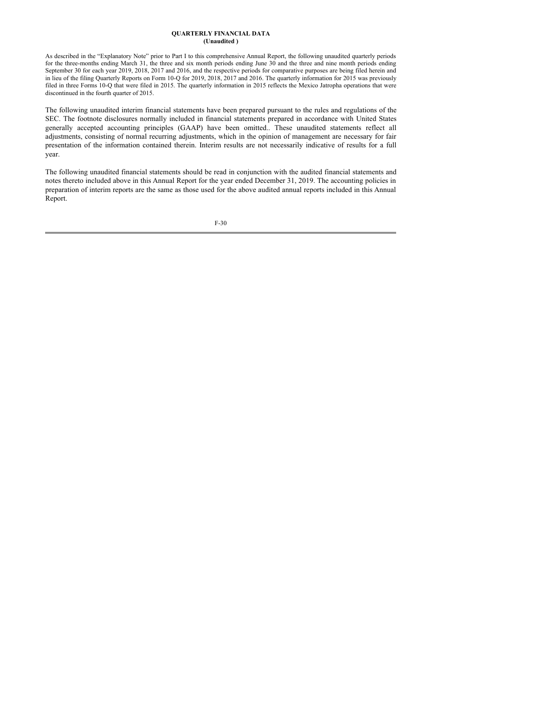### **QUARTERLY FINANCIAL DATA (Unaudited )**

As described in the "Explanatory Note" prior to Part I to this comprehensive Annual Report, the following unaudited quarterly periods for the three-months ending March 31, the three and six month periods ending June 30 and the three and nine month periods ending September 30 for each year 2019, 2018, 2017 and 2016, and the respective periods for comparative purposes are being filed herein and in lieu of the filing Quarterly Reports on Form 10-Q for 2019, 2018, 2017 and 2016. The quarterly information for 2015 was previously filed in three Forms 10-Q that were filed in 2015. The quarterly information in 2015 reflects the Mexico Jatropha operations that were discontinued in the fourth quarter of 2015.

The following unaudited interim financial statements have been prepared pursuant to the rules and regulations of the SEC. The footnote disclosures normally included in financial statements prepared in accordance with United States generally accepted accounting principles (GAAP) have been omitted.. These unaudited statements reflect all adjustments, consisting of normal recurring adjustments, which in the opinion of management are necessary for fair presentation of the information contained therein. Interim results are not necessarily indicative of results for a full year.

The following unaudited financial statements should be read in conjunction with the audited financial statements and notes thereto included above in this Annual Report for the year ended December 31, 2019. The accounting policies in preparation of interim reports are the same as those used for the above audited annual reports included in this Annual Report.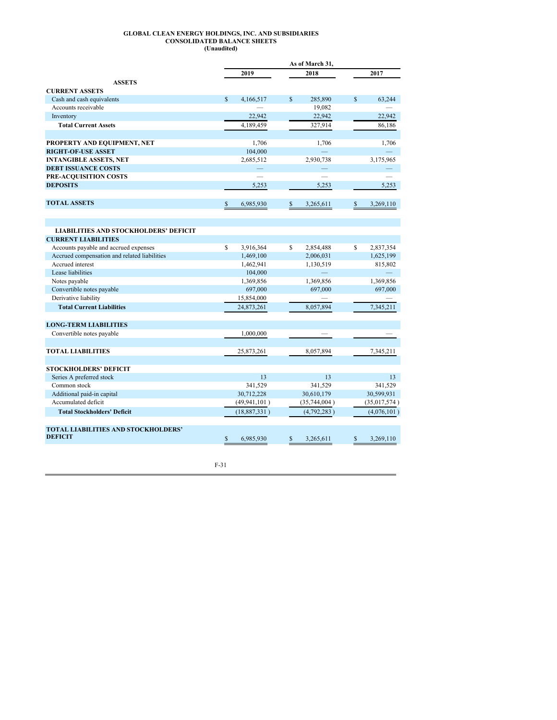#### **GLOBAL CLEAN ENERGY HOLDINGS, INC. AND SUBSIDIARIES CONSOLIDATED BALANCE SHEETS (Unaudited)**

|                               | As of March 31, |           |              |           |    |  |           |
|-------------------------------|-----------------|-----------|--------------|-----------|----|--|-----------|
|                               |                 | 2019      |              | 2018      |    |  | 2017      |
| <b>ASSETS</b>                 |                 |           |              |           |    |  |           |
| <b>CURRENT ASSETS</b>         |                 |           |              |           |    |  |           |
| Cash and cash equivalents     | \$              | 4,166,517 | $\mathbb{S}$ | 285,890   | \$ |  | 63,244    |
| Accounts receivable           |                 |           |              | 19,082    |    |  |           |
| Inventory                     |                 | 22,942    |              | 22,942    |    |  | 22,942    |
| <b>Total Current Assets</b>   |                 | 4,189,459 |              | 327,914   |    |  | 86,186    |
|                               |                 |           |              |           |    |  |           |
| PROPERTY AND EQUIPMENT, NET   |                 | 1,706     |              | 1.706     |    |  | 1,706     |
| <b>RIGHT-OF-USE ASSET</b>     |                 | 104,000   |              |           |    |  |           |
| <b>INTANGIBLE ASSETS, NET</b> |                 | 2,685,512 |              | 2,930,738 |    |  | 3,175,965 |
| <b>DEBT ISSUANCE COSTS</b>    |                 |           |              |           |    |  |           |
| PRE-ACQUISITION COSTS         |                 |           |              |           |    |  |           |
| <b>DEPOSITS</b>               |                 | 5,253     |              | 5,253     |    |  | 5,253     |
|                               |                 |           |              |           |    |  |           |
| <b>TOTAL ASSETS</b>           | \$              | 6,985,930 | \$           | 3,265,611 |    |  | 3,269,110 |

| <b>LIABILITIES AND STOCKHOLDERS' DEFICIT</b> |    |                |   |              |   |              |
|----------------------------------------------|----|----------------|---|--------------|---|--------------|
| <b>CURRENT LIABILITIES</b>                   |    |                |   |              |   |              |
| Accounts payable and accrued expenses        | S  | 3,916,364      | S | 2,854,488    | S | 2,837,354    |
| Accrued compensation and related liabilities |    | 1,469,100      |   | 2,006,031    |   | 1,625,199    |
| Accrued interest                             |    | 1.462.941      |   | 1,130,519    |   | 815,802      |
| Lease liabilities                            |    | 104,000        |   |              |   |              |
| Notes payable                                |    | 1,369,856      |   | 1,369,856    |   | 1,369,856    |
| Convertible notes payable                    |    | 697,000        |   | 697,000      |   | 697,000      |
| Derivative liability                         |    | 15,854,000     |   |              |   |              |
| <b>Total Current Liabilities</b>             |    | 24,873,261     |   | 8,057,894    |   | 7,345,211    |
|                                              |    |                |   |              |   |              |
| <b>LONG-TERM LIABILITIES</b>                 |    |                |   |              |   |              |
| Convertible notes payable                    |    | 1,000,000      |   |              |   |              |
|                                              |    |                |   |              |   |              |
| <b>TOTAL LIABILITIES</b>                     |    | 25,873,261     |   | 8,057,894    |   | 7,345,211    |
|                                              |    |                |   |              |   |              |
| <b>STOCKHOLDERS' DEFICIT</b>                 |    |                |   |              |   |              |
| Series A preferred stock                     |    | 13             |   | 13           |   | 13           |
| Common stock                                 |    | 341,529        |   | 341,529      |   | 341,529      |
| Additional paid-in capital                   |    | 30,712,228     |   | 30,610,179   |   | 30,599,931   |
| Accumulated deficit                          |    | (49, 941, 101) |   | (35,744,004) |   | (35,017,574) |
| <b>Total Stockholders' Deficit</b>           |    | (18, 887, 331) |   | (4,792,283)  |   | (4,076,101)  |
|                                              |    |                |   |              |   |              |
| <b>TOTAL LIABILITIES AND STOCKHOLDERS'</b>   |    |                |   |              |   |              |
| <b>DEFICIT</b>                               | \$ | 6,985,930      |   | 3,265,611    |   | 3,269,110    |
|                                              |    |                |   |              |   |              |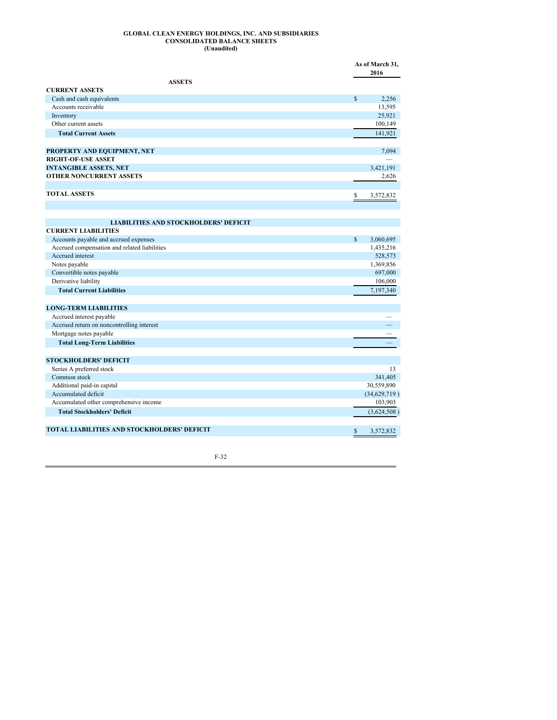#### **GLOBAL CLEAN ENERGY HOLDINGS, INC. AND SUBSIDIARIES CONSOLIDATED BALANCE SHEETS (Unaudited)**

|                                                    | As of March 31, |
|----------------------------------------------------|-----------------|
|                                                    | 2016            |
| <b>ASSETS</b>                                      |                 |
| <b>CURRENT ASSETS</b>                              |                 |
| Cash and cash equivalents                          | \$<br>2.256     |
| Accounts receivable                                | 13,595          |
| Inventory                                          | 25,921          |
| Other current assets                               | 100.149         |
| <b>Total Current Assets</b>                        | 141,921         |
|                                                    |                 |
| PROPERTY AND EQUIPMENT, NET                        | 7,094           |
| <b>RIGHT-OF-USE ASSET</b>                          |                 |
| <b>INTANGIBLE ASSETS, NET</b>                      | 3,421,191       |
| <b>OTHER NONCURRENT ASSETS</b>                     | 2,626           |
|                                                    |                 |
| <b>TOTAL ASSETS</b>                                | 3,572,832<br>S  |
|                                                    |                 |
|                                                    |                 |
| <b>LIABILITIES AND STOCKHOLDERS' DEFICIT</b>       |                 |
| <b>CURRENT LIABILITIES</b>                         |                 |
| Accounts payable and accrued expenses              | \$<br>3,060,695 |
| Accrued compensation and related liabilities       | 1,435,216       |
| Accrued interest                                   | 528,573         |
| Notes payable                                      | 1,369,856       |
| Convertible notes payable                          | 697,000         |
| Derivative liability                               | 106,000         |
| <b>Total Current Liabilities</b>                   | 7,197,340       |
|                                                    |                 |
| <b>LONG-TERM LIABILITIES</b>                       |                 |
| Accrued interest payable                           |                 |
| Accrued return on noncontrolling interest          |                 |
| Mortgage notes payable                             |                 |
| <b>Total Long-Term Liabilities</b>                 |                 |
|                                                    |                 |
| <b>STOCKHOLDERS' DEFICIT</b>                       |                 |
| Series A preferred stock                           | 13              |
| Common stock                                       | 341,405         |
| Additional paid-in capital                         | 30,559,890      |
| Accumulated deficit                                | (34,629,719)    |
| Accumulated other comprehensive income             | 103,903         |
| <b>Total Stockholders' Deficit</b>                 | (3,624,508)     |
|                                                    |                 |
| <b>TOTAL LIABILITIES AND STOCKHOLDERS' DEFICIT</b> | \$<br>3,572,832 |
|                                                    |                 |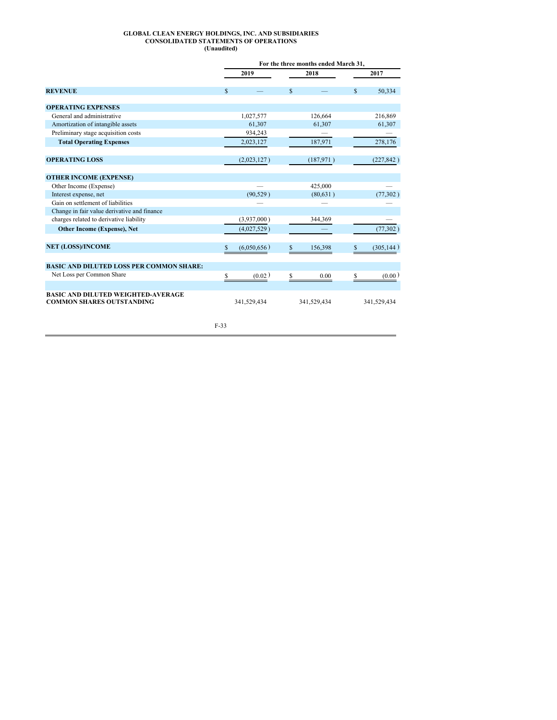|                                                                               | For the three months ended March 31. |             |               |             |              |             |
|-------------------------------------------------------------------------------|--------------------------------------|-------------|---------------|-------------|--------------|-------------|
|                                                                               |                                      | 2019        |               | 2018        |              | 2017        |
| <b>REVENUE</b>                                                                | $\mathbb{S}$                         |             | <sup>\$</sup> |             | $\mathbb{S}$ | 50,334      |
| <b>OPERATING EXPENSES</b>                                                     |                                      |             |               |             |              |             |
| General and administrative                                                    |                                      | 1,027,577   |               | 126.664     |              | 216,869     |
| Amortization of intangible assets                                             |                                      | 61,307      |               | 61,307      |              | 61,307      |
| Preliminary stage acquisition costs                                           |                                      | 934,243     |               |             |              |             |
| <b>Total Operating Expenses</b>                                               |                                      | 2,023,127   |               | 187,971     |              | 278,176     |
| <b>OPERATING LOSS</b>                                                         |                                      | (2,023,127) |               | (187, 971)  |              | (227, 842)  |
| <b>OTHER INCOME (EXPENSE)</b>                                                 |                                      |             |               |             |              |             |
| Other Income (Expense)                                                        |                                      |             |               | 425,000     |              |             |
| Interest expense, net                                                         |                                      | (90, 529)   |               | (80, 631)   |              | (77, 302)   |
| Gain on settlement of liabilities                                             |                                      |             |               |             |              |             |
| Change in fair value derivative and finance                                   |                                      |             |               |             |              |             |
| charges related to derivative liability                                       |                                      | (3,937,000) |               | 344,369     |              |             |
| Other Income (Expense), Net                                                   |                                      | (4,027,529) |               |             |              | (77, 302)   |
| <b>NET (LOSS)/INCOME</b>                                                      | \$.                                  | (6,050,656) | S.            | 156,398     | S            | (305, 144)  |
| <b>BASIC AND DILUTED LOSS PER COMMON SHARE:</b>                               |                                      |             |               |             |              |             |
| Net Loss per Common Share                                                     | \$                                   | (0.02)      | \$            | 0.00        | \$           | (0.00)      |
| <b>BASIC AND DILUTED WEIGHTED-AVERAGE</b><br><b>COMMON SHARES OUTSTANDING</b> |                                      | 341,529,434 |               | 341,529,434 |              | 341,529,434 |
|                                                                               |                                      |             |               |             |              |             |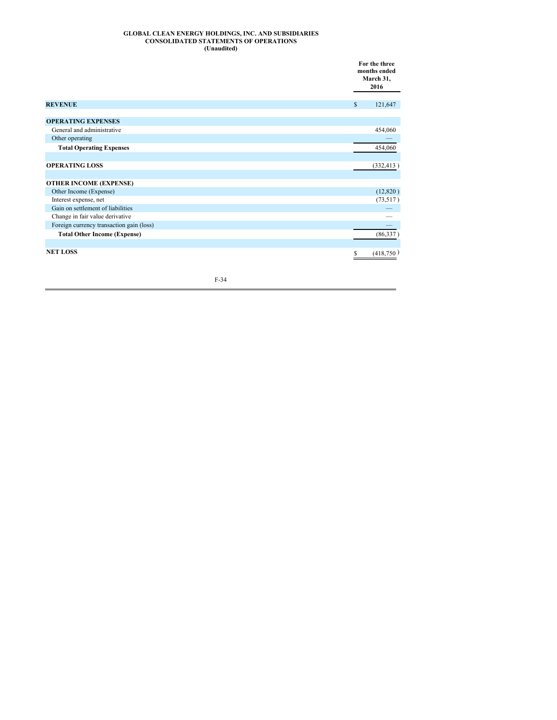|                                          | For the three<br>months ended<br>March 31,<br>2016 |
|------------------------------------------|----------------------------------------------------|
| <b>REVENUE</b>                           | $\mathbb{S}$<br>121,647                            |
|                                          |                                                    |
| <b>OPERATING EXPENSES</b>                |                                                    |
| General and administrative               | 454,060                                            |
| Other operating                          |                                                    |
| <b>Total Operating Expenses</b>          | 454,060                                            |
|                                          |                                                    |
| <b>OPERATING LOSS</b>                    | (332, 413)                                         |
|                                          |                                                    |
| <b>OTHER INCOME (EXPENSE)</b>            |                                                    |
| Other Income (Expense)                   | (12,820)                                           |
| Interest expense, net                    | (73, 517)                                          |
| Gain on settlement of liabilities        |                                                    |
| Change in fair value derivative          |                                                    |
| Foreign currency transaction gain (loss) |                                                    |
| <b>Total Other Income (Expense)</b>      | (86, 337)                                          |
|                                          |                                                    |
| <b>NET LOSS</b>                          | (418,750)                                          |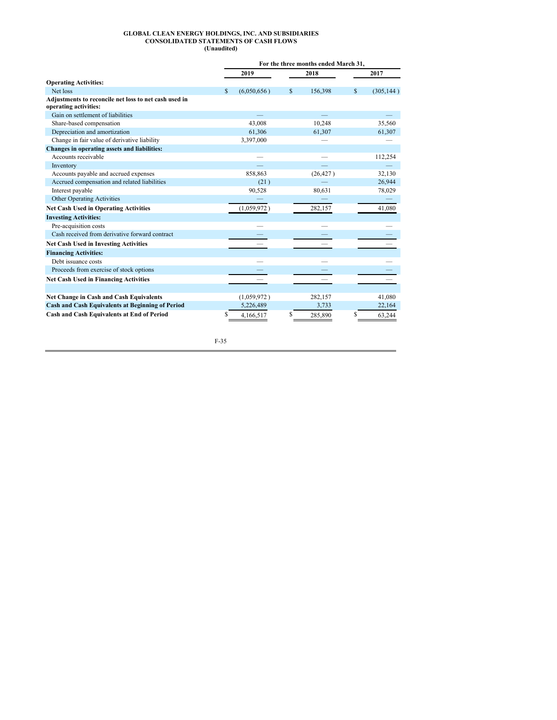|                                                                                |               | For the three months ended March 31, |             |           |              |            |  |
|--------------------------------------------------------------------------------|---------------|--------------------------------------|-------------|-----------|--------------|------------|--|
|                                                                                |               | 2018<br>2019                         |             |           | 2017         |            |  |
| <b>Operating Activities:</b>                                                   |               |                                      |             |           |              |            |  |
| Net loss                                                                       | $\mathcal{S}$ | (6,050,656)                          | $\mathbf S$ | 156,398   | $\mathbb{S}$ | (305, 144) |  |
| Adjustments to reconcile net loss to net cash used in<br>operating activities: |               |                                      |             |           |              |            |  |
| Gain on settlement of liabilities                                              |               |                                      |             |           |              |            |  |
| Share-based compensation                                                       |               | 43,008                               |             | 10.248    |              | 35,560     |  |
| Depreciation and amortization                                                  |               | 61,306                               |             | 61,307    |              | 61,307     |  |
| Change in fair value of derivative liability                                   |               | 3,397,000                            |             |           |              |            |  |
| Changes in operating assets and liabilities:                                   |               |                                      |             |           |              |            |  |
| Accounts receivable                                                            |               |                                      |             |           |              | 112,254    |  |
| Inventory                                                                      |               |                                      |             |           |              |            |  |
| Accounts payable and accrued expenses                                          |               | 858,863                              |             | (26, 427) |              | 32,130     |  |
| Accrued compensation and related liabilities                                   |               | (21)                                 |             |           |              | 26,944     |  |
| Interest payable                                                               |               | 90,528                               |             | 80,631    |              | 78,029     |  |
| <b>Other Operating Activities</b>                                              |               |                                      |             |           |              |            |  |
| <b>Net Cash Used in Operating Activities</b>                                   |               | (1,059,972)                          |             | 282,157   |              | 41,080     |  |
| <b>Investing Activities:</b>                                                   |               |                                      |             |           |              |            |  |
| Pre-acquisition costs                                                          |               |                                      |             |           |              |            |  |
| Cash received from derivative forward contract                                 |               |                                      |             |           |              |            |  |
| <b>Net Cash Used in Investing Activities</b>                                   |               |                                      |             |           |              |            |  |
| <b>Financing Activities:</b>                                                   |               |                                      |             |           |              |            |  |
| Debt issuance costs                                                            |               |                                      |             |           |              |            |  |
| Proceeds from exercise of stock options                                        |               |                                      |             |           |              |            |  |
| <b>Net Cash Used in Financing Activities</b>                                   |               |                                      |             |           |              |            |  |
|                                                                                |               |                                      |             |           |              |            |  |
| Net Change in Cash and Cash Equivalents                                        |               | (1,059,972)                          |             | 282,157   |              | 41,080     |  |
| <b>Cash and Cash Equivalents at Beginning of Period</b>                        |               | 5,226,489                            |             | 3,733     |              | 22,164     |  |
| <b>Cash and Cash Equivalents at End of Period</b>                              | S             | 4,166,517                            | S           | 285,890   | \$           | 63,244     |  |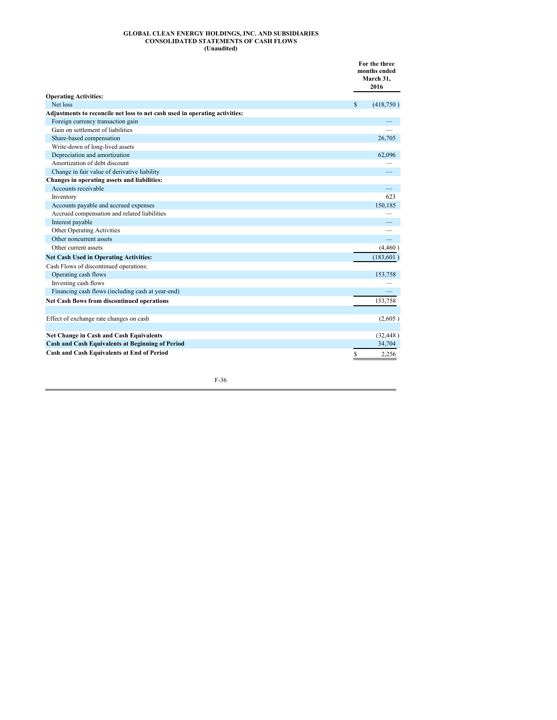|                                                                             | For the three<br>months ended<br>March 31.<br>2016 |
|-----------------------------------------------------------------------------|----------------------------------------------------|
| <b>Operating Activities:</b>                                                |                                                    |
| Net loss                                                                    | $\mathbb{S}$<br>(418,750)                          |
| Adjustments to reconcile net loss to net cash used in operating activities: |                                                    |
| Foreign currency transaction gain                                           |                                                    |
| Gain on settlement of liabilities                                           |                                                    |
| Share-based compensation                                                    | 26,705                                             |
| Write-down of long-lived assets                                             |                                                    |
| Depreciation and amortization                                               | 62,096                                             |
| Amortization of debt discount                                               |                                                    |
| Change in fair value of derivative liability                                |                                                    |
| Changes in operating assets and liabilities:                                |                                                    |
| Accounts receivable                                                         |                                                    |
| Inventory                                                                   | 623                                                |
| Accounts payable and accrued expenses                                       | 150.185                                            |
| Accrued compensation and related liabilities                                |                                                    |
| Interest payable                                                            |                                                    |
| Other Operating Activities                                                  |                                                    |
| Other noncurrent assets                                                     |                                                    |
| Other current assets                                                        | (4,460)                                            |
| <b>Net Cash Used in Operating Activities:</b>                               | (183, 601)                                         |
| Cash Flows of discontinued operations:                                      |                                                    |
| Operating cash flows                                                        | 153,758                                            |
| Investing cash flows                                                        |                                                    |
| Financing cash flows (including cash at year-end)                           |                                                    |
| Net Cash flows from discontinued operations                                 | 153,758                                            |
|                                                                             |                                                    |
| Effect of exchange rate changes on cash                                     | (2,605)                                            |
|                                                                             |                                                    |
| Net Change in Cash and Cash Equivalents                                     | (32, 448)                                          |
| <b>Cash and Cash Equivalents at Beginning of Period</b>                     | 34,704                                             |
| <b>Cash and Cash Equivalents at End of Period</b>                           | S<br>2.256                                         |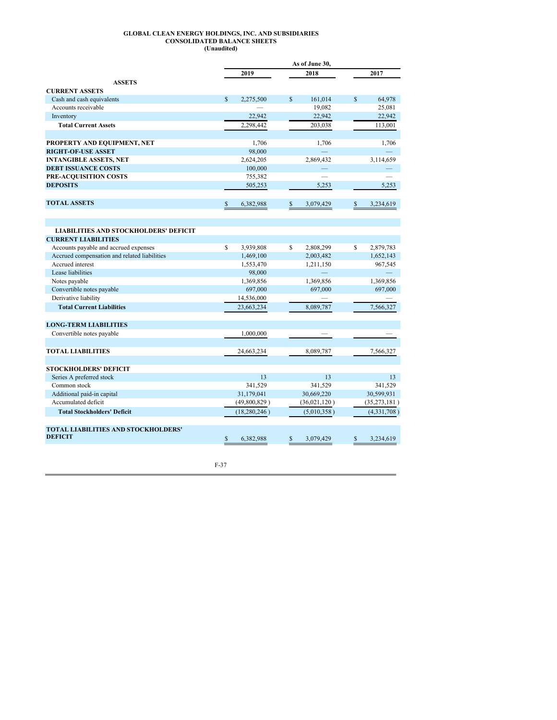#### **GLOBAL CLEAN ENERGY HOLDINGS, INC. AND SUBSIDIARIES CONSOLIDATED BALANCE SHEETS (Unaudited)**

|                               | As of June 30, |           |    |           |    |           |
|-------------------------------|----------------|-----------|----|-----------|----|-----------|
|                               |                | 2019      |    | 2018      |    | 2017      |
| <b>ASSETS</b>                 |                |           |    |           |    |           |
| <b>CURRENT ASSETS</b>         |                |           |    |           |    |           |
| Cash and cash equivalents     | \$             | 2,275,500 | \$ | 161,014   | \$ | 64,978    |
| Accounts receivable           |                |           |    | 19,082    |    | 25,081    |
| Inventory                     |                | 22,942    |    | 22,942    |    | 22,942    |
| <b>Total Current Assets</b>   |                | 2,298,442 |    | 203,038   |    | 113,001   |
|                               |                |           |    |           |    |           |
| PROPERTY AND EQUIPMENT, NET   |                | 1,706     |    | 1.706     |    | 1,706     |
| <b>RIGHT-OF-USE ASSET</b>     |                | 98,000    |    |           |    |           |
| <b>INTANGIBLE ASSETS, NET</b> |                | 2,624,205 |    | 2,869,432 |    | 3,114,659 |
| <b>DEBT ISSUANCE COSTS</b>    |                | 100,000   |    |           |    |           |
| PRE-ACQUISITION COSTS         |                | 755,382   |    |           |    |           |
| <b>DEPOSITS</b>               |                | 505,253   |    | 5,253     |    | 5,253     |
|                               |                |           |    |           |    |           |
| <b>TOTAL ASSETS</b>           | \$             | 6,382,988 | \$ | 3,079,429 |    | 3,234,619 |

| <b>LIABILITIES AND STOCKHOLDERS' DEFICIT</b> |    |                |    |              |    |              |
|----------------------------------------------|----|----------------|----|--------------|----|--------------|
| <b>CURRENT LIABILITIES</b>                   |    |                |    |              |    |              |
| Accounts payable and accrued expenses        | S. | 3,939,808      | S. | 2,808,299    | S. | 2,879,783    |
| Accrued compensation and related liabilities |    | 1,469,100      |    | 2,003,482    |    | 1,652,143    |
| Accrued interest                             |    | 1,553,470      |    | 1,211,150    |    | 967,545      |
| Lease liabilities                            |    | 98,000         |    |              |    |              |
| Notes payable                                |    | 1,369,856      |    | 1,369,856    |    | 1,369,856    |
| Convertible notes payable                    |    | 697,000        |    | 697,000      |    | 697,000      |
| Derivative liability                         |    | 14,536,000     |    |              |    |              |
| <b>Total Current Liabilities</b>             |    | 23,663,234     |    | 8,089,787    |    | 7,566,327    |
|                                              |    |                |    |              |    |              |
| <b>LONG-TERM LIABILITIES</b>                 |    |                |    |              |    |              |
| Convertible notes payable                    |    | 1,000,000      |    |              |    |              |
|                                              |    |                |    |              |    |              |
| <b>TOTAL LIABILITIES</b>                     |    | 24,663,234     |    | 8,089,787    |    | 7,566,327    |
|                                              |    |                |    |              |    |              |
| <b>STOCKHOLDERS' DEFICIT</b>                 |    |                |    |              |    |              |
| Series A preferred stock                     |    | 13             |    | 13           |    | 13           |
| Common stock                                 |    | 341,529        |    | 341,529      |    | 341,529      |
| Additional paid-in capital                   |    | 31,179,041     |    | 30,669,220   |    | 30,599,931   |
| Accumulated deficit                          |    | (49,800,829)   |    | (36,021,120) |    | (35,273,181) |
| <b>Total Stockholders' Deficit</b>           |    | (18, 280, 246) |    | (5,010,358)  |    | (4,331,708)  |
|                                              |    |                |    |              |    |              |
| <b>TOTAL LIABILITIES AND STOCKHOLDERS'</b>   |    |                |    |              |    |              |
| <b>DEFICIT</b>                               | \$ | 6,382,988      |    | 3,079,429    |    | 3,234,619    |
|                                              |    |                |    |              |    |              |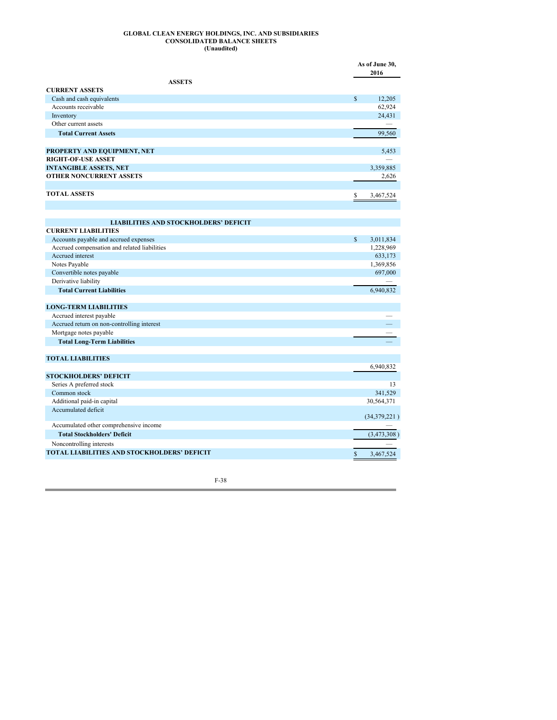### **GLOBAL CLEAN ENERGY HOLDINGS, INC. AND SUBSIDIARIES CONSOLIDATED BALANCE SHEETS (Unaudited)**

|                                              | As of June 30,         |  |  |
|----------------------------------------------|------------------------|--|--|
|                                              | 2016                   |  |  |
| <b>ASSETS</b>                                |                        |  |  |
| <b>CURRENT ASSETS</b>                        |                        |  |  |
| Cash and cash equivalents                    | $\mathbb{S}$<br>12,205 |  |  |
| Accounts receivable                          | 62,924                 |  |  |
| Inventory                                    | 24,431                 |  |  |
| Other current assets                         |                        |  |  |
| <b>Total Current Assets</b>                  | 99,560                 |  |  |
|                                              |                        |  |  |
| PROPERTY AND EQUIPMENT, NET                  | 5,453                  |  |  |
| <b>RIGHT-OF-USE ASSET</b>                    |                        |  |  |
| <b>INTANGIBLE ASSETS, NET</b>                | 3,359,885              |  |  |
| <b>OTHER NONCURRENT ASSETS</b>               | 2.626                  |  |  |
|                                              |                        |  |  |
| <b>TOTAL ASSETS</b>                          | 3,467,524<br>\$        |  |  |
|                                              |                        |  |  |
| <b>LIABILITIES AND STOCKHOLDERS' DEFICIT</b> |                        |  |  |
| <b>CURRENT LIABILITIES</b>                   |                        |  |  |
| Accounts payable and accrued expenses        | \$<br>3,011,834        |  |  |
| Accrued compensation and related liabilities | 1,228,969              |  |  |
| Accrued interest                             | 633,173                |  |  |
| Notes Payable                                | 1,369,856              |  |  |
| Convertible notes payable                    | 697,000                |  |  |
| Derivative liability                         |                        |  |  |
| <b>Total Current Liabilities</b>             | 6,940,832              |  |  |
|                                              |                        |  |  |
| <b>LONG-TERM LIABILITIES</b>                 |                        |  |  |
| Accrued interest payable                     |                        |  |  |
| Accrued return on non-controlling interest   |                        |  |  |
| Mortgage notes payable                       |                        |  |  |
| <b>Total Long-Term Liabilities</b>           |                        |  |  |
|                                              |                        |  |  |
| <b>TOTAL LIABILITIES</b>                     |                        |  |  |
|                                              | 6,940,832              |  |  |
| <b>STOCKHOLDERS' DEFICIT</b>                 |                        |  |  |
| Series A preferred stock                     | 13                     |  |  |
| Common stock                                 | 341,529                |  |  |
| Additional paid-in capital                   | 30,564,371             |  |  |
| Accumulated deficit                          | (34,379,221)           |  |  |
| Accumulated other comprehensive income       |                        |  |  |
| <b>Total Stockholders' Deficit</b>           | (3,473,308)            |  |  |
| Noncontrolling interests                     |                        |  |  |
| TOTAL LIABILITIES AND STOCKHOLDERS' DEFICIT  | \$<br>3,467,524        |  |  |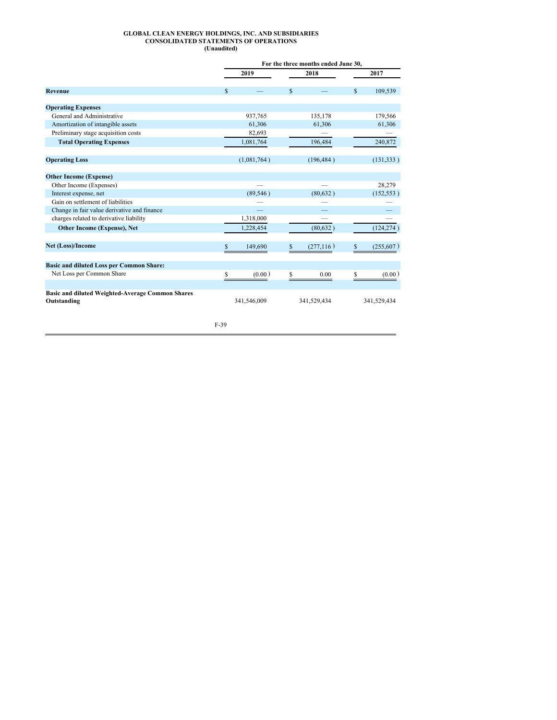|                                                                 | For the three months ended June 30. |             |             |             |              |             |
|-----------------------------------------------------------------|-------------------------------------|-------------|-------------|-------------|--------------|-------------|
|                                                                 |                                     | 2019        |             | 2018        |              | 2017        |
| <b>Revenue</b>                                                  | $\mathbf S$                         |             | $\mathbf S$ |             | $\mathbf{s}$ | 109,539     |
| <b>Operating Expenses</b>                                       |                                     |             |             |             |              |             |
| General and Administrative                                      |                                     | 937,765     |             | 135,178     |              | 179,566     |
| Amortization of intangible assets                               |                                     | 61,306      |             | 61,306      |              | 61,306      |
| Preliminary stage acquisition costs                             |                                     | 82,693      |             |             |              |             |
| <b>Total Operating Expenses</b>                                 |                                     | 1,081,764   |             | 196,484     |              | 240,872     |
| <b>Operating Loss</b>                                           |                                     | (1,081,764) |             | (196, 484)  |              | (131, 333)  |
| <b>Other Income (Expense)</b>                                   |                                     |             |             |             |              |             |
| Other Income (Expenses)                                         |                                     |             |             |             |              | 28,279      |
| Interest expense, net                                           |                                     | (89, 546)   |             | (80, 632)   |              | (152, 553)  |
| Gain on settlement of liabilities                               |                                     |             |             |             |              |             |
| Change in fair value derivative and finance                     |                                     |             |             |             |              |             |
| charges related to derivative liability                         |                                     | 1,318,000   |             |             |              |             |
| Other Income (Expense), Net                                     |                                     | 1,228,454   |             | (80, 632)   |              | (124, 274)  |
| Net (Loss)/Income                                               | \$                                  | 149,690     | S           | (277, 116)  | S            | (255,607)   |
| <b>Basic and diluted Loss per Common Share:</b>                 |                                     |             |             |             |              |             |
| Net Loss per Common Share                                       | \$                                  | (0.00)      | S           | 0.00        | S            | (0.00)      |
| Basic and diluted Weighted-Average Common Shares<br>Outstanding |                                     | 341,546,009 |             | 341,529,434 |              | 341,529,434 |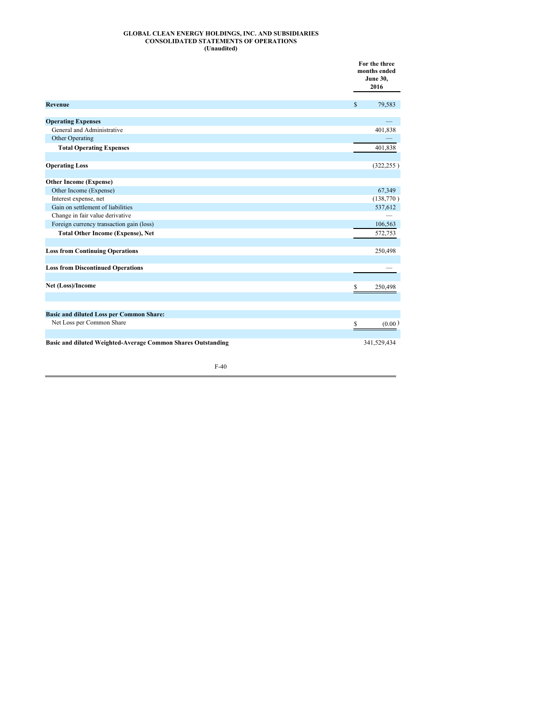|                                                              |              | For the three<br>months ended<br><b>June 30,</b><br>2016 |
|--------------------------------------------------------------|--------------|----------------------------------------------------------|
| <b>Revenue</b>                                               | $\mathbb{S}$ | 79,583                                                   |
| <b>Operating Expenses</b>                                    |              |                                                          |
| General and Administrative                                   |              | 401,838                                                  |
| Other Operating                                              |              |                                                          |
| <b>Total Operating Expenses</b>                              |              | 401,838                                                  |
| <b>Operating Loss</b>                                        |              | (322, 255)                                               |
| <b>Other Income (Expense)</b>                                |              |                                                          |
| Other Income (Expense)                                       |              | 67,349                                                   |
| Interest expense, net                                        |              | (138,770)                                                |
| Gain on settlement of liabilities                            |              | 537,612                                                  |
| Change in fair value derivative                              |              |                                                          |
| Foreign currency transaction gain (loss)                     |              | 106,563                                                  |
| <b>Total Other Income (Expense), Net</b>                     |              | 572,753                                                  |
| <b>Loss from Continuing Operations</b>                       |              | 250,498                                                  |
| <b>Loss from Discontinued Operations</b>                     |              |                                                          |
| Net (Loss)/Income                                            | S            | 250,498                                                  |
|                                                              |              |                                                          |
| <b>Basic and diluted Loss per Common Share:</b>              |              |                                                          |
| Net Loss per Common Share                                    | \$           | (0.00)                                                   |
| Basic and diluted Weighted-Average Common Shares Outstanding |              | 341,529,434                                              |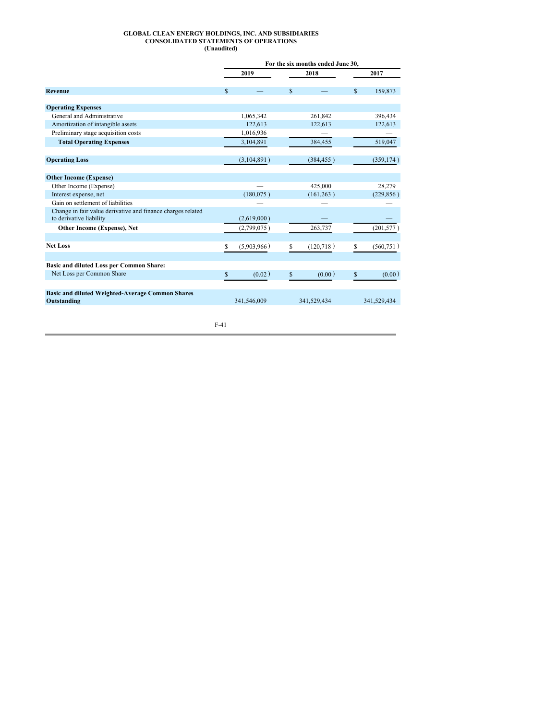|                                                                                        | For the six months ended June 30, |             |          |             |    |             |
|----------------------------------------------------------------------------------------|-----------------------------------|-------------|----------|-------------|----|-------------|
|                                                                                        | 2019                              |             |          | 2018        |    | 2017        |
| <b>Revenue</b>                                                                         | $\mathbb{S}$                      |             | <b>S</b> |             | \$ | 159,873     |
| <b>Operating Expenses</b>                                                              |                                   |             |          |             |    |             |
| General and Administrative                                                             |                                   | 1,065,342   |          | 261,842     |    | 396,434     |
| Amortization of intangible assets                                                      |                                   | 122,613     |          | 122,613     |    | 122,613     |
| Preliminary stage acquisition costs                                                    |                                   | 1,016,936   |          |             |    |             |
| <b>Total Operating Expenses</b>                                                        |                                   | 3,104,891   |          | 384,455     |    | 519,047     |
| <b>Operating Loss</b>                                                                  |                                   | (3,104,891) |          | (384, 455)  |    | (359, 174)  |
| <b>Other Income (Expense)</b>                                                          |                                   |             |          |             |    |             |
| Other Income (Expense)                                                                 |                                   |             |          | 425,000     |    | 28,279      |
| Interest expense, net                                                                  |                                   | (180,075)   |          | (161, 263)  |    | (229, 856)  |
| Gain on settlement of liabilities                                                      |                                   |             |          |             |    |             |
| Change in fair value derivative and finance charges related<br>to derivative liability |                                   | (2,619,000) |          |             |    |             |
| Other Income (Expense), Net                                                            |                                   | (2,799,075) |          | 263,737     |    | (201, 577)  |
| <b>Net Loss</b>                                                                        | \$                                | (5,903,966) | S        | (120,718)   |    | (560, 751)  |
| <b>Basic and diluted Loss per Common Share:</b>                                        |                                   |             |          |             |    |             |
| Net Loss per Common Share                                                              |                                   |             |          |             |    |             |
|                                                                                        | \$                                | (0.02)      | S        | (0.00)      | S. | (0.00)      |
| <b>Basic and diluted Weighted-Average Common Shares</b><br>Outstanding                 |                                   | 341,546,009 |          | 341,529,434 |    | 341,529,434 |
|                                                                                        |                                   |             |          |             |    |             |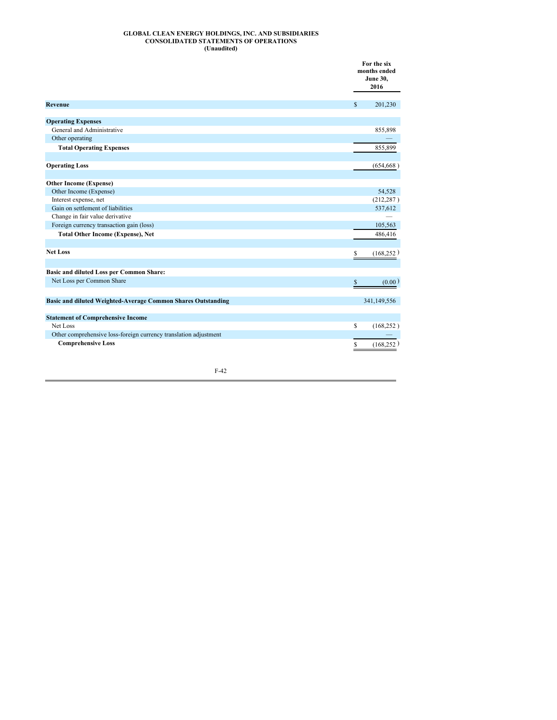|                                                                     | For the six<br>months ended<br><b>June 30,</b><br>2016 |
|---------------------------------------------------------------------|--------------------------------------------------------|
| <b>Revenue</b>                                                      | $\mathbb{S}$<br>201,230                                |
| <b>Operating Expenses</b>                                           |                                                        |
| General and Administrative                                          | 855,898                                                |
| Other operating                                                     |                                                        |
| <b>Total Operating Expenses</b>                                     | 855,899                                                |
| <b>Operating Loss</b>                                               | (654, 668)                                             |
| <b>Other Income (Expense)</b>                                       |                                                        |
| Other Income (Expense)                                              | 54,528                                                 |
| Interest expense, net                                               | (212, 287)                                             |
| Gain on settlement of liabilities                                   | 537,612                                                |
| Change in fair value derivative                                     |                                                        |
| Foreign currency transaction gain (loss)                            | 105,563                                                |
| <b>Total Other Income (Expense), Net</b>                            | 486,416                                                |
| <b>Net Loss</b>                                                     | (168, 252)<br>S                                        |
| Basic and diluted Loss per Common Share:                            |                                                        |
| Net Loss per Common Share                                           | (0.00)<br>\$                                           |
|                                                                     |                                                        |
| <b>Basic and diluted Weighted-Average Common Shares Outstanding</b> | 341,149,556                                            |
| <b>Statement of Comprehensive Income</b>                            |                                                        |
| Net Loss                                                            | \$<br>(168, 252)                                       |
| Other comprehensive loss-foreign currency translation adjustment    |                                                        |
| <b>Comprehensive Loss</b>                                           | (168, 252)<br>\$                                       |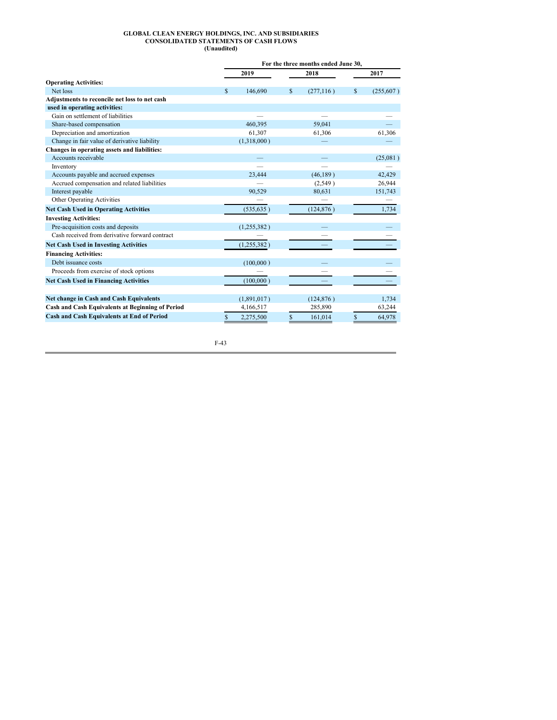|                                                   |               | For the three months ended June 30, |    |            |               |            |  |  |
|---------------------------------------------------|---------------|-------------------------------------|----|------------|---------------|------------|--|--|
|                                                   |               | 2019                                |    | 2018       |               | 2017       |  |  |
| <b>Operating Activities:</b>                      |               |                                     |    |            |               |            |  |  |
| Net loss                                          | $\mathcal{S}$ | 146,690                             | S  | (277, 116) | $\mathcal{S}$ | (255, 607) |  |  |
| Adjustments to reconcile net loss to net cash     |               |                                     |    |            |               |            |  |  |
| used in operating activities:                     |               |                                     |    |            |               |            |  |  |
| Gain on settlement of liabilities                 |               |                                     |    |            |               |            |  |  |
| Share-based compensation                          |               | 460,395                             |    | 59.041     |               |            |  |  |
| Depreciation and amortization                     |               | 61,307                              |    | 61,306     |               | 61,306     |  |  |
| Change in fair value of derivative liability      |               | (1,318,000)                         |    |            |               |            |  |  |
| Changes in operating assets and liabilities:      |               |                                     |    |            |               |            |  |  |
| Accounts receivable                               |               |                                     |    |            |               | (25,081)   |  |  |
| Inventory                                         |               |                                     |    |            |               |            |  |  |
| Accounts payable and accrued expenses             |               | 23,444                              |    | (46, 189)  |               | 42,429     |  |  |
| Accrued compensation and related liabilities      |               |                                     |    | (2,549)    |               | 26,944     |  |  |
| Interest payable                                  |               | 90,529                              |    | 80,631     |               | 151,743    |  |  |
| Other Operating Activities                        |               |                                     |    |            |               |            |  |  |
| <b>Net Cash Used in Operating Activities</b>      |               | (535, 635)                          |    | (124, 876) |               | 1,734      |  |  |
| <b>Investing Activities:</b>                      |               |                                     |    |            |               |            |  |  |
| Pre-acquisition costs and deposits                |               | (1,255,382)                         |    |            |               |            |  |  |
| Cash received from derivative forward contract    |               |                                     |    |            |               |            |  |  |
| <b>Net Cash Used in Investing Activities</b>      |               | (1,255,382)                         |    |            |               |            |  |  |
| <b>Financing Activities:</b>                      |               |                                     |    |            |               |            |  |  |
| Debt issuance costs                               |               | (100,000)                           |    |            |               |            |  |  |
| Proceeds from exercise of stock options           |               |                                     |    |            |               |            |  |  |
| <b>Net Cash Used in Financing Activities</b>      |               | (100,000)                           |    |            |               |            |  |  |
|                                                   |               |                                     |    |            |               |            |  |  |
| Net change in Cash and Cash Equivalents           |               | (1,891,017)                         |    | (124, 876) |               | 1,734      |  |  |
| Cash and Cash Equivalents at Beginning of Period  |               | 4,166,517                           |    | 285,890    |               | 63,244     |  |  |
| <b>Cash and Cash Equivalents at End of Period</b> | \$            | 2,275,500                           | \$ | 161,014    | \$            | 64,978     |  |  |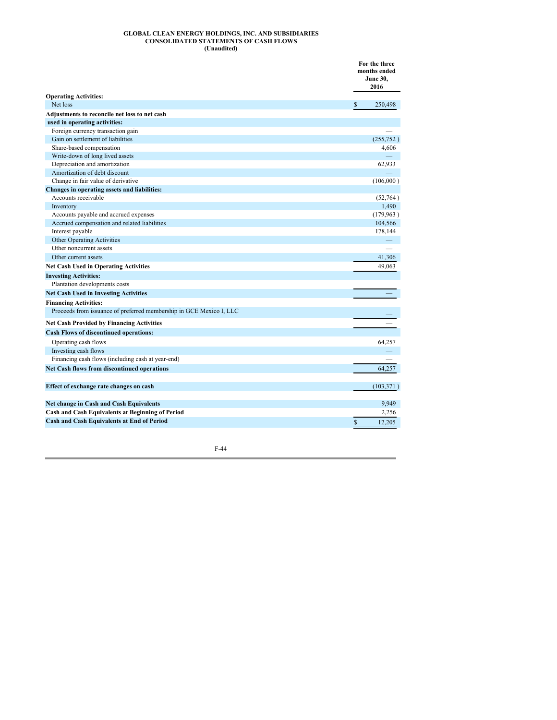|                                                                     |              | For the three<br>months ended<br><b>June 30,</b><br>2016 |
|---------------------------------------------------------------------|--------------|----------------------------------------------------------|
| <b>Operating Activities:</b>                                        |              |                                                          |
| Net loss                                                            | \$           | 250,498                                                  |
| Adjustments to reconcile net loss to net cash                       |              |                                                          |
| used in operating activities:                                       |              |                                                          |
| Foreign currency transaction gain                                   |              |                                                          |
| Gain on settlement of liabilities                                   |              | (255, 752)                                               |
| Share-based compensation                                            |              | 4,606                                                    |
| Write-down of long lived assets                                     |              |                                                          |
| Depreciation and amortization                                       |              | 62,933                                                   |
| Amortization of debt discount                                       |              |                                                          |
| Change in fair value of derivative                                  |              | (106,000)                                                |
| Changes in operating assets and liabilities:                        |              |                                                          |
| Accounts receivable                                                 |              | (52,764)                                                 |
| Inventory                                                           |              | 1,490                                                    |
| Accounts payable and accrued expenses                               |              | (179, 963)                                               |
| Accrued compensation and related liabilities                        |              | 104,566                                                  |
| Interest payable                                                    |              | 178,144                                                  |
| <b>Other Operating Activities</b>                                   |              |                                                          |
| Other noncurrent assets                                             |              |                                                          |
| Other current assets                                                |              | 41,306                                                   |
| <b>Net Cash Used in Operating Activities</b>                        |              | 49,063                                                   |
| <b>Investing Activities:</b>                                        |              |                                                          |
| Plantation developments costs                                       |              |                                                          |
| <b>Net Cash Used in Investing Activities</b>                        |              |                                                          |
| <b>Financing Activities:</b>                                        |              |                                                          |
| Proceeds from issuance of preferred membership in GCE Mexico I, LLC |              |                                                          |
| <b>Net Cash Provided by Financing Activities</b>                    |              |                                                          |
| <b>Cash Flows of discontinued operations:</b>                       |              |                                                          |
| Operating cash flows                                                |              | 64,257                                                   |
| Investing cash flows                                                |              |                                                          |
| Financing cash flows (including cash at year-end)                   |              |                                                          |
| <b>Net Cash flows from discontinued operations</b>                  |              | 64,257                                                   |
| Effect of exchange rate changes on cash                             |              | (103, 371)                                               |
| Net change in Cash and Cash Equivalents                             |              | 9.949                                                    |
| Cash and Cash Equivalents at Beginning of Period                    |              | 2,256                                                    |
| <b>Cash and Cash Equivalents at End of Period</b>                   | $\mathbb{S}$ | 12.205                                                   |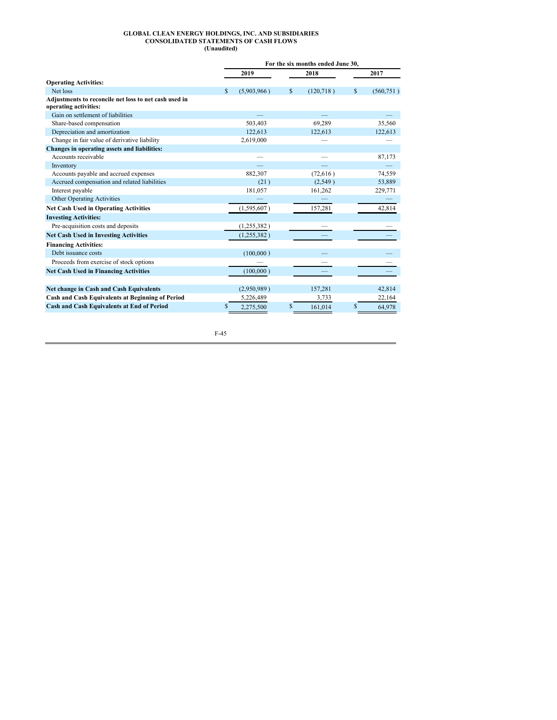|                                                                                | For the six months ended June 30. |               |    |            |              |            |
|--------------------------------------------------------------------------------|-----------------------------------|---------------|----|------------|--------------|------------|
|                                                                                |                                   | 2019          |    | 2018       |              | 2017       |
| <b>Operating Activities:</b>                                                   |                                   |               |    |            |              |            |
| Net loss                                                                       | \$                                | (5,903,966)   | S  | (120, 718) | $\mathbb{S}$ | (560, 751) |
| Adjustments to reconcile net loss to net cash used in<br>operating activities: |                                   |               |    |            |              |            |
| Gain on settlement of liabilities                                              |                                   |               |    |            |              |            |
| Share-based compensation                                                       |                                   | 503,403       |    | 69.289     |              | 35,560     |
| Depreciation and amortization                                                  |                                   | 122,613       |    | 122,613    |              | 122,613    |
| Change in fair value of derivative liability                                   |                                   | 2,619,000     |    |            |              |            |
| Changes in operating assets and liabilities:                                   |                                   |               |    |            |              |            |
| Accounts receivable                                                            |                                   |               |    |            |              | 87,173     |
| Inventory                                                                      |                                   |               |    |            |              |            |
| Accounts payable and accrued expenses                                          |                                   | 882,307       |    | (72,616)   |              | 74,559     |
| Accrued compensation and related liabilities                                   |                                   | (21)          |    | (2,549)    |              | 53,889     |
| Interest payable                                                               |                                   | 181,057       |    | 161,262    |              | 229,771    |
| <b>Other Operating Activities</b>                                              |                                   |               |    |            |              |            |
| <b>Net Cash Used in Operating Activities</b>                                   |                                   | (1,595,607)   |    | 157,281    |              | 42,814     |
| <b>Investing Activities:</b>                                                   |                                   |               |    |            |              |            |
| Pre-acquisition costs and deposits                                             |                                   | (1,255,382)   |    |            |              |            |
| <b>Net Cash Used in Investing Activities</b>                                   |                                   | (1, 255, 382) |    |            |              |            |
| <b>Financing Activities:</b>                                                   |                                   |               |    |            |              |            |
| Debt issuance costs                                                            |                                   | (100,000)     |    |            |              |            |
| Proceeds from exercise of stock options                                        |                                   |               |    |            |              |            |
| <b>Net Cash Used in Financing Activities</b>                                   |                                   | (100,000)     |    |            |              |            |
|                                                                                |                                   |               |    |            |              |            |
| Net change in Cash and Cash Equivalents                                        |                                   | (2,950,989)   |    | 157,281    |              | 42,814     |
| Cash and Cash Equivalents at Beginning of Period                               |                                   | 5,226,489     |    | 3,733      |              | 22,164     |
| <b>Cash and Cash Equivalents at End of Period</b>                              | \$                                | 2,275,500     | \$ | 161,014    | \$           | 64,978     |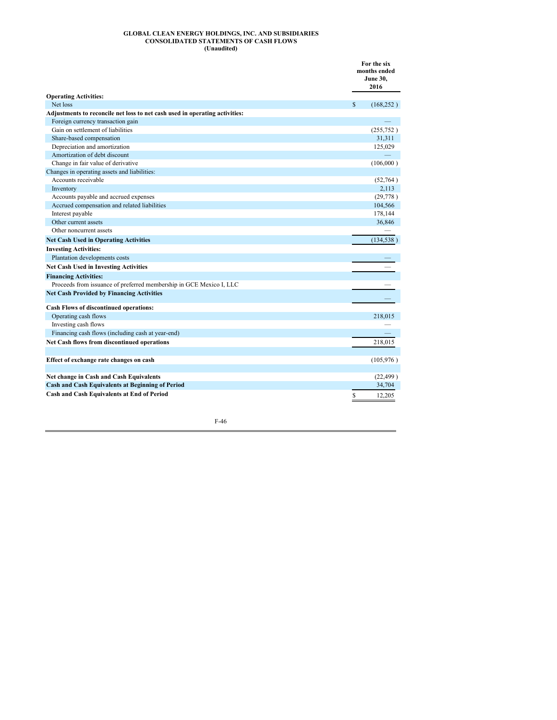|                                                                             | For the six<br>months ended<br><b>June 30.</b><br>2016 |            |  |
|-----------------------------------------------------------------------------|--------------------------------------------------------|------------|--|
| <b>Operating Activities:</b>                                                |                                                        |            |  |
| Net loss                                                                    | $\mathbb{S}$                                           | (168, 252) |  |
| Adjustments to reconcile net loss to net cash used in operating activities: |                                                        |            |  |
| Foreign currency transaction gain                                           |                                                        |            |  |
| Gain on settlement of liabilities                                           |                                                        | (255,752)  |  |
| Share-based compensation                                                    |                                                        | 31,311     |  |
| Depreciation and amortization                                               |                                                        | 125,029    |  |
| Amortization of debt discount                                               |                                                        |            |  |
| Change in fair value of derivative                                          |                                                        | (106,000)  |  |
| Changes in operating assets and liabilities:                                |                                                        |            |  |
| Accounts receivable                                                         |                                                        | (52,764)   |  |
| Inventory                                                                   |                                                        | 2,113      |  |
| Accounts payable and accrued expenses                                       |                                                        | (29,778)   |  |
| Accrued compensation and related liabilities                                |                                                        | 104,566    |  |
| Interest payable                                                            |                                                        | 178,144    |  |
| Other current assets                                                        |                                                        | 36,846     |  |
| Other noncurrent assets                                                     |                                                        |            |  |
| <b>Net Cash Used in Operating Activities</b>                                |                                                        | (134, 538) |  |
| <b>Investing Activities:</b>                                                |                                                        |            |  |
| Plantation developments costs                                               |                                                        |            |  |
| <b>Net Cash Used in Investing Activities</b>                                |                                                        |            |  |
| <b>Financing Activities:</b>                                                |                                                        |            |  |
| Proceeds from issuance of preferred membership in GCE Mexico I, LLC         |                                                        |            |  |
| <b>Net Cash Provided by Financing Activities</b>                            |                                                        |            |  |
|                                                                             |                                                        |            |  |
| <b>Cash Flows of discontinued operations:</b>                               |                                                        |            |  |
| Operating cash flows                                                        |                                                        | 218,015    |  |
| Investing cash flows                                                        |                                                        |            |  |
| Financing cash flows (including cash at year-end)                           |                                                        |            |  |
| Net Cash flows from discontinued operations                                 |                                                        | 218,015    |  |
|                                                                             |                                                        |            |  |
| Effect of exchange rate changes on cash                                     |                                                        | (105, 976) |  |
|                                                                             |                                                        |            |  |
| Net change in Cash and Cash Equivalents                                     |                                                        | (22, 499)  |  |
| Cash and Cash Equivalents at Beginning of Period                            |                                                        | 34,704     |  |
| <b>Cash and Cash Equivalents at End of Period</b>                           | S                                                      | 12.205     |  |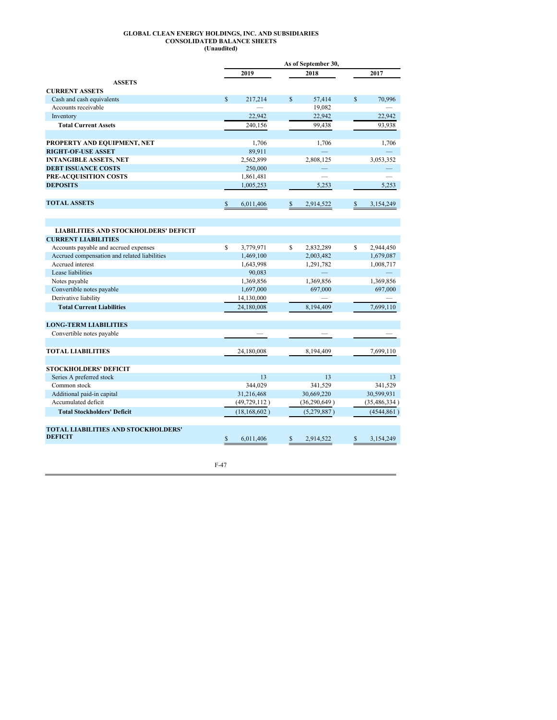#### **GLOBAL CLEAN ENERGY HOLDINGS, INC. AND SUBSIDIARIES CONSOLIDATED BALANCE SHEETS (Unaudited)**

|                               | As of September 30, |           |              |           |    |           |
|-------------------------------|---------------------|-----------|--------------|-----------|----|-----------|
|                               | 2019                |           |              | 2018      |    | 2017      |
| <b>ASSETS</b>                 |                     |           |              |           |    |           |
| <b>CURRENT ASSETS</b>         |                     |           |              |           |    |           |
| Cash and cash equivalents     | \$                  | 217,214   | $\mathbb{S}$ | 57,414    | \$ | 70,996    |
| Accounts receivable           |                     |           |              | 19,082    |    |           |
| Inventory                     |                     | 22,942    |              | 22,942    |    | 22,942    |
| <b>Total Current Assets</b>   |                     | 240,156   |              | 99,438    |    | 93,938    |
|                               |                     |           |              |           |    |           |
| PROPERTY AND EQUIPMENT, NET   |                     | 1.706     |              | 1.706     |    | 1,706     |
| <b>RIGHT-OF-USE ASSET</b>     |                     | 89.911    |              |           |    |           |
| <b>INTANGIBLE ASSETS, NET</b> |                     | 2,562,899 |              | 2,808,125 |    | 3,053,352 |
| <b>DEBT ISSUANCE COSTS</b>    |                     | 250,000   |              |           |    |           |
| PRE-ACQUISITION COSTS         |                     | 1,861,481 |              |           |    |           |
| <b>DEPOSITS</b>               |                     | 1,005,253 |              | 5,253     |    | 5,253     |
|                               |                     |           |              |           |    |           |
| <b>TOTAL ASSETS</b>           | \$                  | 6,011,406 |              | 2,914,522 |    | 3,154,249 |

| <b>LIABILITIES AND STOCKHOLDERS' DEFICIT</b> |                 |   |                |                 |
|----------------------------------------------|-----------------|---|----------------|-----------------|
| <b>CURRENT LIABILITIES</b>                   |                 |   |                |                 |
| Accounts payable and accrued expenses        | \$<br>3,779,971 | S | 2,832,289      | \$<br>2,944,450 |
| Accrued compensation and related liabilities | 1,469,100       |   | 2,003,482      | 1,679,087       |
| Accrued interest                             | 1,643,998       |   | 1,291,782      | 1,008,717       |
| Lease liabilities                            | 90.083          |   |                |                 |
| Notes payable                                | 1,369,856       |   | 1,369,856      | 1,369,856       |
| Convertible notes payable                    | 1,697,000       |   | 697,000        | 697,000         |
| Derivative liability                         | 14,130,000      |   |                |                 |
| <b>Total Current Liabilities</b>             | 24,180,008      |   | 8,194,409      | 7,699,110       |
| <b>LONG-TERM LIABILITIES</b>                 |                 |   |                |                 |
| Convertible notes payable                    |                 |   |                |                 |
|                                              |                 |   |                |                 |
| <b>TOTAL LIABILITIES</b>                     | 24,180,008      |   | 8,194,409      | 7,699,110       |
| <b>STOCKHOLDERS' DEFICIT</b>                 |                 |   |                |                 |
| Series A preferred stock                     | 13              |   | 13             | 13              |
| Common stock                                 | 344,029         |   | 341,529        | 341,529         |
| Additional paid-in capital                   | 31,216,468      |   | 30,669,220     | 30,599,931      |
| Accumulated deficit                          | (49, 729, 112)  |   | (36, 290, 649) | (35, 486, 334)  |
| <b>Total Stockholders' Deficit</b>           | (18, 168, 602)  |   | (5,279,887)    | (4544, 861)     |
| <b>TOTAL LIABILITIES AND STOCKHOLDERS'</b>   |                 |   |                |                 |
| <b>DEFICIT</b>                               | \$<br>6,011,406 |   | 2,914,522      | 3,154,249       |
|                                              |                 |   |                |                 |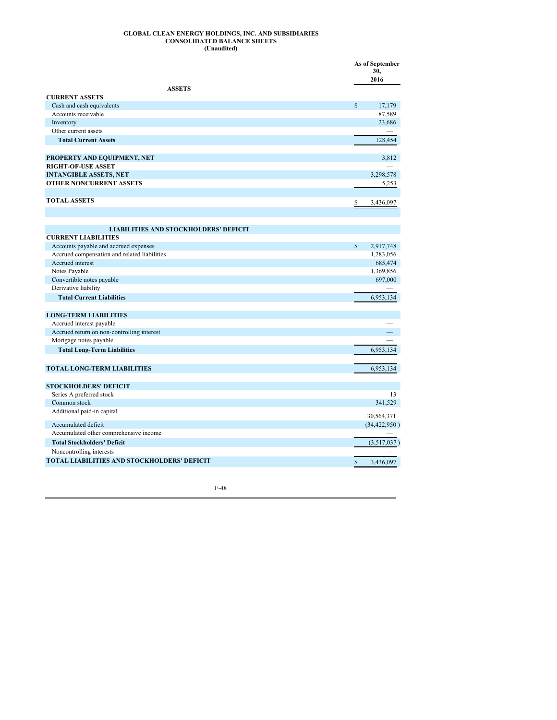### **GLOBAL CLEAN ENERGY HOLDINGS, INC. AND SUBSIDIARIES CONSOLIDATED BALANCE SHEETS (Unaudited)**

|                                                  | As of September<br>30,    |
|--------------------------------------------------|---------------------------|
|                                                  | 2016                      |
| <b>ASSETS</b>                                    |                           |
| <b>CURRENT ASSETS</b>                            | $\mathbb{S}$<br>17,179    |
| Cash and cash equivalents<br>Accounts receivable | 87,589                    |
| Inventory                                        | 23,686                    |
| Other current assets                             |                           |
| <b>Total Current Assets</b>                      | 128,454                   |
|                                                  |                           |
| PROPERTY AND EQUIPMENT, NET                      | 3,812                     |
| <b>RIGHT-OF-USE ASSET</b>                        |                           |
| <b>INTANGIBLE ASSETS, NET</b>                    | 3,298,578                 |
| <b>OTHER NONCURRENT ASSETS</b>                   | 5,253                     |
|                                                  |                           |
| <b>TOTAL ASSETS</b>                              | 3,436,097<br>\$           |
|                                                  |                           |
| <b>LIABILITIES AND STOCKHOLDERS' DEFICIT</b>     |                           |
| <b>CURRENT LIABILITIES</b>                       |                           |
| Accounts payable and accrued expenses            | $\mathbb{S}$<br>2,917,748 |
| Accrued compensation and related liabilities     | 1,283,056                 |
| Accrued interest                                 | 685,474                   |
| Notes Payable                                    | 1,369,856                 |
| Convertible notes payable                        | 697,000                   |
| Derivative liability                             |                           |
| <b>Total Current Liabilities</b>                 | 6,953,134                 |
| <b>LONG-TERM LIABILITIES</b>                     |                           |
| Accrued interest payable                         |                           |
| Accrued return on non-controlling interest       |                           |
| Mortgage notes payable                           |                           |
| <b>Total Long-Term Liabilities</b>               | 6,953,134                 |
|                                                  |                           |
| <b>TOTAL LONG-TERM LIABILITIES</b>               | 6,953,134                 |
|                                                  |                           |
| <b>STOCKHOLDERS' DEFICIT</b>                     |                           |
| Series A preferred stock                         | 13                        |
| Common stock                                     | 341,529                   |
| Additional paid-in capital                       | 30,564,371                |
| Accumulated deficit                              | (34, 422, 950)            |
| Accumulated other comprehensive income           |                           |
| <b>Total Stockholders' Deficit</b>               | (3,517,037)               |
| Noncontrolling interests                         |                           |
| TOTAL LIABILITIES AND STOCKHOLDERS' DEFICIT      | \$<br>3,436,097           |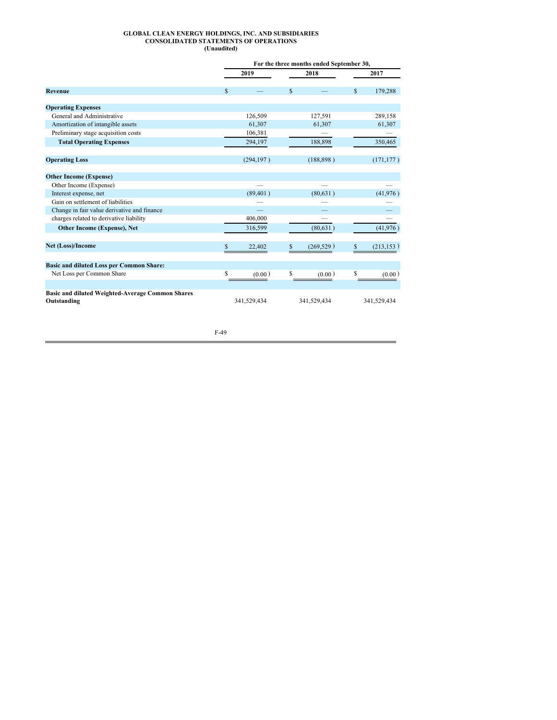|                                                                 | For the three months ended September 30, |             |    |             |              |             |
|-----------------------------------------------------------------|------------------------------------------|-------------|----|-------------|--------------|-------------|
|                                                                 |                                          | 2019        |    | 2018        |              | 2017        |
| <b>Revenue</b>                                                  | \$                                       |             | S  |             | $\mathbb{S}$ | 179,288     |
|                                                                 |                                          |             |    |             |              |             |
| <b>Operating Expenses</b>                                       |                                          |             |    |             |              |             |
| General and Administrative                                      |                                          | 126,509     |    | 127,591     |              | 289,158     |
| Amortization of intangible assets                               |                                          | 61,307      |    | 61,307      |              | 61,307      |
| Preliminary stage acquisition costs                             |                                          | 106,381     |    |             |              |             |
| <b>Total Operating Expenses</b>                                 |                                          | 294,197     |    | 188,898     |              | 350,465     |
| <b>Operating Loss</b>                                           |                                          | (294, 197)  |    | (188, 898)  |              | (171, 177)  |
| <b>Other Income (Expense)</b>                                   |                                          |             |    |             |              |             |
| Other Income (Expense)                                          |                                          |             |    |             |              |             |
| Interest expense, net                                           |                                          | (89, 401)   |    | (80, 631)   |              | (41, 976)   |
| Gain on settlement of liabilities                               |                                          |             |    |             |              |             |
| Change in fair value derivative and finance                     |                                          |             |    |             |              |             |
| charges related to derivative liability                         |                                          | 406,000     |    |             |              |             |
| Other Income (Expense), Net                                     |                                          | 316,599     |    | (80, 631)   |              | (41, 976)   |
| Net (Loss)/Income                                               | S                                        | 22,402      | S  | (269, 529)  |              | (213, 153)  |
| <b>Basic and diluted Loss per Common Share:</b>                 |                                          |             |    |             |              |             |
| Net Loss per Common Share                                       | \$                                       | (0.00)      | \$ | (0.00)      | \$           | (0.00)      |
| Basic and diluted Weighted-Average Common Shares<br>Outstanding |                                          | 341,529,434 |    | 341,529,434 |              | 341,529,434 |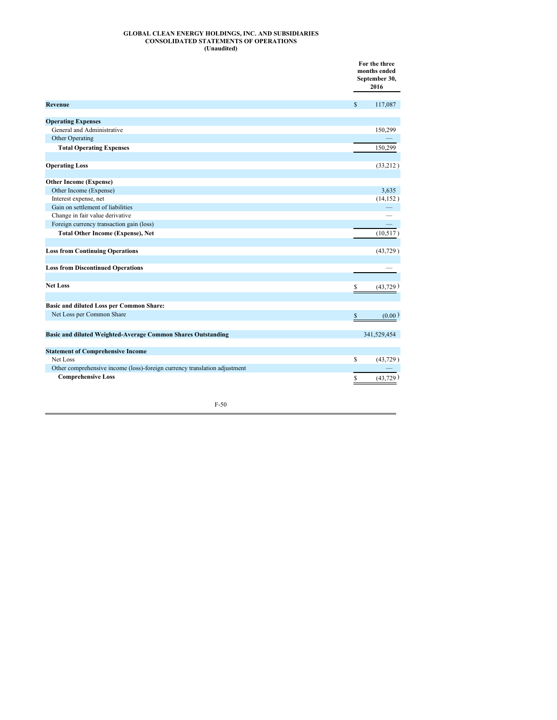|                                                                           | For the three<br>months ended<br>September 30,<br>2016 |
|---------------------------------------------------------------------------|--------------------------------------------------------|
| <b>Revenue</b>                                                            | $\mathbb{S}$<br>117,087                                |
|                                                                           |                                                        |
| <b>Operating Expenses</b><br>General and Administrative                   | 150,299                                                |
| Other Operating                                                           |                                                        |
|                                                                           |                                                        |
| <b>Total Operating Expenses</b>                                           | 150,299                                                |
| <b>Operating Loss</b>                                                     | (33,212)                                               |
|                                                                           |                                                        |
| <b>Other Income (Expense)</b>                                             |                                                        |
| Other Income (Expense)                                                    | 3.635                                                  |
| Interest expense, net                                                     | (14, 152)                                              |
| Gain on settlement of liabilities                                         |                                                        |
| Change in fair value derivative                                           |                                                        |
| Foreign currency transaction gain (loss)                                  |                                                        |
| <b>Total Other Income (Expense), Net</b>                                  | (10,517)                                               |
|                                                                           |                                                        |
| <b>Loss from Continuing Operations</b>                                    | (43, 729)                                              |
| <b>Loss from Discontinued Operations</b>                                  |                                                        |
|                                                                           |                                                        |
| <b>Net Loss</b>                                                           | (43.729)<br>\$                                         |
|                                                                           |                                                        |
| Basic and diluted Loss per Common Share:                                  |                                                        |
| Net Loss per Common Share                                                 | \$<br>(0.00)                                           |
|                                                                           |                                                        |
| Basic and diluted Weighted-Average Common Shares Outstanding              | 341,529,454                                            |
| <b>Statement of Comprehensive Income</b>                                  |                                                        |
| Net Loss                                                                  | \$<br>(43, 729)                                        |
| Other comprehensive income (loss)-foreign currency translation adjustment |                                                        |
| <b>Comprehensive Loss</b>                                                 | \$<br>(43, 729)                                        |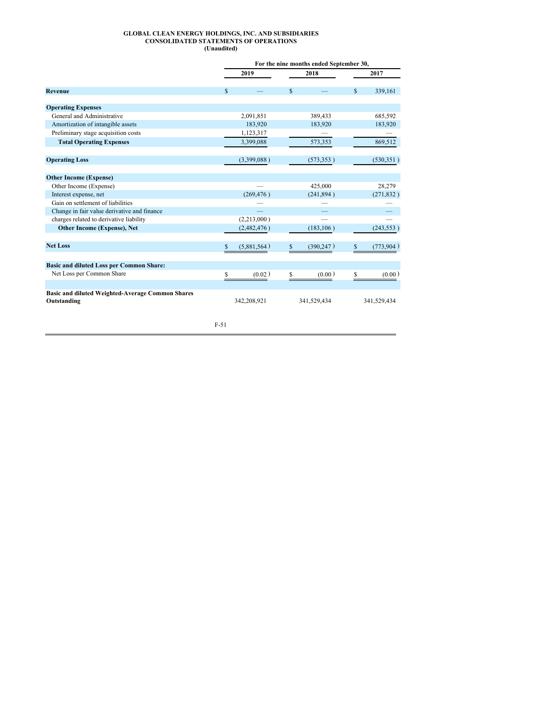|                                                         | For the nine months ended September 30, |              |              |             |               |             |
|---------------------------------------------------------|-----------------------------------------|--------------|--------------|-------------|---------------|-------------|
|                                                         |                                         | 2018<br>2019 |              |             | 2017          |             |
| <b>Revenue</b>                                          | \$                                      |              | $\mathbf{s}$ |             | $\mathcal{S}$ | 339,161     |
| <b>Operating Expenses</b>                               |                                         |              |              |             |               |             |
| General and Administrative                              |                                         | 2,091,851    |              | 389,433     |               | 685,592     |
| Amortization of intangible assets                       |                                         | 183,920      |              | 183,920     |               | 183,920     |
| Preliminary stage acquisition costs                     |                                         | 1,123,317    |              |             |               |             |
| <b>Total Operating Expenses</b>                         |                                         | 3,399,088    |              | 573,353     |               | 869,512     |
| <b>Operating Loss</b>                                   |                                         | (3,399,088)  |              | (573, 353)  |               | (530, 351)  |
| <b>Other Income (Expense)</b>                           |                                         |              |              |             |               |             |
| Other Income (Expense)                                  |                                         |              |              | 425,000     |               | 28,279      |
| Interest expense, net                                   |                                         | (269, 476)   |              | (241, 894)  |               | (271, 832)  |
| Gain on settlement of liabilities                       |                                         |              |              |             |               |             |
| Change in fair value derivative and finance             |                                         |              |              |             |               |             |
| charges related to derivative liability                 |                                         | (2,213,000)  |              |             |               |             |
| Other Income (Expense), Net                             |                                         | (2,482,476)  |              | (183, 106)  |               | (243, 553)  |
| <b>Net Loss</b>                                         | \$                                      | (5,881,564)  | \$           | (390, 247)  | \$            | (773, 904)  |
| <b>Basic and diluted Loss per Common Share:</b>         |                                         |              |              |             |               |             |
| Net Loss per Common Share                               | \$                                      | (0.02)       | \$           | (0.00)      | \$            | (0.00)      |
| <b>Basic and diluted Weighted-Average Common Shares</b> |                                         |              |              |             |               |             |
| Outstanding                                             |                                         | 342,208,921  |              | 341,529,434 |               | 341,529,434 |
|                                                         | $F-51$                                  |              |              |             |               |             |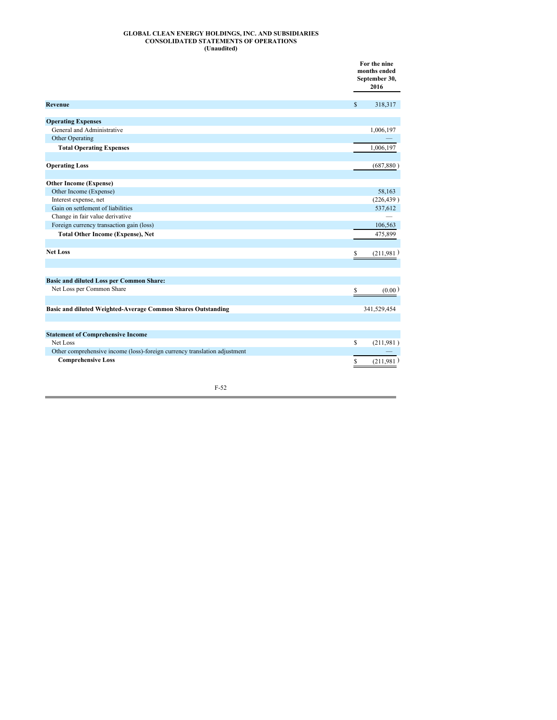|                                                                           | For the nine<br>months ended<br>September 30,<br>2016 |
|---------------------------------------------------------------------------|-------------------------------------------------------|
| <b>Revenue</b>                                                            | $\mathbb{S}$<br>318,317                               |
|                                                                           |                                                       |
| <b>Operating Expenses</b>                                                 |                                                       |
| General and Administrative                                                | 1,006,197                                             |
| Other Operating                                                           |                                                       |
| <b>Total Operating Expenses</b>                                           | 1,006,197                                             |
|                                                                           |                                                       |
| <b>Operating Loss</b>                                                     | (687, 880)                                            |
|                                                                           |                                                       |
| <b>Other Income (Expense)</b>                                             |                                                       |
| Other Income (Expense)                                                    | 58,163                                                |
| Interest expense, net                                                     | (226, 439)                                            |
| Gain on settlement of liabilities                                         | 537,612                                               |
| Change in fair value derivative                                           |                                                       |
| Foreign currency transaction gain (loss)                                  | 106,563                                               |
| <b>Total Other Income (Expense), Net</b>                                  | 475,899                                               |
|                                                                           |                                                       |
| <b>Net Loss</b>                                                           | (211,981)<br>S                                        |
|                                                                           |                                                       |
|                                                                           |                                                       |
| <b>Basic and diluted Loss per Common Share:</b>                           |                                                       |
| Net Loss per Common Share                                                 | (0.00)<br>S                                           |
|                                                                           |                                                       |
| Basic and diluted Weighted-Average Common Shares Outstanding              | 341,529,454                                           |
|                                                                           |                                                       |
| <b>Statement of Comprehensive Income</b>                                  |                                                       |
| Net Loss                                                                  | \$<br>(211,981)                                       |
| Other comprehensive income (loss)-foreign currency translation adjustment |                                                       |
| <b>Comprehensive Loss</b>                                                 | (211,981)<br>\$                                       |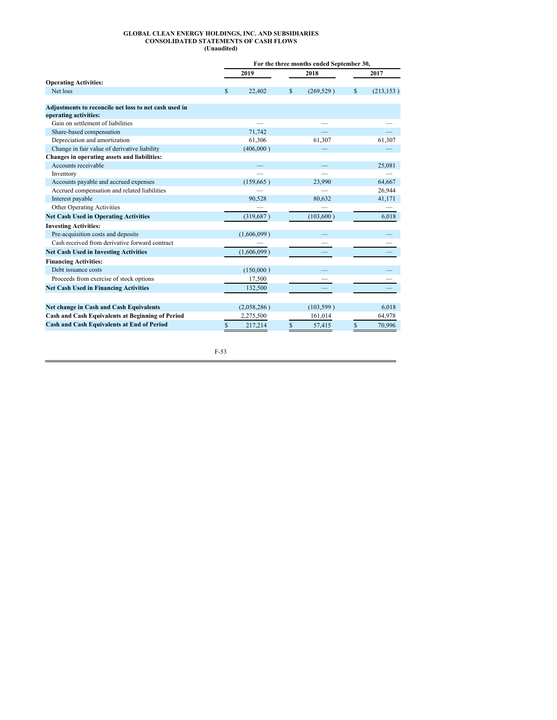|                                                                                |              | For the three months ended September 30, |    |            |    |            |  |
|--------------------------------------------------------------------------------|--------------|------------------------------------------|----|------------|----|------------|--|
|                                                                                | 2019         |                                          |    | 2018       |    | 2017       |  |
| <b>Operating Activities:</b>                                                   |              |                                          |    |            |    |            |  |
| Net loss                                                                       | $\mathbb{S}$ | 22,402                                   | S  | (269, 529) | \$ | (213, 153) |  |
|                                                                                |              |                                          |    |            |    |            |  |
| Adjustments to reconcile net loss to net cash used in<br>operating activities: |              |                                          |    |            |    |            |  |
| Gain on settlement of liabilities                                              |              |                                          |    |            |    |            |  |
| Share-based compensation                                                       |              | 71,742                                   |    |            |    |            |  |
| Depreciation and amortization                                                  |              | 61,306                                   |    | 61,307     |    | 61,307     |  |
| Change in fair value of derivative liability                                   |              | (406,000)                                |    |            |    |            |  |
| Changes in operating assets and liabilities:                                   |              |                                          |    |            |    |            |  |
| Accounts receivable                                                            |              |                                          |    |            |    | 25,081     |  |
| Inventory                                                                      |              |                                          |    |            |    |            |  |
| Accounts payable and accrued expenses                                          |              | (159,665)                                |    | 23,990     |    | 64,667     |  |
| Accrued compensation and related liabilities                                   |              |                                          |    |            |    | 26,944     |  |
| Interest payable                                                               |              | 90,528                                   |    | 80,632     |    | 41,171     |  |
| <b>Other Operating Activities</b>                                              |              |                                          |    |            |    |            |  |
| <b>Net Cash Used in Operating Activities</b>                                   |              | (319,687)                                |    | (103,600)  |    | 6,018      |  |
| <b>Investing Activities:</b>                                                   |              |                                          |    |            |    |            |  |
| Pre-acquisition costs and deposits                                             |              | (1,606,099)                              |    |            |    |            |  |
| Cash received from derivative forward contract                                 |              |                                          |    |            |    |            |  |
| <b>Net Cash Used in Investing Activities</b>                                   |              | (1,606,099)                              |    |            |    |            |  |
| <b>Financing Activities:</b>                                                   |              |                                          |    |            |    |            |  |
| Debt issuance costs                                                            |              | (150,000)                                |    |            |    |            |  |
| Proceeds from exercise of stock options                                        |              | 17,500                                   |    |            |    |            |  |
| <b>Net Cash Used in Financing Activities</b>                                   |              | 132,500                                  |    |            |    |            |  |
|                                                                                |              |                                          |    |            |    |            |  |
| Net change in Cash and Cash Equivalents                                        |              | (2,058,286)                              |    | (103, 599) |    | 6,018      |  |
| Cash and Cash Equivalents at Beginning of Period                               |              | 2,275,500                                |    | 161,014    |    | 64,978     |  |
| <b>Cash and Cash Equivalents at End of Period</b>                              | \$           | 217,214                                  | \$ | 57,415     | \$ | 70,996     |  |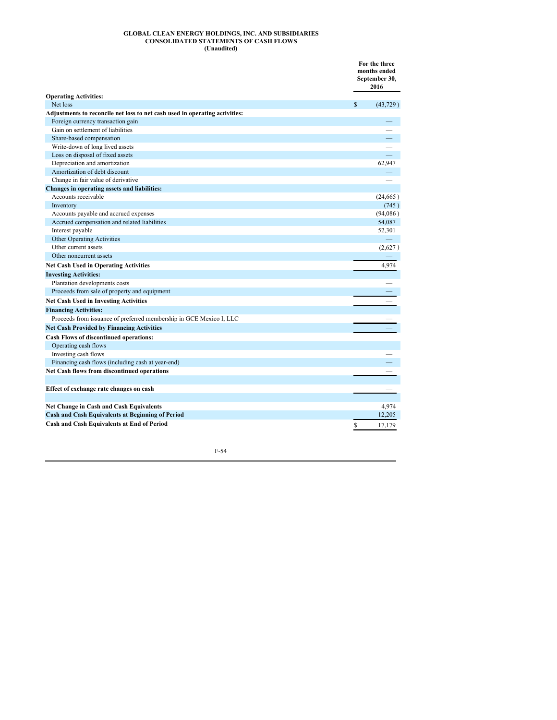|                                                                             | For the three<br>months ended<br>September 30,<br>2016 |
|-----------------------------------------------------------------------------|--------------------------------------------------------|
| <b>Operating Activities:</b><br>Net loss                                    | \$                                                     |
| Adjustments to reconcile net loss to net cash used in operating activities: | (43, 729)                                              |
| Foreign currency transaction gain                                           |                                                        |
| Gain on settlement of liabilities                                           |                                                        |
| Share-based compensation                                                    |                                                        |
| Write-down of long lived assets                                             |                                                        |
| Loss on disposal of fixed assets                                            |                                                        |
| Depreciation and amortization                                               | 62,947                                                 |
| Amortization of debt discount                                               |                                                        |
| Change in fair value of derivative                                          |                                                        |
| Changes in operating assets and liabilities:                                |                                                        |
| Accounts receivable                                                         | (24, 665)                                              |
| Inventory                                                                   | (745)                                                  |
| Accounts payable and accrued expenses                                       | (94,086)                                               |
| Accrued compensation and related liabilities                                | 54,087                                                 |
| Interest payable                                                            | 52,301                                                 |
| <b>Other Operating Activities</b>                                           |                                                        |
| Other current assets                                                        | (2,627)                                                |
| Other noncurrent assets                                                     |                                                        |
| <b>Net Cash Used in Operating Activities</b>                                | 4,974                                                  |
| <b>Investing Activities:</b>                                                |                                                        |
| Plantation developments costs                                               |                                                        |
| Proceeds from sale of property and equipment                                |                                                        |
| <b>Net Cash Used in Investing Activities</b>                                |                                                        |
| <b>Financing Activities:</b>                                                |                                                        |
| Proceeds from issuance of preferred membership in GCE Mexico I, LLC         |                                                        |
| <b>Net Cash Provided by Financing Activities</b>                            |                                                        |
| <b>Cash Flows of discontinued operations:</b>                               |                                                        |
| Operating cash flows                                                        |                                                        |
| Investing cash flows                                                        |                                                        |
| Financing cash flows (including cash at year-end)                           |                                                        |
| Net Cash flows from discontinued operations                                 |                                                        |
|                                                                             |                                                        |
| Effect of exchange rate changes on cash                                     |                                                        |
|                                                                             |                                                        |
| Net Change in Cash and Cash Equivalents                                     | 4,974                                                  |
| <b>Cash and Cash Equivalents at Beginning of Period</b>                     | 12,205                                                 |
| Cash and Cash Equivalents at End of Period                                  |                                                        |
|                                                                             | \$<br>17,179                                           |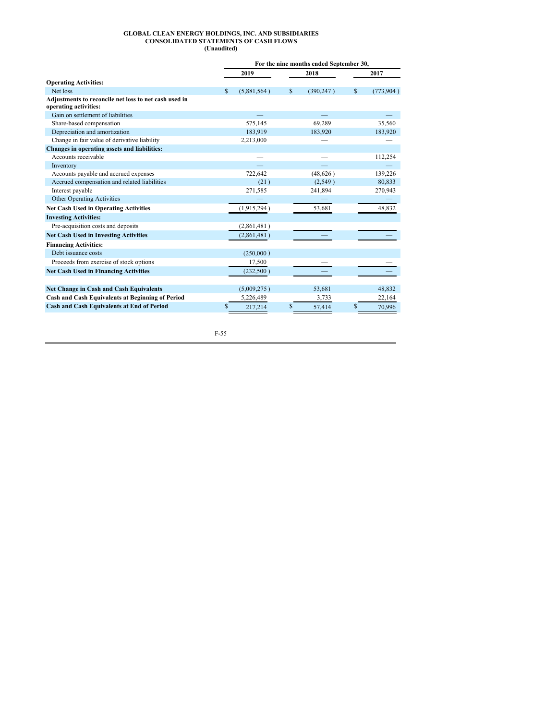|                                                                                | For the nine months ended September 30, |              |              |            |    |            |
|--------------------------------------------------------------------------------|-----------------------------------------|--------------|--------------|------------|----|------------|
|                                                                                |                                         | 2019<br>2018 |              | 2017       |    |            |
| <b>Operating Activities:</b>                                                   |                                         |              |              |            |    |            |
| Net loss                                                                       | \$                                      | (5,881,564)  | $\mathbf{s}$ | (390, 247) | \$ | (773, 904) |
| Adjustments to reconcile net loss to net cash used in<br>operating activities: |                                         |              |              |            |    |            |
| Gain on settlement of liabilities                                              |                                         |              |              |            |    |            |
| Share-based compensation                                                       |                                         | 575.145      |              | 69.289     |    | 35,560     |
| Depreciation and amortization                                                  |                                         | 183,919      |              | 183,920    |    | 183,920    |
| Change in fair value of derivative liability                                   |                                         | 2,213,000    |              |            |    |            |
| Changes in operating assets and liabilities:                                   |                                         |              |              |            |    |            |
| Accounts receivable                                                            |                                         |              |              |            |    | 112,254    |
| Inventory                                                                      |                                         |              |              |            |    |            |
| Accounts payable and accrued expenses                                          |                                         | 722,642      |              | (48, 626)  |    | 139,226    |
| Accrued compensation and related liabilities                                   |                                         | (21)         |              | (2,549)    |    | 80,833     |
| Interest payable                                                               |                                         | 271,585      |              | 241,894    |    | 270,943    |
| <b>Other Operating Activities</b>                                              |                                         |              |              |            |    |            |
| <b>Net Cash Used in Operating Activities</b>                                   |                                         | (1,915,294)  |              | 53,681     |    | 48,832     |
| <b>Investing Activities:</b>                                                   |                                         |              |              |            |    |            |
| Pre-acquisition costs and deposits                                             |                                         | (2,861,481)  |              |            |    |            |
| <b>Net Cash Used in Investing Activities</b>                                   |                                         | (2,861,481)  |              |            |    |            |
| <b>Financing Activities:</b>                                                   |                                         |              |              |            |    |            |
| Debt issuance costs                                                            |                                         | (250,000)    |              |            |    |            |
| Proceeds from exercise of stock options                                        |                                         | 17,500       |              |            |    |            |
| <b>Net Cash Used in Financing Activities</b>                                   |                                         | (232,500)    |              |            |    |            |
|                                                                                |                                         |              |              |            |    |            |
| Net Change in Cash and Cash Equivalents                                        |                                         | (5,009,275)  |              | 53,681     |    | 48,832     |
| <b>Cash and Cash Equivalents at Beginning of Period</b>                        |                                         | 5,226,489    |              | 3,733      |    | 22,164     |
| <b>Cash and Cash Equivalents at End of Period</b>                              | \$                                      | 217,214      | \$           | 57,414     | \$ | 70,996     |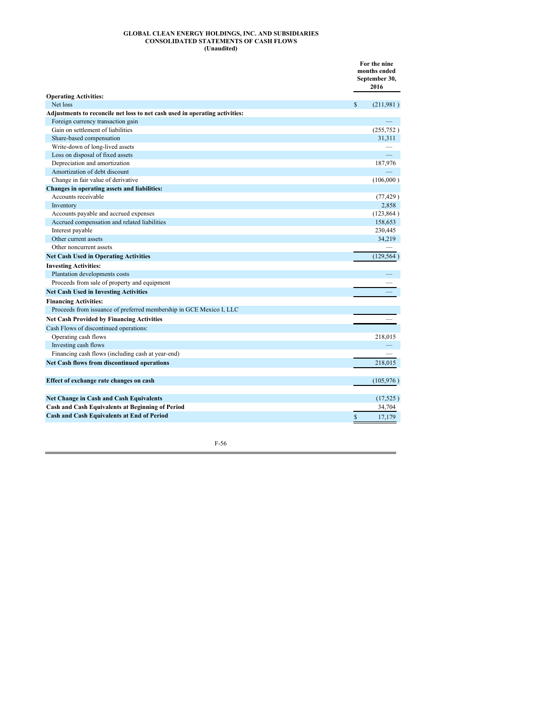|                                                                             | For the nine<br>months ended<br>September 30,<br>2016 |
|-----------------------------------------------------------------------------|-------------------------------------------------------|
| <b>Operating Activities:</b>                                                |                                                       |
| Net loss                                                                    | $\mathbb{S}$<br>(211,981)                             |
| Adjustments to reconcile net loss to net cash used in operating activities: |                                                       |
| Foreign currency transaction gain                                           |                                                       |
| Gain on settlement of liabilities                                           | (255,752)                                             |
| Share-based compensation                                                    | 31,311                                                |
| Write-down of long-lived assets                                             |                                                       |
| Loss on disposal of fixed assets                                            |                                                       |
| Depreciation and amortization                                               | 187,976                                               |
| Amortization of debt discount                                               |                                                       |
| Change in fair value of derivative                                          | (106,000)                                             |
| Changes in operating assets and liabilities:                                |                                                       |
| Accounts receivable                                                         | (77, 429)                                             |
| Inventory                                                                   | 2,858                                                 |
| Accounts payable and accrued expenses                                       | (123, 864)                                            |
| Accrued compensation and related liabilities                                | 158,653                                               |
| Interest payable                                                            | 230,445                                               |
| Other current assets                                                        | 34,219                                                |
| Other noncurrent assets                                                     |                                                       |
| <b>Net Cash Used in Operating Activities</b>                                | (129, 564)                                            |
| <b>Investing Activities:</b>                                                |                                                       |
| Plantation developments costs                                               |                                                       |
| Proceeds from sale of property and equipment                                |                                                       |
| <b>Net Cash Used in Investing Activities</b>                                |                                                       |
| <b>Financing Activities:</b>                                                |                                                       |
| Proceeds from issuance of preferred membership in GCE Mexico I, LLC         |                                                       |
| <b>Net Cash Provided by Financing Activities</b>                            |                                                       |
|                                                                             |                                                       |
| Cash Flows of discontinued operations:                                      |                                                       |
| Operating cash flows<br>Investing cash flows                                | 218,015                                               |
|                                                                             |                                                       |
| Financing cash flows (including cash at year-end)                           |                                                       |
| Net Cash flows from discontinued operations                                 | 218,015                                               |
|                                                                             |                                                       |
| Effect of exchange rate changes on cash                                     | (105, 976)                                            |
| Net Change in Cash and Cash Equivalents                                     | (17, 525)                                             |
| Cash and Cash Equivalents at Beginning of Period                            | 34,704                                                |
| <b>Cash and Cash Equivalents at End of Period</b>                           | \$<br>17,179                                          |
|                                                                             |                                                       |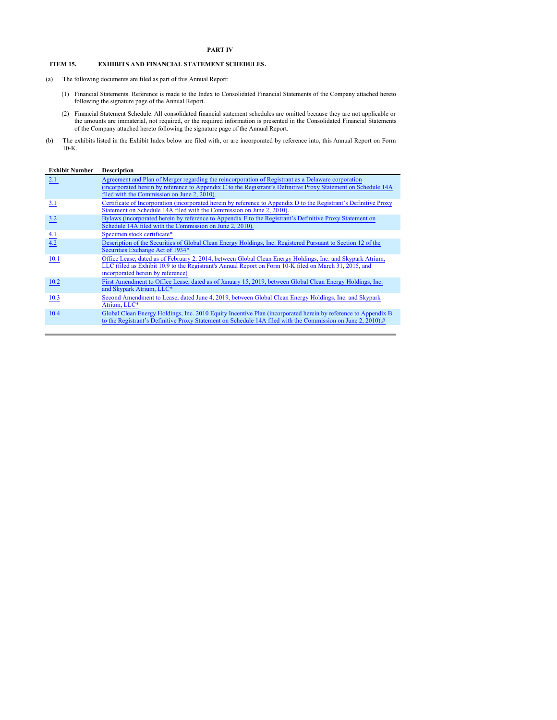# **PART IV**

# **ITEM 15. EXHIBITS AND FINANCIAL STATEMENT SCHEDULES.**

(a) The following documents are filed as part of this Annual Report:

- (1) Financial Statements. Reference is made to the Index to Consolidated Financial Statements of the Company attached hereto following the signature page of the Annual Report.
- (2) Financial Statement Schedule. All consolidated financial statement schedules are omitted because they are not applicable or the amounts are immaterial, not required, or the required information is presented in the Consolidated Financial Statements of the Company attached hereto following the signature page of the Annual Report.
- (b) The exhibits listed in the Exhibit Index below are filed with, or are incorporated by reference into, this Annual Report on Form 10-K.

| <b>Exhibit Number</b> | <b>Description</b>                                                                                                                                                                                                                                                  |
|-----------------------|---------------------------------------------------------------------------------------------------------------------------------------------------------------------------------------------------------------------------------------------------------------------|
| 2.1                   | Agreement and Plan of Merger regarding the reincorporation of Registrant as a Delaware corporation<br>(incorporated herein by reference to Appendix C to the Registrant's Definitive Proxy Statement on Schedule 14A<br>filed with the Commission on June 2, 2010). |
| 3.1                   | Certificate of Incorporation (incorporated herein by reference to Appendix D to the Registrant's Definitive Proxy<br>Statement on Schedule 14A filed with the Commission on June 2, 2010).                                                                          |
| 3.2                   | Bylaws (incorporated herein by reference to Appendix E to the Registrant's Definitive Proxy Statement on<br>Schedule 14A filed with the Commission on June 2, 2010).                                                                                                |
| 4.1                   | Specimen stock certificate*                                                                                                                                                                                                                                         |
| $\overline{4.2}$      | Description of the Securities of Global Clean Energy Holdings, Inc. Registered Pursuant to Section 12 of the<br>Securities Exchange Act of 1934*                                                                                                                    |
| 10.1                  | Office Lease, dated as of February 2, 2014, between Global Clean Energy Holdings, Inc. and Skypark Atrium,<br>LLC (filed as Exhibit 10.9 to the Registrant's Annual Report on Form 10-K filed on March 31, 2015, and<br>incorporated herein by reference)           |
| 10.2                  | First Amendment to Office Lease, dated as of January 15, 2019, between Global Clean Energy Holdings, Inc.<br>and Skypark Atrium, LLC*                                                                                                                               |
| 10.3                  | Second Amendment to Lease, dated June 4, 2019, between Global Clean Energy Holdings, Inc. and Skypark<br>Atrium, LLC*                                                                                                                                               |
| 10.4                  | Global Clean Energy Holdings, Inc. 2010 Equity Incentive Plan (incorporated herein by reference to Appendix B<br>to the Registrant's Definitive Proxy Statement on Schedule 14A filed with the Commission on June 2, 2010).#                                        |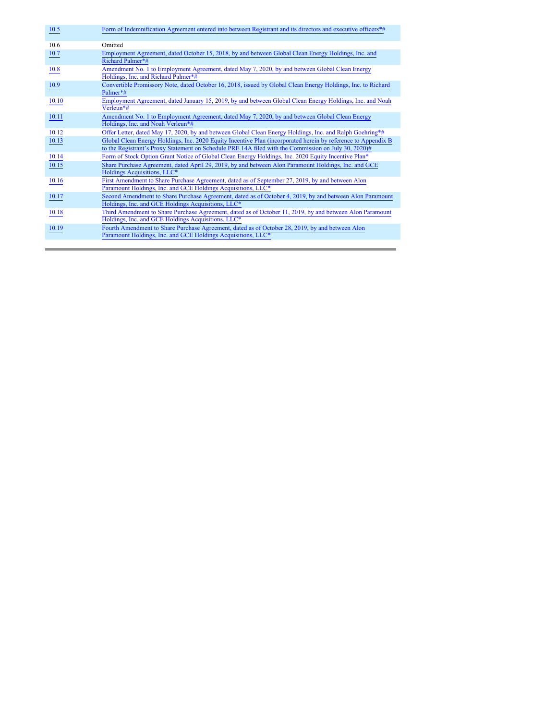| 10.5  | Form of Indemnification Agreement entered into between Registrant and its directors and executive officers*#                                                                                                          |
|-------|-----------------------------------------------------------------------------------------------------------------------------------------------------------------------------------------------------------------------|
| 10.6  | Omitted                                                                                                                                                                                                               |
| 10.7  | Employment Agreement, dated October 15, 2018, by and between Global Clean Energy Holdings, Inc. and<br>Richard Palmer*#                                                                                               |
| 10.8  | Amendment No. 1 to Employment Agreement, dated May 7, 2020, by and between Global Clean Energy<br>Holdings, Inc. and Richard Palmer*#                                                                                 |
| 10.9  | Convertible Promissory Note, dated October 16, 2018, issued by Global Clean Energy Holdings, Inc. to Richard<br>Palmer*#                                                                                              |
| 10.10 | Employment Agreement, dated January 15, 2019, by and between Global Clean Energy Holdings, Inc. and Noah<br>Verleun*#                                                                                                 |
| 10.11 | Amendment No. 1 to Employment Agreement, dated May 7, 2020, by and between Global Clean Energy<br>Holdings, Inc. and Noah Verleun*#                                                                                   |
| 10.12 | Offer Letter, dated May 17, 2020, by and between Global Clean Energy Holdings, Inc. and Ralph Goehring*#                                                                                                              |
| 10.13 | Global Clean Energy Holdings, Inc. 2020 Equity Incentive Plan (incorporated herein by reference to Appendix B<br>to the Registrant's Proxy Statement on Schedule PRE 14A filed with the Commission on July 30, 2020)# |
| 10.14 | Form of Stock Option Grant Notice of Global Clean Energy Holdings, Inc. 2020 Equity Incentive Plan*                                                                                                                   |
| 10.15 | Share Purchase Agreement, dated April 29, 2019, by and between Alon Paramount Holdings, Inc. and GCE<br>Holdings Acquisitions, LLC*                                                                                   |
| 10.16 | First Amendment to Share Purchase Agreement, dated as of September 27, 2019, by and between Alon<br>Paramount Holdings, Inc. and GCE Holdings Acquisitions, LLC*                                                      |
| 10.17 | Second Amendment to Share Purchase Agreement, dated as of October 4, 2019, by and between Alon Paramount<br>Holdings, Inc. and GCE Holdings Acquisitions, LLC*                                                        |
| 10.18 | Third Amendment to Share Purchase Agreement, dated as of October 11, 2019, by and between Alon Paramount<br>Holdings, Inc. and GCE Holdings Acquisitions, LLC*                                                        |
| 10.19 | Fourth Amendment to Share Purchase Agreement, dated as of October 28, 2019, by and between Alon<br>Paramount Holdings, Inc. and GCE Holdings Acquisitions, LLC*                                                       |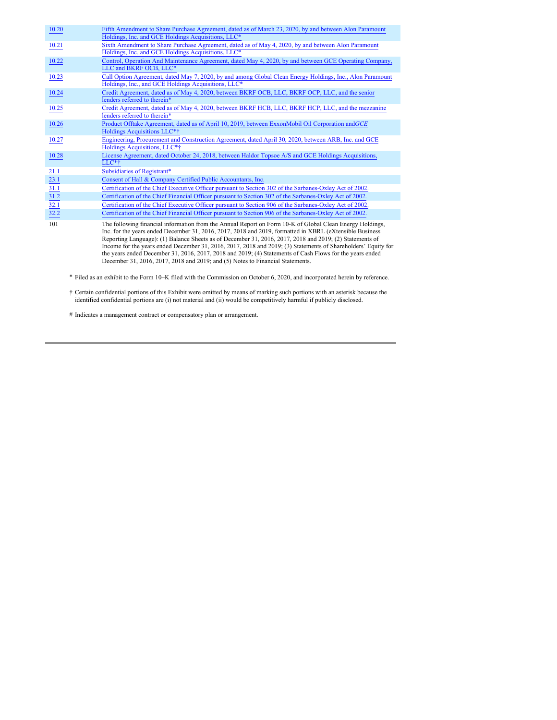| 10.20               | Fifth Amendment to Share Purchase Agreement, dated as of March 23, 2020, by and between Alon Paramount<br>Holdings, Inc. and GCE Holdings Acquisitions, LLC*                                                                                                                                                                                                                                                                                                                                                                                                                                                                                  |
|---------------------|-----------------------------------------------------------------------------------------------------------------------------------------------------------------------------------------------------------------------------------------------------------------------------------------------------------------------------------------------------------------------------------------------------------------------------------------------------------------------------------------------------------------------------------------------------------------------------------------------------------------------------------------------|
| 10.21               | Sixth Amendment to Share Purchase Agreement, dated as of May 4, 2020, by and between Alon Paramount<br>Holdings, Inc. and GCE Holdings Acquisitions, LLC*                                                                                                                                                                                                                                                                                                                                                                                                                                                                                     |
| 10.22               | Control, Operation And Maintenance Agreement, dated May 4, 2020, by and between GCE Operating Company,<br>LLC and BKRF OCB, LLC*                                                                                                                                                                                                                                                                                                                                                                                                                                                                                                              |
| 10.23               | Call Option Agreement, dated May 7, 2020, by and among Global Clean Energy Holdings, Inc., Alon Paramount<br>Holdings, Inc., and GCE Holdings Acquisitions, LLC*                                                                                                                                                                                                                                                                                                                                                                                                                                                                              |
| 10.24               | Credit Agreement, dated as of May 4, 2020, between BKRF OCB, LLC, BKRF OCP, LLC, and the senior<br>lenders referred to therein*                                                                                                                                                                                                                                                                                                                                                                                                                                                                                                               |
| 10.25               | Credit Agreement, dated as of May 4, 2020, between BKRF HCB, LLC, BKRF HCP, LLC, and the mezzanine<br>lenders referred to therein*                                                                                                                                                                                                                                                                                                                                                                                                                                                                                                            |
| 10.26               | Product Offtake Agreement, dated as of April 10, 2019, between ExxonMobil Oil Corporation and GCE<br><b>Holdings Acquisitions LLC*†</b>                                                                                                                                                                                                                                                                                                                                                                                                                                                                                                       |
| 10.27               | Engineering, Procurement and Construction Agreement, dated April 30, 2020, between ARB, Inc. and GCE<br>Holdings Acquisitions, LLC*†                                                                                                                                                                                                                                                                                                                                                                                                                                                                                                          |
| 10.28               | License Agreement, dated October 24, 2018, between Haldor Topsoe A/S and GCE Holdings Acquisitions,<br>$LLC*†$                                                                                                                                                                                                                                                                                                                                                                                                                                                                                                                                |
| 21.1                | Subsidiaries of Registrant*                                                                                                                                                                                                                                                                                                                                                                                                                                                                                                                                                                                                                   |
| 23.1                | Consent of Hall & Company Certified Public Accountants, Inc.                                                                                                                                                                                                                                                                                                                                                                                                                                                                                                                                                                                  |
| 31.1                | Certification of the Chief Executive Officer pursuant to Section 302 of the Sarbanes-Oxley Act of 2002.                                                                                                                                                                                                                                                                                                                                                                                                                                                                                                                                       |
|                     | Certification of the Chief Financial Officer pursuant to Section 302 of the Sarbanes-Oxley Act of 2002.                                                                                                                                                                                                                                                                                                                                                                                                                                                                                                                                       |
| $\frac{31.2}{32.1}$ | Certification of the Chief Executive Officer pursuant to Section 906 of the Sarbanes-Oxley Act of 2002.                                                                                                                                                                                                                                                                                                                                                                                                                                                                                                                                       |
| 32.2                | Certification of the Chief Financial Officer pursuant to Section 906 of the Sarbanes-Oxley Act of 2002.                                                                                                                                                                                                                                                                                                                                                                                                                                                                                                                                       |
| 101                 | The following financial information from the Annual Report on Form 10-K of Global Clean Energy Holdings,<br>Inc. for the years ended December 31, 2016, 2017, 2018 and 2019, formatted in XBRL (eXtensible Business<br>Reporting Language): (1) Balance Sheets as of December 31, 2016, 2017, 2018 and 2019; (2) Statements of<br>Income for the years ended December 31, 2016, 2017, 2018 and 2019; (3) Statements of Shareholders' Equity for<br>the years ended December 31, 2016, 2017, 2018 and 2019; (4) Statements of Cash Flows for the years ended<br>December 31, 2016, 2017, 2018 and 2019; and (5) Notes to Financial Statements. |

\* Filed as an exhibit to the Form 10–K filed with the Commission on October 6, 2020, and incorporated herein by reference.

† Certain confidential portions of this Exhibit were omitted by means of marking such portions with an asterisk because the identified confidential portions are (i) not material and (ii) would be competitively harmful if publicly disclosed.

 $\#$  Indicates a management contract or compensatory plan or arrangement.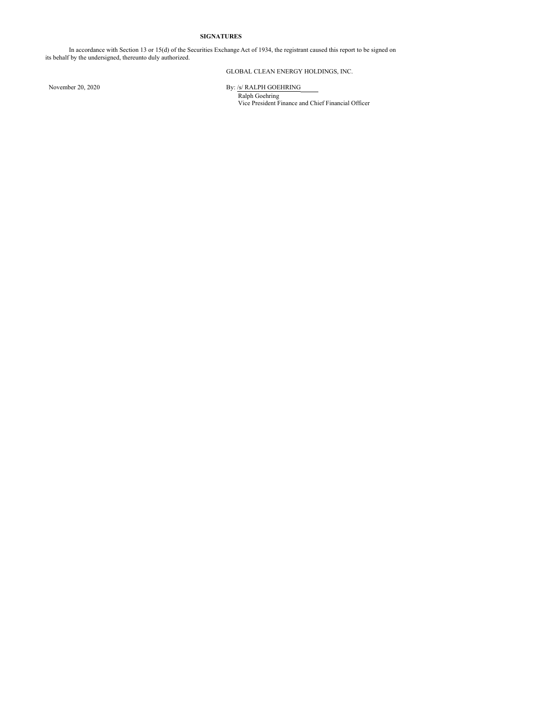# **SIGNATURES**

In accordance with Section 13 or 15(d) of the Securities Exchange Act of 1934, the registrant caused this report to be signed on its behalf by the undersigned, thereunto duly authorized.

GLOBAL CLEAN ENERGY HOLDINGS, INC.

November 20, 2020 By: /s/ RALPH GOEHRING

Ralph Goehring Vice President Finance and Chief Financial Officer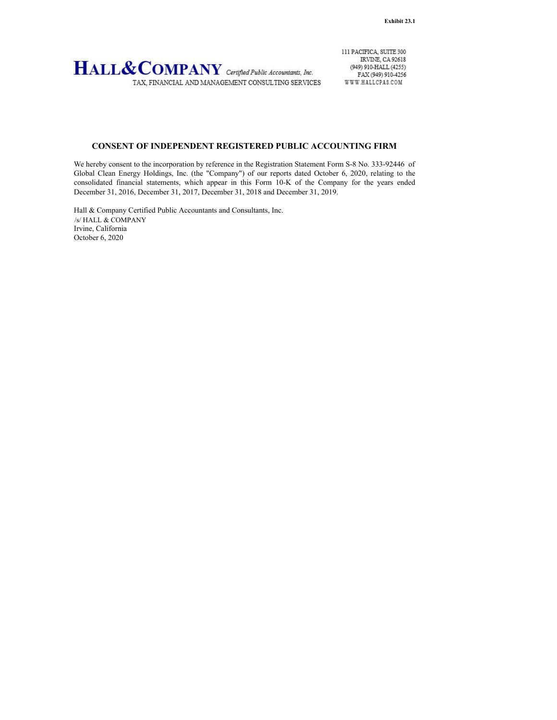<span id="page-64-0"></span>

111 PACIFICA, SUITE 300 IRVINE, CA 92618 (949) 910-HALL (4255) FAX (949) 910-4256 WWW.HALLCPAS.COM

# **CONSENT OF INDEPENDENT REGISTERED PUBLIC ACCOUNTING FIRM**

We hereby consent to the incorporation by reference in the Registration Statement Form S-8 No. 333-92446 of Global Clean Energy Holdings, Inc. (the "Company") of our reports dated October 6, 2020, relating to the consolidated financial statements, which appear in this Form 10-K of the Company for the years ended December 31, 2016, December 31, 2017, December 31, 2018 and December 31, 2019.

Hall & Company Certified Public Accountants and Consultants, Inc. /s/ HALL & COMPANY Irvine, California October 6, 2020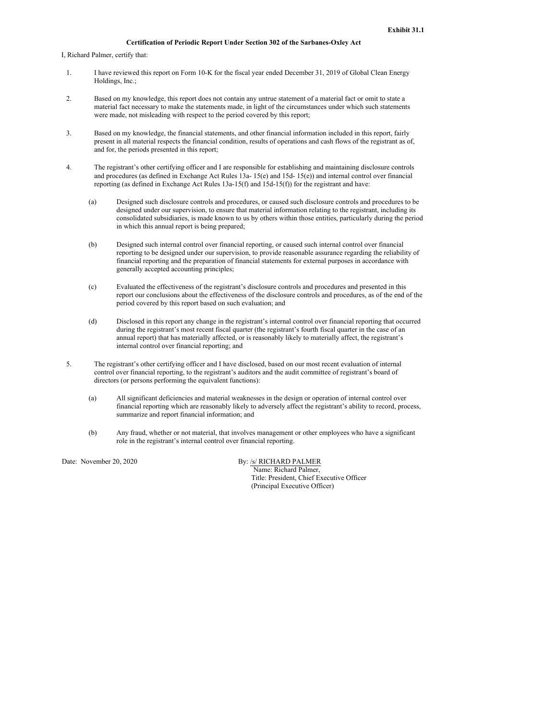# **Certification of Periodic Report Under Section 302 of the Sarbanes-Oxley Act**

<span id="page-65-0"></span>I, Richard Palmer, certify that:

- 1. I have reviewed this report on Form 10-K for the fiscal year ended December 31, 2019 of Global Clean Energy Holdings, Inc.;
- 2. Based on my knowledge, this report does not contain any untrue statement of a material fact or omit to state a material fact necessary to make the statements made, in light of the circumstances under which such statements were made, not misleading with respect to the period covered by this report;
- 3. Based on my knowledge, the financial statements, and other financial information included in this report, fairly present in all material respects the financial condition, results of operations and cash flows of the registrant as of, and for, the periods presented in this report;
- 4. The registrant's other certifying officer and I are responsible for establishing and maintaining disclosure controls and procedures (as defined in Exchange Act Rules 13a- 15(e) and 15d- 15(e)) and internal control over financial reporting (as defined in Exchange Act Rules 13a-15(f) and 15d-15(f)) for the registrant and have:
	- (a) Designed such disclosure controls and procedures, or caused such disclosure controls and procedures to be designed under our supervision, to ensure that material information relating to the registrant, including its consolidated subsidiaries, is made known to us by others within those entities, particularly during the period in which this annual report is being prepared;
	- (b) Designed such internal control over financial reporting, or caused such internal control over financial reporting to be designed under our supervision, to provide reasonable assurance regarding the reliability of financial reporting and the preparation of financial statements for external purposes in accordance with generally accepted accounting principles;
	- (c) Evaluated the effectiveness of the registrant's disclosure controls and procedures and presented in this report our conclusions about the effectiveness of the disclosure controls and procedures, as of the end of the period covered by this report based on such evaluation; and
	- (d) Disclosed in this report any change in the registrant's internal control over financial reporting that occurred during the registrant's most recent fiscal quarter (the registrant's fourth fiscal quarter in the case of an annual report) that has materially affected, or is reasonably likely to materially affect, the registrant's internal control over financial reporting; and
- 5. The registrant's other certifying officer and I have disclosed, based on our most recent evaluation of internal control over financial reporting, to the registrant's auditors and the audit committee of registrant's board of directors (or persons performing the equivalent functions):
	- (a) All significant deficiencies and material weaknesses in the design or operation of internal control over financial reporting which are reasonably likely to adversely affect the registrant's ability to record, process, summarize and report financial information; and
	- (b) Any fraud, whether or not material, that involves management or other employees who have a significant role in the registrant's internal control over financial reporting.

Date: November 20, 2020 By: /s/ RICHARD PALMER Name: Richard Palmer, Title: President, Chief Executive Officer (Principal Executive Officer)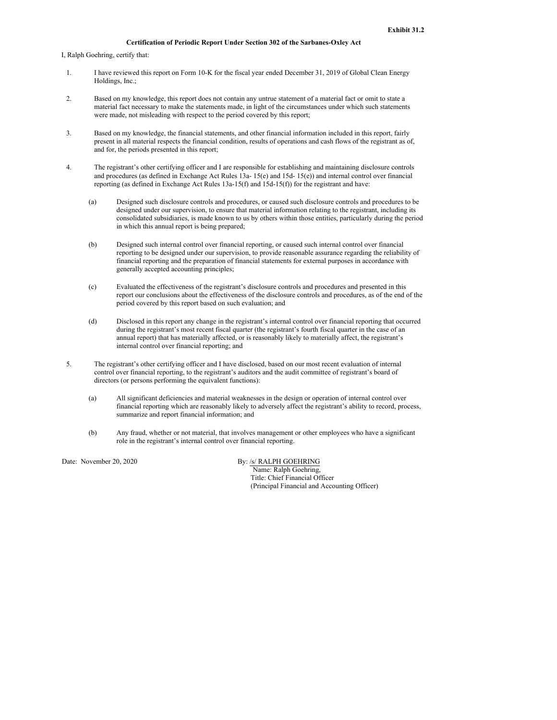# **Certification of Periodic Report Under Section 302 of the Sarbanes-Oxley Act**

<span id="page-66-0"></span>I, Ralph Goehring, certify that:

- 1. I have reviewed this report on Form 10-K for the fiscal year ended December 31, 2019 of Global Clean Energy Holdings, Inc.;
- 2. Based on my knowledge, this report does not contain any untrue statement of a material fact or omit to state a material fact necessary to make the statements made, in light of the circumstances under which such statements were made, not misleading with respect to the period covered by this report;
- 3. Based on my knowledge, the financial statements, and other financial information included in this report, fairly present in all material respects the financial condition, results of operations and cash flows of the registrant as of, and for, the periods presented in this report;
- 4. The registrant's other certifying officer and I are responsible for establishing and maintaining disclosure controls and procedures (as defined in Exchange Act Rules 13a- 15(e) and 15d- 15(e)) and internal control over financial reporting (as defined in Exchange Act Rules 13a-15(f) and 15d-15(f)) for the registrant and have:
	- (a) Designed such disclosure controls and procedures, or caused such disclosure controls and procedures to be designed under our supervision, to ensure that material information relating to the registrant, including its consolidated subsidiaries, is made known to us by others within those entities, particularly during the period in which this annual report is being prepared;
	- (b) Designed such internal control over financial reporting, or caused such internal control over financial reporting to be designed under our supervision, to provide reasonable assurance regarding the reliability of financial reporting and the preparation of financial statements for external purposes in accordance with generally accepted accounting principles;
	- (c) Evaluated the effectiveness of the registrant's disclosure controls and procedures and presented in this report our conclusions about the effectiveness of the disclosure controls and procedures, as of the end of the period covered by this report based on such evaluation; and
	- (d) Disclosed in this report any change in the registrant's internal control over financial reporting that occurred during the registrant's most recent fiscal quarter (the registrant's fourth fiscal quarter in the case of an annual report) that has materially affected, or is reasonably likely to materially affect, the registrant's internal control over financial reporting; and
- 5. The registrant's other certifying officer and I have disclosed, based on our most recent evaluation of internal control over financial reporting, to the registrant's auditors and the audit committee of registrant's board of directors (or persons performing the equivalent functions):
	- (a) All significant deficiencies and material weaknesses in the design or operation of internal control over financial reporting which are reasonably likely to adversely affect the registrant's ability to record, process, summarize and report financial information; and
	- (b) Any fraud, whether or not material, that involves management or other employees who have a significant role in the registrant's internal control over financial reporting.

Date: November 20, 2020 By: /s/ RALPH GOEHRING Name: Ralph Goehring, Title: Chief Financial Officer (Principal Financial and Accounting Officer)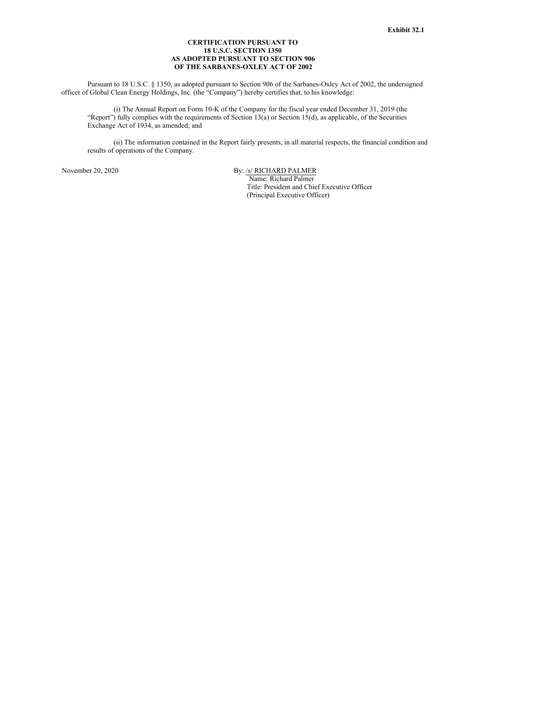# **CERTIFICATION PURSUANT TO 18 U.S.C. SECTION 1350 AS ADOPTED PURSUANT TO SECTION 906 OF THE SARBANES-OXLEY ACT OF 2002**

<span id="page-67-0"></span>Pursuant to 18 U.S.C. § 1350, as adopted pursuant to Section 906 of the Sarbanes-Oxley Act of 2002, the undersigned officer of Global Clean Energy Holdings, Inc. (the "Company") hereby certifies that, to his knowledge:

(i) The Annual Report on Form 10-K of the Company for the fiscal year ended December 31, 2019 (the "Report") fully complies with the requirements of Section 13(a) or Section 15(d), as applicable, of the Securities Exchange Act of 1934, as amended; and

(ii) The information contained in the Report fairly presents, in all material respects, the financial condition and results of operations of the Company.

November 20, 2020 By: /s/ RICHARD PALMER Name: Richard Palmer Title: President and Chief Executive Officer (Principal Executive Officer)